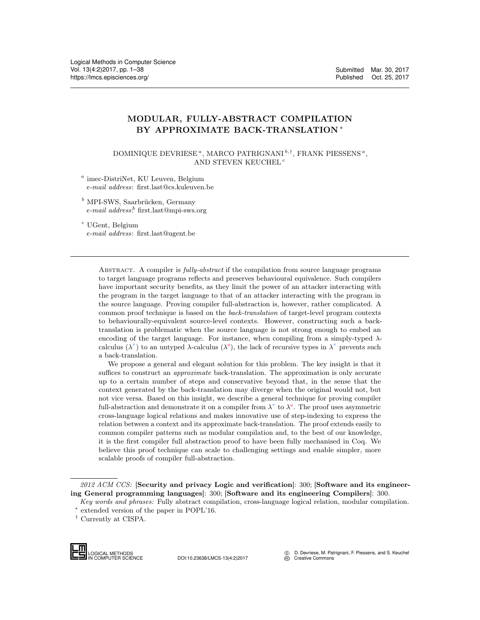# MODULAR, FULLY-ABSTRACT COMPILATION BY APPROXIMATE BACK-TRANSLATION <sup>∗</sup>

DOMINIQUE DEVRIESE<sup> $a$ </sup>, MARCO PATRIGNANI<sup>b,†</sup>, FRANK PIESSENS<sup> $a$ </sup>, AND STEVEN KEUCHEL<sup>c</sup>

a imec-DistriNet, KU Leuven, Belgium e-mail address: first.last@cs.kuleuven.be

 $^b$  MPI-SWS, Saarbrücken, Germany e-mail address.<sup>b</sup> first.last@mpi-sws.org

 $c$  UGent, Belgium e-mail address: first.last@ugent.be

> ABSTRACT. A compiler is *fully-abstract* if the compilation from source language programs to target language programs reflects and preserves behavioural equivalence. Such compilers have important security benefits, as they limit the power of an attacker interacting with the program in the target language to that of an attacker interacting with the program in the source language. Proving compiler full-abstraction is, however, rather complicated. A common proof technique is based on the back-translation of target-level program contexts to behaviourally-equivalent source-level contexts. However, constructing such a backtranslation is problematic when the source language is not strong enough to embed an encoding of the target language. For instance, when compiling from a simply-typed  $\lambda$ calculus  $(\lambda^{\tau})$  to an untyped  $\lambda$ -calculus  $(\lambda^{\mu})$ , the lack of recursive types in  $\lambda^{\tau}$  prevents such a back-translation.

> We propose a general and elegant solution for this problem. The key insight is that it suffices to construct an *approximate* back-translation. The approximation is only accurate up to a certain number of steps and conservative beyond that, in the sense that the context generated by the back-translation may diverge when the original would not, but not vice versa. Based on this insight, we describe a general technique for proving compiler full-abstraction and demonstrate it on a compiler from  $\lambda^{\tau}$  to  $\lambda^{\mu}$ . The proof uses asymmetric cross-language logical relations and makes innovative use of step-indexing to express the relation between a context and its approximate back-translation. The proof extends easily to common compiler patterns such as modular compilation and, to the best of our knowledge, it is the first compiler full abstraction proof to have been fully mechanised in Coq. We believe this proof technique can scale to challenging settings and enable simpler, more scalable proofs of compiler full-abstraction.

<sup>†</sup> Currently at CISPA.



IN COMPUTER SCIENCE DOI:10.23638/LMCS-13(4:2)2017

 c D. Devriese, M. Patrignani, F. Piessens, and S. Keuchel  $\overline{\mathfrak{S}}$  [Creative Commons](http://creativecommons.org/about/licenses)

<sup>2012</sup> ACM CCS: [Security and privacy Logic and verification]: 300; [Software and its engineering General programming languages]: 300; [Software and its engineering Compilers]: 300.

Key words and phrases: Fully abstract compilation, cross-language logical relation, modular compilation.

<sup>∗</sup> extended version of the paper in POPL'16.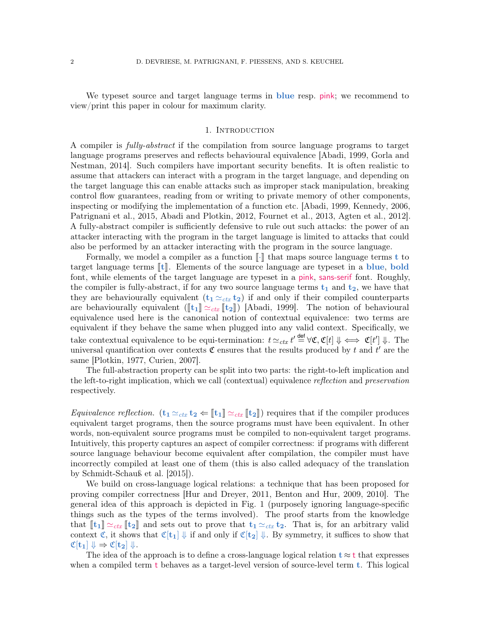We typeset source and target language terms in **blue** resp. pink; we recommend to view/print this paper in colour for maximum clarity.

#### 1. INTRODUCTION

<span id="page-1-0"></span>A compiler is fully-abstract if the compilation from source language programs to target language programs preserves and reflects behavioural equivalence [\[Abadi, 1999,](#page-35-0) [Gorla and](#page-36-0) [Nestman, 2014\]](#page-36-0). Such compilers have important security benefits. It is often realistic to assume that attackers can interact with a program in the target language, and depending on the target language this can enable attacks such as improper stack manipulation, breaking control flow guarantees, reading from or writing to private memory of other components, inspecting or modifying the implementation of a function etc. [\[Abadi, 1999,](#page-35-0) [Kennedy, 2006,](#page-36-1) [Patrignani et al., 2015,](#page-37-1) [Abadi and Plotkin, 2012,](#page-35-1) [Fournet et al., 2013,](#page-36-2) [Agten et al., 2012\]](#page-35-2). A fully-abstract compiler is sufficiently defensive to rule out such attacks: the power of an attacker interacting with the program in the target language is limited to attacks that could also be performed by an attacker interacting with the program in the source language.

Formally, we model a compiler as a function  $\lVert \cdot \rVert$  that maps source language terms t to target language terms  $[t]$ . Elements of the source language are typeset in a blue, bold font, while elements of the target language are typeset in a pink, sans-serif font. Roughly, the compiler is fully-abstract, if for any two source language terms  $t_1$  and  $t_2$ , we have that they are behaviourally equivalent  $(t_1 \simeq_{\text{ctx}} t_2)$  if and only if their compiled counterparts are behaviourally equivalent  $(\llbracket t_1 \rrbracket \simeq_{ctx} \llbracket t_2 \rrbracket)$  [\[Abadi, 1999\]](#page-35-0). The notion of behavioural equivalence used here is the canonical notion of contextual equivalence: two terms are equivalent if they behave the same when plugged into any valid context. Specifically, we take contextual equivalence to be equi-termination:  $t \simeq_{ctx} t' \stackrel{\text{def}}{=} \forall \mathfrak{C}, \mathfrak{C}[t] \Downarrow \iff \mathfrak{C}[t'] \Downarrow$ . The universal quantification over contexts  $\mathfrak C$  ensures that the results produced by t and  $t'$  are the same [\[Plotkin, 1977,](#page-37-2) [Curien, 2007\]](#page-35-3).

The full-abstraction property can be split into two parts: the right-to-left implication and the left-to-right implication, which we call (contextual) equivalence reflection and preservation respectively.

*Equivalence reflection.*  $(t_1 \simeq_{\text{ctx}} t_2 \Leftarrow [t_1] \simeq_{\text{ctx}} [t_2])$  requires that if the compiler produces equivalent target programs, then the source programs must have been equivalent. In other words, non-equivalent source programs must be compiled to non-equivalent target programs. Intuitively, this property captures an aspect of compiler correctness: if programs with different source language behaviour become equivalent after compilation, the compiler must have incorrectly compiled at least one of them (this is also called adequacy of the translation by [Schmidt-Schauß et al.](#page-37-3) [\[2015\]](#page-37-3)).

We build on cross-language logical relations: a technique that has been proposed for proving compiler correctness [\[Hur and Dreyer, 2011,](#page-36-3) [Benton and Hur, 2009,](#page-35-4) [2010\]](#page-35-5). The general idea of this approach is depicted in Fig. [1](#page-2-0) (purposely ignoring language-specific things such as the types of the terms involved). The proof starts from the knowledge that  $\llbracket t_1 \rrbracket \simeq_{ctx} \llbracket t_2 \rrbracket$  and sets out to prove that  $t_1 \simeq_{ctx} t_2$ . That is, for an arbitrary valid context  $\mathfrak{C}$ , it shows that  $\mathfrak{C}[\mathbf{t}_1] \Downarrow$  if and only if  $\mathfrak{C}[\mathbf{t}_2] \Downarrow$ . By symmetry, it suffices to show that  $\mathfrak{C}[\mathbf{t}_1] \Downarrow \Rightarrow \mathfrak{C}[\mathbf{t}_2] \Downarrow.$ 

The idea of the approach is to define a cross-language logical relation  $t \approx t$  that expresses when a compiled term t behaves as a target-level version of source-level term t. This logical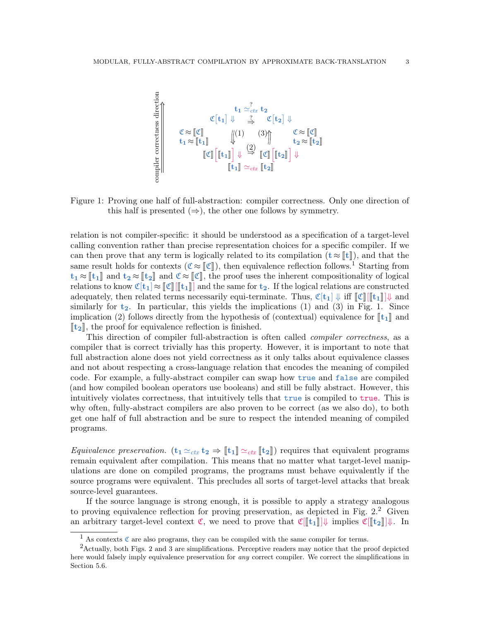<span id="page-2-0"></span>

Figure 1: Proving one half of full-abstraction: compiler correctness. Only one direction of this half is presented  $(\Rightarrow)$ , the other one follows by symmetry.

relation is not compiler-specific: it should be understood as a specification of a target-level calling convention rather than precise representation choices for a specific compiler. If we can then prove that any term is logically related to its compilation  $(t \approx \llbracket t \rrbracket)$ , and that the same result holds for contexts ( $\mathfrak{C} \approx \mathfrak{C}$ ), then equivalence reflection follows.<sup>[1](#page-2-1)</sup> Starting from  $t_1 \approx \llbracket t_1 \rrbracket$  and  $t_2 \approx \llbracket t_2 \rrbracket$  and  $\mathfrak{C} \approx \llbracket \mathfrak{C} \rrbracket$ , the proof uses the inherent compositionality of logical relations to know  $\mathfrak{C}[t_1] \approx \llbracket \mathfrak{C} \rrbracket / \llbracket t_1 \rrbracket$  and the same for  $t_2$ . If the logical relations are constructed adequately, then related terms necessarily equi-terminate. Thus,  $\mathfrak{C}[\mathbf{t}_1] \Downarrow \text{iff } \|\mathfrak{C}\| [\mathbf{t}_1]\| \Downarrow$  and similarly for  $t_2$ . In particular, this yields the implications (1) and (3) in Fig. [1.](#page-2-0) Since implication (2) follows directly from the hypothesis of (contextual) equivalence for  $\llbracket t_1 \rrbracket$  and  $\llbracket t_2 \rrbracket$ , the proof for equivalence reflection is finished.

This direction of compiler full-abstraction is often called *compiler correctness*, as a compiler that is correct trivially has this property. However, it is important to note that full abstraction alone does not yield correctness as it only talks about equivalence classes and not about respecting a cross-language relation that encodes the meaning of compiled code. For example, a fully-abstract compiler can swap how true and false are compiled (and how compiled boolean operators use booleans) and still be fully abstract. However, this intuitively violates correctness, that intuitively tells that true is compiled to true. This is why often, fully-abstract compilers are also proven to be correct (as we also do), to both get one half of full abstraction and be sure to respect the intended meaning of compiled programs.

*Equivalence preservation.*  $(t_1 \simeq_{\text{ctx}} t_2 \Rightarrow [t_1] \simeq_{\text{ctx}} [t_2])$  requires that equivalent programs remain equivalent after compilation. This means that no matter what target-level manipulations are done on compiled programs, the programs must behave equivalently if the source programs were equivalent. This precludes all sorts of target-level attacks that break source-level guarantees.

If the source language is strong enough, it is possible to apply a strategy analogous to proving equivalence reflection for proving preservation, as depicted in Fig.  $2<sup>2</sup>$  $2<sup>2</sup>$  Given an arbitrary target-level context  $\mathfrak{C}$ , we need to prove that  $\mathfrak{C}[[t_1]]\Downarrow$  implies  $\mathfrak{C}[[t_2]]\Downarrow$ . In

<span id="page-2-2"></span><span id="page-2-1"></span><sup>&</sup>lt;sup>1</sup> As contexts  $\mathfrak C$  are also programs, they can be compiled with the same compiler for terms.

<sup>2</sup>Actually, both Figs. [2](#page-3-0) and [3](#page-4-0) are simplifications. Perceptive readers may notice that the proof depicted here would falsely imply equivalence preservation for *any* correct compiler. We correct the simplifications in Section [5.6.](#page-23-0)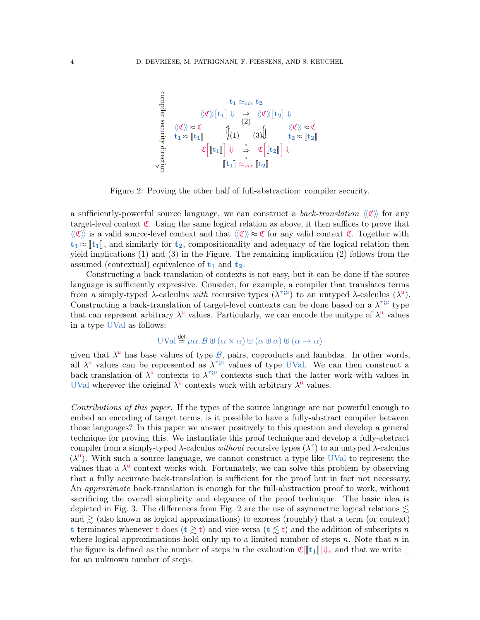<span id="page-3-0"></span>
$$
\begin{array}{llll}\n\text{if } t_1 \simeq_{\text{ctx}} t_2 \\
\text{if } t_1 \approx (\mathfrak{C}) \text{ } [t_1] \Downarrow & \Rightarrow \langle \mathfrak{C} \rangle \text{ } [t_2] \Downarrow \\
\text{if } t_1 \approx (\mathfrak{k}_1) \text{ } & \langle 1 \rangle \text{ } & \langle \mathfrak{C} \rangle \text{ } \approx \mathfrak{C} \\
\text{if } t_1 \approx [\mathfrak{k}_1] \text{ } & \langle 1 \rangle \text{ } & \langle 3 \rangle \text{ } & \langle 4 \rangle \text{ } & \langle 5 \rangle \text{ } \approx \mathfrak{C} \\
\text{if } t_2 \equiv \text{ } & \mathfrak{C} \text{ } & \mathfrak{C} \text{ } & \mathfrak{C} \text{ } & \mathfrak{C} \text{ } & \mathfrak{C} \text{ } \mathfrak{C} \text{ } \mathfrak{C} \text{ } & \mathfrak{C} \text{ } & \mathfrak{C} \text{ } & \mathfrak{C} \text{ } & \mathfrak{C} \text{ } & \mathfrak{C} \text{ } & \mathfrak{C} \text{ } & \mathfrak{C} \text{ } & \mathfrak{C} \text{ } & \mathfrak{C} \text{ } & \mathfrak{C} \text{ } & \mathfrak{C} \text{ } & \mathfrak{C} \text{ } & \mathfrak{C} \text{ } & \mathfrak{C} \text{ } & \mathfrak{C} \text{ } & \mathfrak{C} \text{ } & \mathfrak{C} \text{ } & \mathfrak{C} \text{ } & \mathfrak{C} \text{ } & \mathfrak{C} \text{ } & \mathfrak{C} \text{ } & \mathfrak{C} \text{ } & \mathfrak{C} \text{ } & \mathfrak{C} \text{ } & \mathfrak{C} \text{ } & \mathfrak{C} \text{ } & \mathfrak{C} \text{ } & \mathfrak{C} \text{ } & \mathfrak{C} \text{ } & \mathfrak{C} \text
$$

Figure 2: Proving the other half of full-abstraction: compiler security.

a sufficiently-powerful source language, we can construct a *back-translation*  $\langle \mathfrak{C} \rangle$  for any target-level context  $\mathfrak{C}$ . Using the same logical relation as above, it then suffices to prove that  $\langle\!\langle \mathfrak{C} \rangle\!\rangle$  is a valid source-level context and that  $\langle\!\langle \mathfrak{C} \rangle\!\rangle \approx \mathfrak{C}$  for any valid context  $\mathfrak{C}$ . Together with  $t_1 \approx [t_1]$ , and similarly for  $t_2$ , compositionality and adequacy of the logical relation then yield implications (1) and (3) in the Figure. The remaining implication (2) follows from the assumed (contextual) equivalence of  $t_1$  and  $t_2$ .

Constructing a back-translation of contexts is not easy, but it can be done if the source language is sufficiently expressive. Consider, for example, a compiler that translates terms from a simply-typed  $\lambda$ -calculus with recursive types  $(\lambda^{\tau;\mu})$  to an untyped  $\lambda$ -calculus  $(\lambda^{\mathsf{u}})$ . Constructing a back-translation of target-level contexts can be done based on a  $\lambda^{\tau;\mu}$  type that can represent arbitrary  $\lambda^{\mathsf{u}}$  values. Particularly, we can encode the unitype of  $\lambda^{\mathsf{u}}$  values in a type UVal as follows:

$$
UVal \stackrel{\text{def}}{=} \mu \alpha. \mathcal{B} \boxplus (\alpha \times \alpha) \boxplus (\alpha \boxplus \alpha) \boxplus (\alpha \to \alpha)
$$

given that  $\lambda^{\mathsf{u}}$  has base values of type  $\mathcal{B}$ , pairs, coproducts and lambdas. In other words, all  $\lambda^{\mathsf{u}}$  values can be represented as  $\lambda^{\tau;\mu}$  values of type UVal. We can then construct a back-translation of  $\lambda^{\mathsf{u}}$  contexts to  $\lambda^{\tau;\mu}$  contexts such that the latter work with values in UVal wherever the original  $\lambda^{\mathsf{u}}$  contexts work with arbitrary  $\lambda^{\mathsf{u}}$  values.

Contributions of this paper. If the types of the source language are not powerful enough to embed an encoding of target terms, is it possible to have a fully-abstract compiler between those languages? In this paper we answer positively to this question and develop a general technique for proving this. We instantiate this proof technique and develop a fully-abstract compiler from a simply-typed  $\lambda$ -calculus *without* recursive types  $(\lambda^{\tau})$  to an untyped  $\lambda$ -calculus  $(\lambda^{\mathsf{u}})$ . With such a source language, we cannot construct a type like UVal to represent the values that a  $\lambda^{\mathsf{u}}$  context works with. Fortunately, we can solve this problem by observing that a fully accurate back-translation is sufficient for the proof but in fact not necessary. An *approximate* back-translation is enough for the full-abstraction proof to work, without sacrificing the overall simplicity and elegance of the proof technique. The basic idea is depicted in Fig. [3.](#page-4-0) The differences from Fig. [2](#page-3-0) are the use of asymmetric logical relations  $\lesssim$ and  $\geq$  (also known as logical approximations) to express (roughly) that a term (or context) t terminates whenever t does  $(t \ge t)$  and vice versa  $(t \le t)$  and the addition of subscripts n where logical approximations hold only up to a limited number of steps  $n$ . Note that  $n$  in the figure is defined as the number of steps in the evaluation  $\mathfrak{C}[[t_1]]\Downarrow_n$  and that we write  $\blacksquare$ for an unknown number of steps.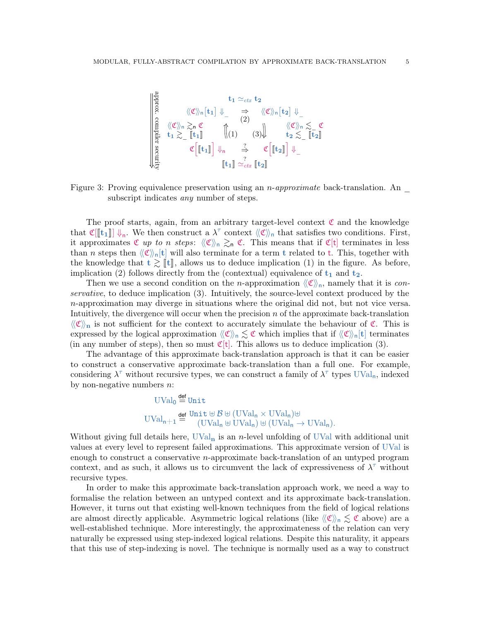<span id="page-4-0"></span>

Figure 3: Proving equivalence preservation using an *n-approximate* back-translation. An  $\overline{\phantom{a}}$ subscript indicates *any* number of steps.

The proof starts, again, from an arbitrary target-level context  $\mathfrak{C}$  and the knowledge that  $\mathfrak{C}[[t_1]] \downarrow_n$ . We then construct a  $\lambda^{\tau}$  context  $\langle\langle \mathfrak{C} \rangle\rangle_n$  that satisfies two conditions. First, it approximates  $\mathfrak{C}$  up to n steps:  $\langle \langle \mathfrak{C} \rangle \rangle_n \gtrsim_n \mathfrak{C}$ . This means that if  $\mathfrak{C}[t]$  terminates in less than n steps then  $\langle\!\langle \mathfrak{C} \rangle\!\rangle_{\mathfrak{n}}[t]$  will also terminate for a term t related to t. This, together with the knowledge that  $t \gtrsim [t]$ , allows us to deduce implication (1) in the figure. As before, implication (2) follows directly from the (contextual) equivalence of  $t_1$  and  $t_2$ .

Then we use a second condition on the *n*-approximation  $\langle\langle \mathfrak{C} \rangle\rangle_{\mathfrak{n}}$ , namely that it is *con*servative, to deduce implication (3). Intuitively, the source-level context produced by the  $n$ -approximation may diverge in situations where the original did not, but not vice versa. Intuitively, the divergence will occur when the precision  $n$  of the approximate back-translation  $\langle\!\langle \mathfrak{C} \rangle\!\rangle_n$  is not sufficient for the context to accurately simulate the behaviour of  $\mathfrak{C}$ . This is expressed by the logical approximation  $\langle\langle \mathfrak{C} \rangle\rangle_n \lesssim \mathfrak{C}$  which implies that if  $\langle\langle \mathfrak{C} \rangle\rangle_n[t]$  terminates (in any number of steps), then so must  $\mathfrak{C}[t]$ . This allows us to deduce implication (3).

The advantage of this approximate back-translation approach is that it can be easier to construct a conservative approximate back-translation than a full one. For example, considering  $\lambda^{\tau}$  without recursive types, we can construct a family of  $\lambda^{\tau}$  types UVal<sub>n</sub>, indexed by non-negative numbers  $n$ :

$$
\begin{aligned}\n\text{UVal}_0 &\stackrel{\text{def}}{=} \text{Unit} \\
\text{UVal}_n + 1 &\stackrel{\text{def}}{=} \frac{\text{Unit} \oplus \mathcal{B} \oplus (\text{UVal}_n \times \text{UVal}_n) \oplus}{(\text{UVal}_n \oplus \text{UVal}_n) \oplus (\text{UVal}_n \to \text{UVal}_n).\n\end{aligned}
$$

Without giving full details here,  $\text{UVal}_{n}$  is an *n*-level unfolding of UVal with additional unit values at every level to represent failed approximations. This approximate version of UVal is enough to construct a conservative n-approximate back-translation of an untyped program context, and as such, it allows us to circumvent the lack of expressiveness of  $\lambda^{\tau}$  without recursive types.

In order to make this approximate back-translation approach work, we need a way to formalise the relation between an untyped context and its approximate back-translation. However, it turns out that existing well-known techniques from the field of logical relations are almost directly applicable. Asymmetric logical relations (like  $\langle \mathfrak{C} \rangle_{\mathfrak{n}} \lesssim \mathfrak{C}$  above) are a well-established technique. More interestingly, the approximateness of the relation can very naturally be expressed using step-indexed logical relations. Despite this naturality, it appears that this use of step-indexing is novel. The technique is normally used as a way to construct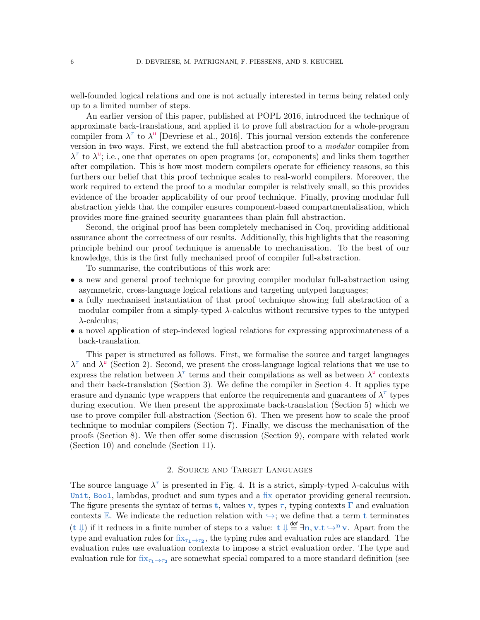well-founded logical relations and one is not actually interested in terms being related only up to a limited number of steps.

An earlier version of this paper, published at POPL 2016, introduced the technique of approximate back-translations, and applied it to prove full abstraction for a whole-program compiler from  $\lambda^{\tau}$  to  $\lambda^{\mu}$  [\[Devriese et al., 2016\]](#page-35-6). This journal version extends the conference version in two ways. First, we extend the full abstraction proof to a *modular* compiler from  $\lambda^{\tau}$  to  $\lambda^{\mu}$ ; i.e., one that operates on open programs (or, components) and links them together after compilation. This is how most modern compilers operate for efficiency reasons, so this furthers our belief that this proof technique scales to real-world compilers. Moreover, the work required to extend the proof to a modular compiler is relatively small, so this provides evidence of the broader applicability of our proof technique. Finally, proving modular full abstraction yields that the compiler ensures component-based compartmentalisation, which provides more fine-grained security guarantees than plain full abstraction.

Second, the original proof has been completely mechanised in Coq, providing additional assurance about the correctness of our results. Additionally, this highlights that the reasoning principle behind our proof technique is amenable to mechanisation. To the best of our knowledge, this is the first fully mechanised proof of compiler full-abstraction.

To summarise, the contributions of this work are:

- a new and general proof technique for proving compiler modular full-abstraction using asymmetric, cross-language logical relations and targeting untyped languages;
- a fully mechanised instantiation of that proof technique showing full abstraction of a modular compiler from a simply-typed  $\lambda$ -calculus without recursive types to the untyped  $\lambda$ -calculus;
- a novel application of step-indexed logical relations for expressing approximateness of a back-translation.

This paper is structured as follows. First, we formalise the source and target languages  $\lambda^{\tau}$  and  $\lambda^{\mu}$  (Section [2\)](#page-5-0). Second, we present the cross-language logical relations that we use to express the relation between  $\lambda^{\tau}$  terms and their compilations as well as between  $\lambda^{\mathsf{u}}$  contexts and their back-translation (Section [3\)](#page-8-0). We define the compiler in Section [4.](#page-11-0) It applies type erasure and dynamic type wrappers that enforce the requirements and guarantees of  $\lambda^{\tau}$  types during execution. We then present the approximate back-translation (Section [5\)](#page-14-0) which we use to prove compiler full-abstraction (Section [6\)](#page-24-0). Then we present how to scale the proof technique to modular compilers (Section [7\)](#page-25-0). Finally, we discuss the mechanisation of the proofs (Section [8\)](#page-30-0). We then offer some discussion (Section [9\)](#page-31-0), compare with related work (Section [10\)](#page-32-0) and conclude (Section [11\)](#page-34-0).

## 2. Source and Target Languages

<span id="page-5-0"></span>The source language  $\lambda^{\tau}$  is presented in Fig. [4.](#page-6-0) It is a strict, simply-typed  $\lambda$ -calculus with Unit, Bool, lambdas, product and sum types and a fix operator providing general recursion. The figure presents the syntax of terms t, values v, types  $\tau$ , typing contexts  $\Gamma$  and evaluation contexts E. We indicate the reduction relation with  $\rightarrow$ ; we define that a term t terminates  $(t \nvert)$  if it reduces in a finite number of steps to a value:  $t \nvert \frac{def}{=} \exists n, v.t \rightarrow^n v$ . Apart from the type and evaluation rules for  $fix_{\tau_1 \to \tau_2}$ , the typing rules and evaluation rules are standard. The evaluation rules use evaluation contexts to impose a strict evaluation order. The type and evaluation rule for  $fix_{\tau_1 \to \tau_2}$  are somewhat special compared to a more standard definition (see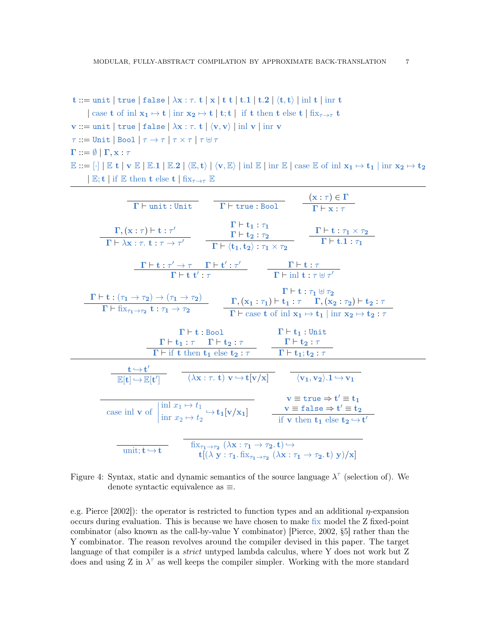t ::= unit | true | false | 
$$
\lambda x : \tau
$$
. t | x | t t | t.1 | t.2 |  $\langle t, t \rangle$  | inl t | inr t  
\n| case t of inl x<sub>1</sub>  $\mapsto$  t | inr x<sub>2</sub>  $\mapsto$  t | t; t | if t then t else t | fix<sub>τ→τ</sub> t  
\nv ::= unit | true | false |  $\lambda x : \tau$ . t |  $\langle v, v \rangle$  | inl v | inr v  
\n $\tau$  ::= Unit | Bool |  $\tau \rightarrow \tau$  |  $\tau \times \tau$  |  $\tau \forall \tau$   
\n $\Gamma ::= \emptyset$  |  $\Gamma, x : \tau$   
\n $\mathbb{E} ::= [\cdot]$  |  $\mathbb{E}$  t | v  $\mathbb{E}$  |  $\mathbb{E}.1$  |  $\mathbb{E}.2$  |  $\langle \mathbb{E}, t \rangle$  |  $\langle v, \mathbb{E} \rangle$  | inl  $\mathbb{E}$  | inr  $\mathbb{E}$  | case  $\mathbb{E}$  of inl x<sub>1</sub>  $\mapsto$  t<sub>1</sub> | inr x<sub>2</sub>  $\mapsto$  t<sub>2</sub>  
\n|  $\mathbb{E}$ ; t | if  $\mathbb{E}$  then t else t | fix<sub>τ→τ</sub>  $\mathbb{E}$ 

| $\Gamma \vdash \text{unit} : \text{Unit}$                                                                                                                                                                                                                                                                                 | $(\mathbf{x}:\tau)\in\Gamma$<br>$\Gamma\vdash$ true : Bool<br>$\Gamma \vdash \mathbf{x} : \tau$                                                                                                                                                                               |
|---------------------------------------------------------------------------------------------------------------------------------------------------------------------------------------------------------------------------------------------------------------------------------------------------------------------------|-------------------------------------------------------------------------------------------------------------------------------------------------------------------------------------------------------------------------------------------------------------------------------|
| $\boldsymbol{\Gamma},(\mathbf{x}:\tau)\vdash\mathbf{t}:\tau'$<br>$\Gamma \vdash \lambda \mathbf{x} : \tau, \mathbf{t} : \tau \to \tau'$                                                                                                                                                                                   | $\Gamma \vdash t_1 : \tau_1$<br>$\Gamma \vdash \textbf{t} : \tau_1 \times \tau_2$<br>$\Gamma \vdash \mathbf{t_2} : \tau_2$<br>$\Gamma$ + t.1 : $\tau_1$<br>$\boxed{\Gamma\vdash \langle \mathbf{t_1}, \mathbf{t_2}\rangle : \tau_1 \times \tau_2}$                            |
| $\frac{\Gamma\vdash t:\tau'\to\tau\qquad \Gamma\vdash t':\tau'}{\Gamma\vdash t\;t':\tau}\qquad\qquad \frac{\Gamma\vdash t:\tau}{\Gamma\vdash\operatorname{inl} t:\tau\uplus\tau'}$                                                                                                                                        |                                                                                                                                                                                                                                                                               |
| $\frac{\Gamma \vdash t : (\tau_1 \to \tau_2) \to (\tau_1 \to \tau_2)}{\Gamma \vdash fix_{\tau_1 \to \tau_2} t : \tau_1 \to \tau_2}$                                                                                                                                                                                       | $\Gamma \vdash t : \tau_1 \uplus \tau_2$<br>$\Gamma,(x_1:\tau_1)\vdash t_1:\tau\quad \Gamma,(x_2:\tau_2)\vdash t_2:\tau$<br>$\Gamma \vdash \text{case } t \text{ of } \text{inl } x_1 \mapsto t_1 \mid \text{inr } x_2 \mapsto t_2 : \tau$                                    |
| $\Gamma \vdash \texttt{t} : \texttt{Bool}$<br>$\Gamma\vdash \mathbf{t_1}:\tau\quad \Gamma\vdash \mathbf{t_2}:\tau$                                                                                                                                                                                                        | $\Gamma \vdash t_1:$ Unit<br>$\Gamma \vdash \mathbf{t_2} : \tau$<br>$\Gamma \vdash \text{if } t \text{ then } t_1 \text{ else } t_2 : \tau$ $\Gamma \vdash t_1; t_2 : \tau$                                                                                                   |
| $\frac{\mathbf{t} \leftrightarrow \mathbf{t}'}{\mathbb{E}[\mathbf{t}] \leftrightarrow \mathbb{E}[\mathbf{t}']}$ $\overline{(\lambda \mathbf{x} : \tau, \mathbf{t}) \mathbf{v} \leftrightarrow \mathbf{t}[\mathbf{v}/\mathbf{x}]}$ $\overline{\langle \mathbf{v}_1, \mathbf{v}_2 \rangle .1 \leftrightarrow \mathbf{v}_1}$ |                                                                                                                                                                                                                                                                               |
| case inl <b>v</b> of $\left  \lim_{x_1 \to t_1} x_2 \mapsto t_1 \right  \rightarrow \mathbf{t}_1[\mathbf{v}/\mathbf{x}_1]$                                                                                                                                                                                                | $v \equiv \text{true} \Rightarrow t' \equiv t_1$<br>$\mathbf{v} \equiv \mathtt{false} \Rightarrow \mathbf{t}' \equiv \mathtt{t_2}$<br>if <b>v</b> then $t_1$ else $t_2 \hookrightarrow t'$                                                                                    |
| unit; $t \hookrightarrow t$                                                                                                                                                                                                                                                                                               | $fix_{\tau_1\rightarrow\tau_2} (\lambda \mathbf{x} : \tau_1 \rightarrow \tau_2, \mathbf{t}) \hookrightarrow$<br>$\mathbf{t}[(\lambda \mathbf{y} : \tau_1 \dots \mathbf{f}_{T_1 \to \tau_2} (\lambda \mathbf{x} : \tau_1 \to \tau_2 \dots \mathbf{t}) \mathbf{y})/\mathbf{x}]$ |

<span id="page-6-0"></span>Figure 4: Syntax, static and dynamic semantics of the source language  $\lambda^{\tau}$  (selection of). We denote syntactic equivalence as ≡.

e.g. [Pierce](#page-37-4)  $[2002]$ : the operator is restricted to function types and an additional  $\eta$ -expansion occurs during evaluation. This is because we have chosen to make fix model the Z fixed-point combinator (also known as the call-by-value Y combinator) [\[Pierce, 2002,](#page-37-4) §5] rather than the Y combinator. The reason revolves around the compiler devised in this paper. The target language of that compiler is a *strict* untyped lambda calculus, where Y does not work but Z does and using Z in  $\lambda^{\tau}$  as well keeps the compiler simpler. Working with the more standard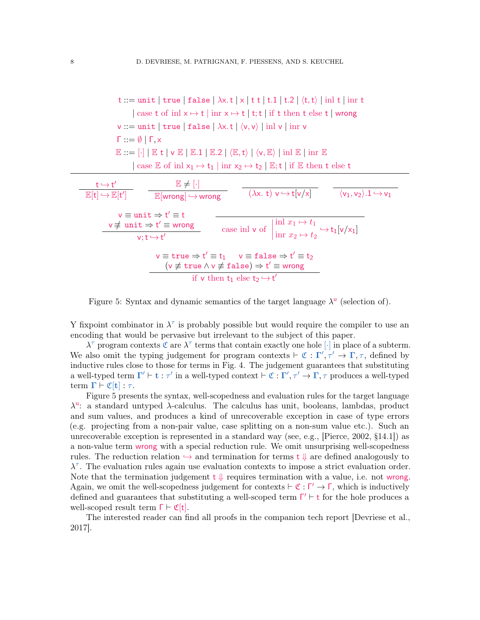t ::= unit | true | false |  $\lambda x. t \mid x \mid t \mid t.1 \mid t.2 \mid \langle t, t \rangle \mid \text{inl } t \mid \text{inr } t$ | case t of inl  $x \mapsto t$  | inr  $x \mapsto t$  | t;t | if t then t else t | wrong  $v ::= unit \mid true \mid false \mid \lambda x. t \mid \langle v, v \rangle \mid inl \vee \mid inr \vee$  $Γ := ∅ ∣ Γ x$  $\mathbb{E} ::= [\cdot] | \mathbb{E} t | \mathsf{v} \mathbb{E} | \mathbb{E}.1 | \mathbb{E}.2 | \langle \mathbb{E}, t \rangle | \langle \mathsf{v}, \mathbb{E} \rangle | \text{inl } \mathbb{E} | \text{inr } \mathbb{E}$ | case  $\mathbb E$  of inl  $x_1 \mapsto t_1$  | inr  $x_2 \mapsto t_2$  |  $\mathbb E$ ; t | if  $\mathbb E$  then t else t  $t \hookrightarrow t'$  $\mathbb{E}[\mathsf{t}] \hookrightarrow \mathbb{E}[\mathsf{t}']$  $\mathbb{E} \neq [\cdot]$  $\mathbb{E}[\text{wrong}] \hookrightarrow \text{wrong}$   $(\lambda \times . t) \vee \hookrightarrow t[\nu/\times]$   $\langle v_1, v_2 \rangle.1 \hookrightarrow v_1$  $v \equiv unit \Rightarrow t' \equiv t$  $v \not\equiv \text{unit} \Rightarrow t' \equiv \text{wrong}$  $\begin{array}{l}\n\text{t} \to \text{t}' \equiv \text{wrong} \\
\text{v}; \text{t} \to \text{t}'\n\end{array}$  case inl v of inl  $x_1 \mapsto t_1$  $\lim_{x_2 \to t_2} f_2 \hookrightarrow t_1[v/x_1]$  $v \equiv \text{true} \Rightarrow t' \equiv t_1 \quad v \equiv \text{false} \Rightarrow t' \equiv t_2$  $(v \not\equiv \text{true} \land v \not\equiv \text{false}) \Rightarrow t' \equiv$  wrong if v then  $t_1$  else  $t_2 \hookrightarrow t'$ 

<span id="page-7-0"></span>Figure 5: Syntax and dynamic semantics of the target language  $\lambda^{\mathsf{u}}$  (selection of).

Y fixpoint combinator in  $\lambda^{\tau}$  is probably possible but would require the compiler to use an encoding that would be pervasive but irrelevant to the subject of this paper.

 $\lambda^{\tau}$  program contexts  $\mathfrak{C}$  are  $\lambda^{\tau}$  terms that contain exactly one hole  $\lceil \cdot \rceil$  in place of a subterm. We also omit the typing judgement for program contexts  $\vdash \mathfrak{C} : \Gamma', \tau' \to \Gamma, \tau$ , defined by inductive rules close to those for terms in Fig. [4.](#page-6-0) The judgement guarantees that substituting a well-typed term  $\Gamma' \vdash t : \tau'$  in a well-typed context  $\vdash \mathfrak{C} : \Gamma', \tau' \to \Gamma, \tau$  produces a well-typed term  $\Gamma \vdash \mathfrak{C}[\mathbf{t}] : \tau$ .

Figure [5](#page-7-0) presents the syntax, well-scopedness and evaluation rules for the target language λ u : a standard untyped λ-calculus. The calculus has unit, booleans, lambdas, product and sum values, and produces a kind of unrecoverable exception in case of type errors (e.g. projecting from a non-pair value, case splitting on a non-sum value etc.). Such an unrecoverable exception is represented in a standard way (see, e.g., [\[Pierce, 2002,](#page-37-4) §14.1]) as a non-value term wrong with a special reduction rule. We omit unsurprising well-scopedness rules. The reduction relation  $\leftrightarrow$  and termination for terms t  $\downarrow$  are defined analogously to  $\lambda^{\tau}$ . The evaluation rules again use evaluation contexts to impose a strict evaluation order. Note that the termination judgement  $t \downarrow$  requires termination with a value, i.e. not wrong. Again, we omit the well-scopedness judgement for contexts  $\vdash \mathfrak{C} : \Gamma' \to \Gamma$ , which is inductively defined and guarantees that substituting a well-scoped term  $\Gamma' \vdash t$  for the hole produces a well-scoped result term  $\Gamma \vdash \mathfrak{C}[t]$ .

The interested reader can find all proofs in the companion tech report [\[Devriese et al.,](#page-36-4) [2017\]](#page-36-4).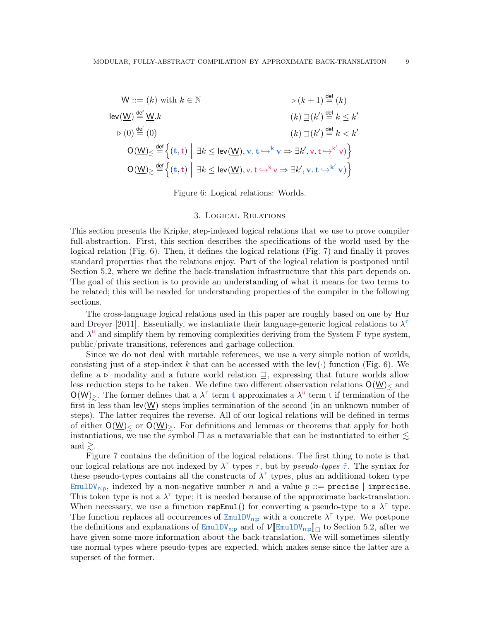$$
\underline{\mathsf{W}} ::= (k) \text{ with } k \in \mathbb{N} \qquad \qquad \triangleright (k+1) \stackrel{\text{def}}{=} (k)
$$
\n
$$
\begin{array}{ll}\n\text{lev}(\underline{\mathsf{W}}) \stackrel{\text{def}}{=} \underline{\mathsf{W}}.k & (k) \sqsupseteq(k') \stackrel{\text{def}}{=} k \le k' \\
& & & (k) \sqsupseteq(k') \stackrel{\text{def}}{=} k \le k' \\
& & & (k) \sqsupseteq(k') \stackrel{\text{def}}{=} k < k' \\
& & & (k) \sqsupseteq(k') \stackrel{\text{def}}{=} k < k' \\
& & & (k) \sqsupseteq(k') \stackrel{\text{def}}{=} k < k' \\
& & (k) \sqsupseteq(k') \stackrel{\text{def}}{=} k < k' \\
& & (k) \sqsupseteq(k') \stackrel{\text{def}}{=} k < k' \\
& & (k) \sqsupseteq(k') \stackrel{\text{def}}{=} k < k' \\
& & (k) \sqsupseteq(k') \stackrel{\text{def}}{=} k < k' \\
& & (k) \sqsupseteq(k') \stackrel{\text{def}}{=} k < k' \\
& & (k) \sqsupseteq(k') \stackrel{\text{def}}{=} k < k' \\
& & (k) \sqsupseteq(k') \stackrel{\text{def}}{=} k < k' \\
& & (k) \sqsupseteq(k') \stackrel{\text{def}}{=} k < k' \\
& & (k) \sqsupseteq(k') \stackrel{\text{def}}{=} k < k' \\
& & (k) \sqsupseteq(k') \stackrel{\text{def}}{=} k < k' \\
& & (k) \sqsupseteq(k') \stackrel{\text{def}}{=} k < k' \\
& & (k) \sqsupseteq(k') \stackrel{\text{def}}{=} k < k' \\
& & (k) \sqsupseteq(k') \stackrel{\text{def}}{=} k < k' \\
& & (k) \sqsupseteq(k') \stackrel{\text{def}}{=} k < k' \\
& & (k) \sqsupseteq(k') \stackrel{\text{def}}{=} k < k' \\
& & (k)
$$

Figure 6: Logical relations: Worlds.

### 3. Logical Relations

<span id="page-8-1"></span><span id="page-8-0"></span>This section presents the Kripke, step-indexed logical relations that we use to prove compiler full-abstraction. First, this section describes the specifications of the world used by the logical relation (Fig. [6\)](#page-8-1). Then, it defines the logical relations (Fig. [7\)](#page-9-0) and finally it proves standard properties that the relations enjoy. Part of the logical relation is postponed until Section [5.2,](#page-16-0) where we define the back-translation infrastructure that this part depends on. The goal of this section is to provide an understanding of what it means for two terms to be related; this will be needed for understanding properties of the compiler in the following sections.

The cross-language logical relations used in this paper are roughly based on one by [Hur](#page-36-3) [and Dreyer](#page-36-3) [\[2011\]](#page-36-3). Essentially, we instantiate their language-generic logical relations to  $\lambda^{\tau}$ and  $\lambda^{\mathsf{u}}$  and simplify them by removing complexities deriving from the System F type system, public/private transitions, references and garbage collection.

Since we do not deal with mutable references, we use a very simple notion of worlds, consisting just of a step-index k that can be accessed with the  $\text{lev}(\cdot)$  function (Fig. [6\)](#page-8-1). We define a  $\triangleright$  modality and a future world relation  $\supseteq$ , expressing that future worlds allow less reduction steps to be taken. We define two different observation relations  $O(\underline{W})$  and  $O(\underline{W})$ . The former defines that a  $\lambda^{\tau}$  term t approximates a  $\lambda^{\mu}$  term t if termination of the first in less than  $lev(W)$  steps implies termination of the second (in an unknown number of steps). The latter requires the reverse. All of our logical relations will be defined in terms of either  $O(\underline{W})_{\leq}$  or  $O(\underline{W})_{\geq}$ . For definitions and lemmas or theorems that apply for both instantiations, we use the symbol  $\Box$  as a metavariable that can be instantiated to either  $\lesssim$ and  $\gtrsim$ .

Figure [7](#page-9-0) contains the definition of the logical relations. The first thing to note is that our logical relations are not indexed by  $\lambda^{\tau}$  types  $\tau$ , but by *pseudo-types*  $\hat{\tau}$ . The syntax for these pseudo-types contains all the constructs of  $\lambda^{\tau}$  types, plus an additional token type EmulDV<sub>n;p</sub>, indexed by a non-negative number n and a value  $p ::=$  precise | imprecise. This token type is not a  $\lambda^{\tau}$  type; it is needed because of the approximate back-translation. When necessary, we use a function repEmul() for converting a pseudo-type to a  $\lambda^{\tau}$  type. The function replaces all occurrences of  $\text{EmulDV}_{n;p}$  with a concrete  $\lambda^{\tau}$  type. We postpone the definitions and explanations of  $\text{EmulDV}_{n;p}$  and of  $\mathcal{V}[\mathbb{EmulDV}_{n;p}]\$  to Section [5.2,](#page-16-0) after we<br>have given some more information about the back translation. We will sometimes silently have given some more information about the back-translation. We will sometimes silently use normal types where pseudo-types are expected, which makes sense since the latter are a superset of the former.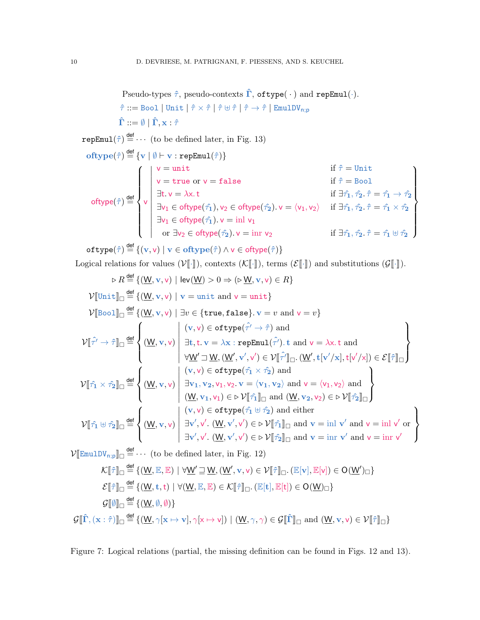Pseudo-types  $\hat{\tau}$ , pseudo-contexts  $\hat{\Gamma}$ , of type( $\cdot$ ) and repEmul( $\cdot$ ).  $\hat{\tau} ::= \texttt{Bool} \mid \texttt{Unit} \mid \hat{\tau} \times \hat{\tau} \mid \hat{\tau} \uplus \hat{\tau} \mid \hat{\tau} \rightarrow \hat{\tau} \mid \texttt{EmulDV}_{\textsf{n};\textsf{p}}$  $\hat{\mathbf{\Gamma}} ::= \emptyset | \hat{\mathbf{\Gamma}}, \mathbf{x} \cdot \hat{\tau}$  $\mathtt{repEmul}(\hat{\tau}) \stackrel{\text{def}}{=} \cdots$  (to be defined later, in Fig. [13\)](#page-18-0)  $\textbf{oftype}(\hat{\tau}) \stackrel{\mathsf{def}}{=} \{\mathbf{v} \mid \emptyset \vdash \mathbf{v} : \mathtt{repEmul}(\hat{\tau})\}$ oftype $(\hat{\tau})\stackrel{\mathsf{def}}{=}$  $\sqrt{ }$  $\begin{matrix} \end{matrix}$  $\bigg\}$ v  $v = \text{unit}$  if  $\hat{\tau} = \text{Unit}$  $v = \text{true or } v = \text{false}$  if  $\hat{\tau} = \text{Bool}$  $\exists$ t. v =  $\lambda$ x. t if  $\exists \hat{\tau}_1, \hat{\tau}_2 \cdot \hat{\tau} = \hat{\tau}_1 \rightarrow \hat{\tau}_2$  $\exists$ v $_1\in$  oftype $(\hat{\tau_1}),$  v $_2\in$  oftype $(\hat{\tau_2}).$   $\text{v}=\langle$ v $_1,$  v $_2\rangle$   $\quad$  if  $\exists \hat{\tau_1}, \hat{\tau_2}.$   $\hat{\tau}=\hat{\tau_1}\times\hat{\tau_2}$  $\exists$ v<sub>1</sub>  $\in$  oftype $(\hat{\tau_1})$ . v  $=$   $\text{inl}$  v<sub>1</sub> or  $\exists v_2 \in \text{otype}(\hat{\tau_2})$ .  $v = \text{inr } v_2$  if  $\exists \hat{\tau_1}, \hat{\tau_2} \cdot \hat{\tau} = \hat{\tau_1} \oplus \hat{\tau_2}$  $\mathcal{L}$  $\overline{\mathcal{L}}$  $\begin{array}{c} \end{array}$ 

 $\texttt{oftype}(\hat{\tau}) \stackrel{\mathsf{def}}{=} \{(\text{v}, \text{v}) \mid \text{v} \in \texttt{oftype}(\hat{\tau}) \land \text{v} \in \texttt{oftype}(\hat{\tau})\}$ 

Logical relations for values  $(V[\![\cdot]\!])$ , contexts  $(K[\![\cdot]\!])$ , terms  $(\mathcal{E}[\![\cdot]\!])$  and substitutions  $(\mathcal{G}[\![\cdot]\!])$ .

$$
\triangleright R \stackrel{\text{def}}{=} \{(\underline{W}, v, v) \mid \text{lev}(\underline{W}) > 0 \Rightarrow (\triangleright \underline{W}, v, v) \in R\}
$$
\n
$$
\mathcal{V}[[\text{Unit}]]_{\Box} \stackrel{\text{def}}{=} \{(\underline{W}, v, v) \mid v = \text{unit and } v = \text{unit}\}
$$
\n
$$
\mathcal{V}[[\text{Bool}]]_{\Box} \stackrel{\text{def}}{=} \{(\underline{W}, v, v) \mid \exists v \in \{\text{true}, \text{false}\}, v = v \text{ and } v = v\}
$$
\n
$$
\mathcal{V}[[\hat{\tau'} \to \hat{\tau}]]_{\Box} \stackrel{\text{def}}{=} \left\{ (\underline{W}, v, v) \mid \exists v \in \{\text{true}, \text{false}\}, v = v \text{ and } v = v\}
$$
\n
$$
\mathcal{V}[[\hat{\tau'} \to \hat{\tau}]]_{\Box} \stackrel{\text{def}}{=} \left\{ (\underline{W}, v, v) \mid \exists v \in \{\text{true}, \text{false}\}, v = v \text{ and } v = \lambda x. \text{ and } v = \lambda x. \text{ and } v = \lambda x. \text{ and } v = \lambda x. \text{ and } v = \lambda x. \text{ and } v = \lambda x. \text{ and } v = \lambda x. \text{ and } v = \lambda x. \text{ and } v = \lambda x. \text{ and } v = \lambda x. \text{ and } v = \lambda x. \text{ and } v = \lambda x. \text{ and } v = \lambda x. \text{ and } v = \lambda x. \text{ and } v = \lambda x. \text{ and } v = \lambda x. \text{ and } v = \lambda x. \text{ and } v = \lambda x. \text{ and } v = \lambda x. \text{ and } v = \lambda x. \text{ and } v = \lambda x. \text{ and } v = \lambda x. \text{ and } v = \lambda x. \text{ and } v = \lambda x. \text{ and } v = \lambda x. \text{ and } v = \lambda x. \text{ and } v = \lambda x. \text{ and } v = \lambda x. \text{ and } v = \lambda x. \text{ and } v = \lambda x. \text{ and } v = \lambda x. \text{ and } v = \lambda x. \text{ and } v = \lambda x. \text{ and } v = \lambda x. \text{ and } v = \lambda x. \text{ and } v
$$

 $\mathcal{V}[\mathbb{E}\text{mult} \mathbb{V}_{n,p}]] \Box \stackrel{\text{def}}{=} \cdots$  (to be defined later, in Fig. [12\)](#page-17-0)

$$
\mathcal{K}[\![\hat{\tau}]\!]_{\Box} \stackrel{\text{def}}{=} \{(\underline{W}, \underline{\mathbb{E}}, \underline{\mathbb{E}}) \mid \forall \underline{W}' \sqsupseteq \underline{W}, (\underline{W}', \mathbf{v}, \mathbf{v}) \in \mathcal{V}[\![\hat{\tau}]\!]_{\Box}. (\mathbb{E}[\mathbf{v}], \mathbb{E}[\mathbf{v}]) \in O(\underline{W}')_{\Box}\}
$$

$$
\mathcal{E}[\![\hat{\tau}]\!]_{\Box} \stackrel{\text{def}}{=} \{(\underline{W}, \mathbf{t}, \mathbf{t}) \mid \forall (\underline{W}, \underline{\mathbb{E}}, \underline{\mathbb{E}}) \in \mathcal{K}[\![\hat{\tau}]\!]_{\Box}. (\mathbb{E}[\mathbf{t}], \mathbb{E}[\mathbf{t}]) \in O(\underline{W})_{\Box}\}
$$

$$
\mathcal{G}[\![\hat{\theta}]\!]_{\Box} \stackrel{\text{def}}{=} \{(\underline{W}, \emptyset, \emptyset)\}
$$

$$
\mathcal{G}[\![\hat{\Gamma}, (\mathbf{x} : \hat{\tau})]\!]_{\Box} \stackrel{\text{def}}{=} \{(\underline{W}, \gamma[\mathbf{x} \mapsto \mathbf{v}], \gamma[\mathbf{x} \mapsto \mathbf{v}]) \mid (\underline{W}, \gamma, \gamma) \in \mathcal{G}[\![\hat{\Gamma}]\!]_{\Box} \text{ and } (\underline{W}, \mathbf{v}, \mathbf{v}) \in \mathcal{V}[\![\hat{\tau}]\!]_{\Box}\}
$$

<span id="page-9-0"></span>Figure 7: Logical relations (partial, the missing definition can be found in Figs. [12](#page-17-0) and [13\)](#page-18-0).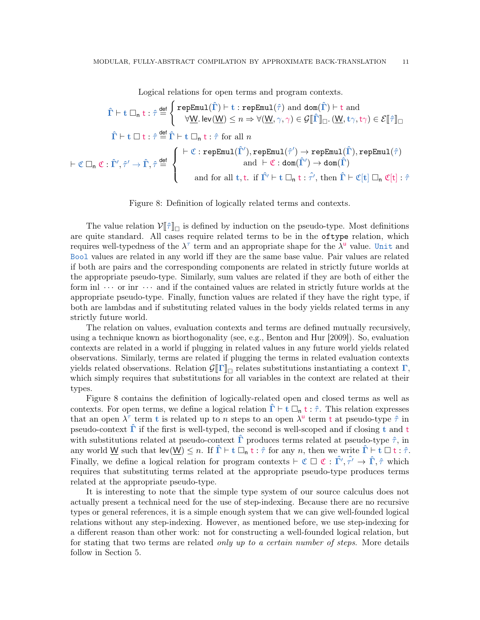Logical relations for open terms and program contexts.

$$
\hat{\Gamma} \vdash t \; \Box_n \; t : \hat{\tau} \stackrel{\text{def}}{=} \left\{ \begin{array}{l} \text{repEmul}(\hat{\Gamma}) \vdash t : \text{repEmul}(\hat{\tau}) \; \text{and} \; \text{dom}(\hat{\Gamma}) \vdash t \; \text{and} \\[2mm] \forall \underline{W}. \; \text{lev}(\underline{W}) \leq n \Rightarrow \forall (\underline{W}, \gamma, \gamma) \in \mathcal{G}[\![\hat{\Gamma}]\!]_{\Box}. \left(\underline{W}, t\gamma, t\gamma\right) \in \mathcal{E}[\![\hat{\tau}]\!]_{\Box} \\[2mm] \hat{\Gamma} \vdash t \; \Box \; t : \hat{\tau} \stackrel{\text{def}}{=} \hat{\Gamma} \vdash t \; \Box_n \; t : \hat{\tau} \; \text{for all} \; n \end{array} \right.
$$
\n
$$
\vdash \mathfrak{C} \; \Box_n \; \mathfrak{C} : \hat{\Gamma}', \hat{\tau}' \to \hat{\Gamma}, \hat{\tau} \stackrel{\text{def}}{=} \left\{ \begin{array}{l} \vdash \mathfrak{C} : \text{repEmul}(\hat{\Gamma}'), \text{repEmul}(\hat{\tau}') \to \text{repEmul}(\hat{\Gamma}), \text{repEmul}(\hat{\tau}) \\[2mm] \text{and} \; \vdash \mathfrak{C} : \text{dom}(\hat{\Gamma}') \to \text{dom}(\hat{\Gamma}) \end{array} \right.
$$
\n
$$
\text{and for all } t, t. \; \text{if} \; \hat{\Gamma'} \vdash t \; \Box_n \; t : \hat{\tau}', \text{ then} \; \hat{\Gamma} \vdash \mathfrak{C}[t] \; \Box_n \; \mathfrak{C}[t] : \hat{\tau}
$$

<span id="page-10-0"></span>Figure 8: Definition of logically related terms and contexts.

The value relation  $V[\hat{\tau}]_{\Box}$  is defined by induction on the pseudo-type. Most definitions which are quite standard. All cases require related terms to be in the oftype relation, which requires well-typedness of the  $\lambda^{\tau}$  term and an appropriate shape for the  $\lambda^{\mathsf{u}}$  value. Unit and Bool values are related in any world iff they are the same base value. Pair values are related if both are pairs and the corresponding components are related in strictly future worlds at the appropriate pseudo-type. Similarly, sum values are related if they are both of either the form inl  $\cdots$  or inr  $\cdots$  and if the contained values are related in strictly future worlds at the appropriate pseudo-type. Finally, function values are related if they have the right type, if both are lambdas and if substituting related values in the body yields related terms in any strictly future world.

The relation on values, evaluation contexts and terms are defined mutually recursively, using a technique known as biorthogonality (see, e.g., [Benton and Hur](#page-35-4) [\[2009\]](#page-35-4)). So, evaluation contexts are related in a world if plugging in related values in any future world yields related observations. Similarly, terms are related if plugging the terms in related evaluation contexts yields related observations. Relation  $\mathcal{G}[\![\Gamma]\!]_{\Box}$  relates substitutions instantiating a context  $\Gamma$ , which simply requires that substitutions for all variables in the context are related at their types.

Figure [8](#page-10-0) contains the definition of logically-related open and closed terms as well as contexts. For open terms, we define a logical relation  $\hat{\Gamma} \vdash t \square_n t : \hat{\tau}$ . This relation expresses that an open  $\lambda^{\tau}$  term t is related up to n steps to an open  $\lambda^{\mathsf{u}}$  term t at pseudo-type  $\hat{\tau}$  in pseudo-context  $\Gamma$  if the first is well-typed, the second is well-scoped and if closing t and t with substitutions related at pseudo-context  $\hat{\Gamma}$  produces terms related at pseudo-type  $\hat{\tau}$ , in any world <u>W</u> such that  $\text{lev}(\underline{W}) \leq n$ . If  $\hat{\Gamma} \vdash t \square_n t : \hat{\tau}$  for any n, then we write  $\hat{\Gamma} \vdash t \square t : \hat{\tau}$ . Finally, we define a logical relation for program contexts  $\vdash \mathfrak{C} \square \mathfrak{C} : \hat{\Gamma}', \hat{\tau}' \to \hat{\Gamma}, \hat{\tau}$  which requires that substituting terms related at the appropriate pseudo-type produces terms related at the appropriate pseudo-type.

It is interesting to note that the simple type system of our source calculus does not actually present a technical need for the use of step-indexing. Because there are no recursive types or general references, it is a simple enough system that we can give well-founded logical relations without any step-indexing. However, as mentioned before, we use step-indexing for a different reason than other work: not for constructing a well-founded logical relation, but for stating that two terms are related only up to a certain number of steps. More details follow in Section [5.](#page-14-0)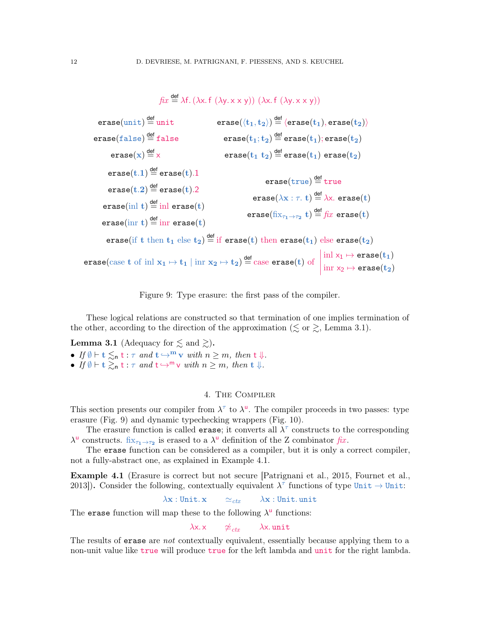$$
fix \stackrel{\text{def}}{=} \lambda f. (\lambda x. f (\lambda y. x x y)) (\lambda x. f (\lambda y. x x y))
$$
\n
$$
\text{erase}(\text{unit}) \stackrel{\text{def}}{=} \text{unit} \qquad \text{erase}(\langle t_1, t_2 \rangle) \stackrel{\text{def}}{=} \langle \text{erase}(t_1), \text{erase}(t_2) \rangle
$$
\n
$$
\text{erase}(\text{false}) \stackrel{\text{def}}{=} \text{false} \qquad \text{erase}(t_1; t_2) \stackrel{\text{def}}{=} \text{erase}(t_1); \text{erase}(t_2)
$$
\n
$$
\text{erase}(x) \stackrel{\text{def}}{=} x \qquad \text{erase}(t_1 \cdot t_2) \stackrel{\text{def}}{=} \text{erase}(t_1) \text{ erase}(t_2)
$$
\n
$$
\text{erase}(t.1) \stackrel{\text{def}}{=} \text{erase}(t).1 \qquad \text{erase}(\text{true}) \stackrel{\text{def}}{=} \text{true}
$$
\n
$$
\text{erase}(\text{init}) \stackrel{\text{def}}{=} \text{in} \text{erase}(t)
$$
\n
$$
\text{erase}(\text{init}) \stackrel{\text{def}}{=} \text{in} \text{erase}(t)
$$
\n
$$
\text{erase}(\text{init}) \stackrel{\text{def}}{=} \text{in} \text{erase}(t)
$$
\n
$$
\text{erase}(\text{first}) \stackrel{\text{def}}{=} \text{in} \text{erase}(t)
$$
\n
$$
\text{erase}(\text{first}) \stackrel{\text{def}}{=} \text{in} \text{erase}(t)
$$
\n
$$
\text{erase}(\text{first}) \stackrel{\text{def}}{=} \text{in} \text{erase}(t)
$$
\n
$$
\text{erase}(\text{first}) \stackrel{\text{def}}{=} \text{in} \text{erase}(t)
$$
\n
$$
\text{erase}(\text{first}) \stackrel{\text{def}}{=} \text{in} \text{rease}(t)
$$
\n
$$
\text{erase}(\text{first}) \stackrel{\text{def}}{=} \text{in} \text{rease}(t)
$$
\n
$$
\text{erase}(\text{first}) \stackrel{\text{def}}
$$

<span id="page-11-2"></span>Figure 9: Type erasure: the first pass of the compiler.

These logical relations are constructed so that termination of one implies termination of the other, according to the direction of the approximation ( $\lesssim$  or  $\gtrsim$ , Lemma [3.1\)](#page-11-1).

<span id="page-11-1"></span>**Lemma 3.1** (Adequacy for  $\lesssim$  and  $\gtrsim$ ).

• If  $\emptyset \vdash t \lesssim_n t : \tau$  and  $t \hookrightarrow^m v$  with  $n \geq m$ , then  $t \Downarrow$ . • If  $\emptyset \vdash t \gtrsim_{\mathsf{n}} t : \tau \text{ and } t \hookrightarrow^{\mathsf{m}} \mathsf{v} \text{ with } n \geq m, \text{ then } t \Downarrow.$ 

### 4. The Compiler

<span id="page-11-0"></span>This section presents our compiler from  $\lambda^{\tau}$  to  $\lambda^{\mathsf{u}}$ . The compiler proceeds in two passes: type erasure (Fig. [9\)](#page-11-2) and dynamic typechecking wrappers (Fig. [10\)](#page-12-0).

The erasure function is called **erase**; it converts all  $\lambda^{\tau}$  constructs to the corresponding  $\lambda^{\mathsf{u}}$  constructs.  $fix_{\tau_1\to\tau_2}$  is erased to a  $\lambda^{\mathsf{u}}$  definition of the Z combinator  $fix$ .

The erase function can be considered as a compiler, but it is only a correct compiler, not a fully-abstract one, as explained in Example [4.1.](#page-11-3)

<span id="page-11-3"></span>Example 4.1 (Erasure is correct but not secure [\[Patrignani et al., 2015,](#page-37-1) [Fournet et al.,](#page-36-2) [2013\]](#page-36-2)). Consider the following, contextually equivalent  $\lambda^{\tau}$  functions of type Unit  $\rightarrow$  Unit:

$$
\lambda {\bf x}: {\tt Unit}. \, {\bf x} \qquad \simeq_{ctx} \qquad \lambda {\bf x}: {\tt Unit}. \, {\tt unit}
$$

The erase function will map these to the following  $\lambda^{\mathsf{u}}$  functions:

$$
\lambda
$$
x. x  $\neq_{ctx}$   $\lambda$ x. unit

The results of erase are *not* contextually equivalent, essentially because applying them to a non-unit value like true will produce true for the left lambda and unit for the right lambda.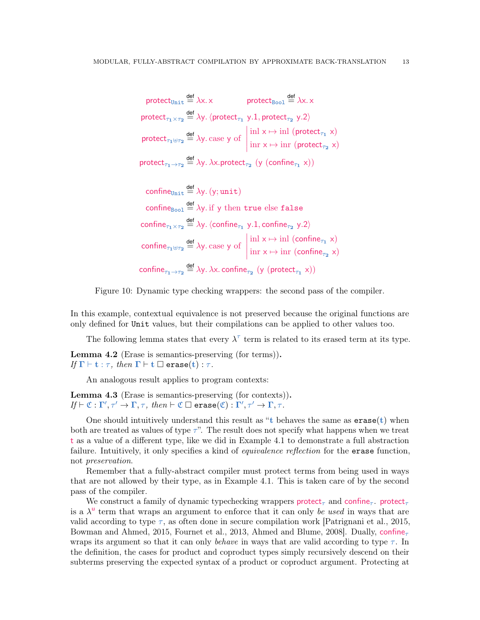$$
\text{protect}_{\text{Unit}} \stackrel{\text{def}}{=} \lambda x. \times \quad \text{protect}_{\text{Bool}} \stackrel{\text{def}}{=} \lambda x. \times
$$
\n
$$
\text{protect}_{\tau_1 \times \tau_2} \stackrel{\text{def}}{=} \lambda y. \langle \text{protect}_{\tau_1} y. 1, \text{protect}_{\tau_2} y. 2 \rangle
$$
\n
$$
\text{protect}_{\tau_1 \uplus \tau_2} \stackrel{\text{def}}{=} \lambda y. \text{ case } y \text{ of } \begin{vmatrix} \text{inl } x \mapsto \text{inl } (\text{protect}_{\tau_1} x) \\ \text{inr } x \mapsto \text{inr } (\text{protect}_{\tau_2} x) \end{vmatrix}
$$
\n
$$
\text{protect}_{\tau_1 \to \tau_2} \stackrel{\text{def}}{=} \lambda y. \lambda x. \text{protect}_{\tau_2} (y (\text{confine}_{\tau_1} x))
$$

 $\text{confidence}_{\text{Unit}} \stackrel{\text{def}}{=} \lambda y. (y; \text{unit})$ confine<sub>Bool</sub>  $\stackrel{\text{def}}{=} \lambda y$  if y then true else false confine $\tau_1 \times \tau_2 \stackrel{\text{def}}{=} \lambda$ y.  $\langle$ confine $\tau_1$  y.1, confine $\tau_2$  y.2 $\rangle$ confine<sub> $\tau_1 \oplus \tau_2 \stackrel{\text{def}}{=} \lambda$ y. case y of</sub>  $\text{inl } \times \mapsto \text{inl } (\text{continue}_{\tau_1} \times)$  $\text{im } x \mapsto \text{im } (\text{confidence}_{\tau_2} x)$ confine $\tau_1 \rightarrow \tau_2 \stackrel{\text{def}}{=} \lambda y$ .  $\lambda x$ . confine $\tau_2$  (y (protect $\tau_1$  x))

<span id="page-12-0"></span>

In this example, contextual equivalence is not preserved because the original functions are only defined for Unit values, but their compilations can be applied to other values too.

The following lemma states that every  $\lambda^{\tau}$  term is related to its erased term at its type.

<span id="page-12-1"></span>Lemma 4.2 (Erase is semantics-preserving (for terms)). If  $\Gamma \vdash \mathbf{t} : \tau$ , then  $\Gamma \vdash \mathbf{t} \ \square \ \mathtt{erase}(\mathbf{t}) : \tau$ .

An analogous result applies to program contexts:

<span id="page-12-2"></span>Lemma 4.3 (Erase is semantics-preserving (for contexts)).  $If \vdash \mathfrak{C} : \Gamma', \tau' \to \Gamma, \tau, \ then \vdash \mathfrak{C} \sqsupseteq \texttt{erase}(\mathfrak{C}) : \Gamma', \tau' \to \Gamma, \tau'.$ 

One should intuitively understand this result as "t behaves the same as  $\epsilon$  as  $(\epsilon)$  when both are treated as values of type  $\tau$ ". The result does not specify what happens when we treat t as a value of a different type, like we did in Example [4.1](#page-11-3) to demonstrate a full abstraction failure. Intuitively, it only specifies a kind of *equivalence reflection* for the **erase** function, not preservation.

Remember that a fully-abstract compiler must protect terms from being used in ways that are not allowed by their type, as in Example [4.1.](#page-11-3) This is taken care of by the second pass of the compiler.

We construct a family of dynamic typechecking wrappers protect<sub>r</sub> and confine<sub>r</sub>. protect<sub>r</sub> is a  $\lambda^{\mathsf{u}}$  term that wraps an argument to enforce that it can only be used in ways that are valid according to type  $\tau$ , as often done in secure compilation work [\[Patrignani et al., 2015,](#page-37-1) [Bowman and Ahmed, 2015,](#page-35-7) [Fournet et al., 2013,](#page-36-2) [Ahmed and Blume, 2008\]](#page-35-8). Dually, confine wraps its argument so that it can only behave in ways that are valid according to type  $\tau$ . In the definition, the cases for product and coproduct types simply recursively descend on their subterms preserving the expected syntax of a product or coproduct argument. Protecting at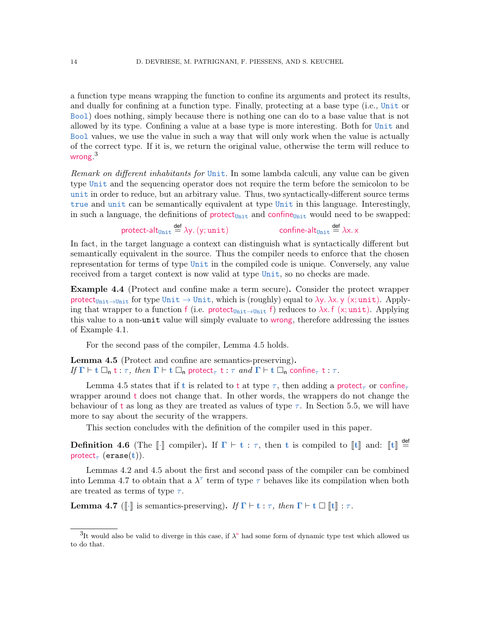a function type means wrapping the function to confine its arguments and protect its results, and dually for confining at a function type. Finally, protecting at a base type (i.e., Unit or Bool) does nothing, simply because there is nothing one can do to a base value that is not allowed by its type. Confining a value at a base type is more interesting. Both for Unit and Bool values, we use the value in such a way that will only work when the value is actually of the correct type. If it is, we return the original value, otherwise the term will reduce to wrong. $^3$  $^3$ 

Remark on different inhabitants for Unit. In some lambda calculi, any value can be given type Unit and the sequencing operator does not require the term before the semicolon to be unit in order to reduce, but an arbitrary value. Thus, two syntactically-different source terms true and unit can be semantically equivalent at type Unit in this language. Interestingly, in such a language, the definitions of  $\mathsf{protect}_{\mathsf{Unit}}$  and confine<sub>Unit</sub> would need to be swapped:

> protect-alt $_{\text{Unit}}\stackrel{\mathsf{def}}{=} \lambda$ y.  $(\mathsf{y};\mathsf{unit})$  confine-alt $_{\text{Unit}}$ confine-alt<sub>unit</sub>  $\stackrel{\text{def}}{=} \lambda x. x$

In fact, in the target language a context can distinguish what is syntactically different but semantically equivalent in the source. Thus the compiler needs to enforce that the chosen representation for terms of type Unit in the compiled code is unique. Conversely, any value received from a target context is now valid at type Unit, so no checks are made.

Example 4.4 (Protect and confine make a term secure). Consider the protect wrapper protect<sub>Unit→Unit</sub> for type Unit  $\rightarrow$  Unit, which is (roughly) equal to  $\lambda y$ .  $\lambda x$ . y (x; unit). Applying that wrapper to a function f (i.e. protect<sub>Unit→Unit</sub> f) reduces to  $\lambda x$ . f (x; unit). Applying this value to a non-unit value will simply evaluate to wrong, therefore addressing the issues of Example [4.1.](#page-11-3)

For the second pass of the compiler, Lemma [4.5](#page-13-1) holds.

<span id="page-13-1"></span>Lemma 4.5 (Protect and confine are semantics-preserving). If  $\Gamma \vdash t \Box_n t : \tau$ , then  $\Gamma \vdash t \Box_n$  protect<sub> $\tau$ </sub> t :  $\tau$  and  $\Gamma \vdash t \Box_n$  confine<sub> $\tau$ </sub> t :  $\tau$ .

Lemma [4.5](#page-13-1) states that if t is related to t at type  $\tau$ , then adding a protect<sub>r</sub> or confine<sub>t</sub> wrapper around t does not change that. In other words, the wrappers do not change the behaviour of t as long as they are treated as values of type  $\tau$ . In Section [5.5,](#page-21-0) we will have more to say about the security of the wrappers.

This section concludes with the definition of the compiler used in this paper.

<span id="page-13-3"></span>**Definition 4.6** (The  $\llbracket \cdot \rrbracket$  compiler). If  $\Gamma \vdash t : \tau$ , then t is compiled to  $\llbracket t \rrbracket$  and:  $\llbracket t \rrbracket \stackrel{\text{def}}{=}$ protect<sub> $\tau$ </sub> (erase(t)).

Lemmas [4.2](#page-12-1) and [4.5](#page-13-1) about the first and second pass of the compiler can be combined into Lemma [4.7](#page-13-2) to obtain that a  $\lambda^{\tau}$  term of type  $\tau$  behaves like its compilation when both are treated as terms of type  $\tau$ .

<span id="page-13-2"></span>**Lemma 4.7** ( $\llbracket \cdot \rrbracket$  is semantics-preserving). If  $\Gamma \vdash t : \tau$ , then  $\Gamma \vdash t \square \llbracket t \rrbracket : \tau$ .

<span id="page-13-0"></span><sup>&</sup>lt;sup>3</sup>It would also be valid to diverge in this case, if  $\lambda^{\mathsf{u}}$  had some form of dynamic type test which allowed us to do that.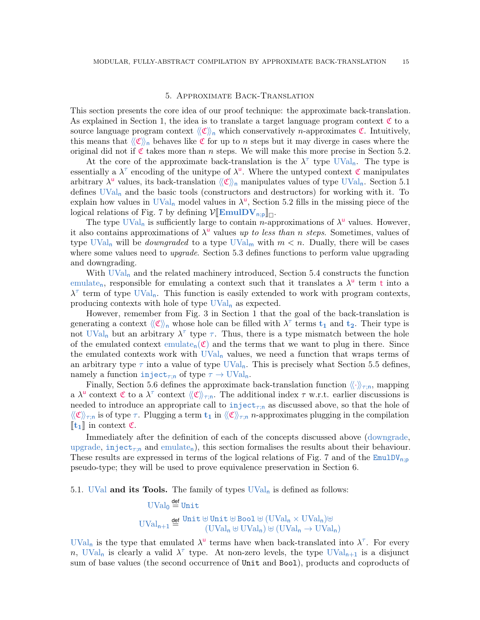### 5. Approximate Back-Translation

<span id="page-14-0"></span>This section presents the core idea of our proof technique: the approximate back-translation. As explained in Section [1,](#page-1-0) the idea is to translate a target language program context  $\mathfrak C$  to a source language program context  $\langle \mathfrak{C} \rangle$  which conservatively *n*-approximates  $\mathfrak{C}$ . Intuitively, this means that  $\langle\langle \mathfrak{C} \rangle\rangle$  behaves like  $\mathfrak C$  for up to n steps but it may diverge in cases where the original did not if  $\mathfrak C$  takes more than n steps. We will make this more precise in Section [5.2.](#page-16-0)

At the core of the approximate back-translation is the  $\lambda^{\tau}$  type UVal<sub>n</sub>. The type is essentially a  $\lambda^{\tau}$  encoding of the unitype of  $\lambda^{\mathsf{u}}$ . Where the untyped context  $\mathfrak{C}$  manipulates arbitrary  $\lambda^{\text{u}}$  values, its back-translation  $\langle\!\langle \mathfrak{C} \rangle\!\rangle_n$  manipulates values of type UVal<sub>n</sub>. Section [5.1](#page-14-1) defines  $UVal_n$  and the basic tools (constructors and destructors) for working with it. To explain how values in UVal<sub>n</sub> model values in  $\lambda^{\mathsf{u}}$ , Section [5.2](#page-16-0) fills in the missing piece of the logical relations of Fig. [7](#page-9-0) by defining  $V[\mathbf{EmulDV}_{n,p}]_{\Box}$ .<br>The type  $\text{HVol}_{n}$  is sufficiently large to contain n and

The type UVal<sub>n</sub> is sufficiently large to contain n-approximations of  $\lambda^{\mathsf{u}}$  values. However, it also contains approximations of  $\lambda^{\mathsf{u}}$  values up to less than n steps. Sometimes, values of type UVal<sub>n</sub> will be *downgraded* to a type UVal<sub>m</sub> with  $m < n$ . Dually, there will be cases where some values need to *upgrade*. Section [5.3](#page-18-1) defines functions to perform value upgrading and downgrading.

With  $\text{UVal}_n$  and the related machinery introduced, Section [5.4](#page-20-0) constructs the function emulate<sub>n</sub>, responsible for emulating a context such that it translates a  $\lambda^{\mathsf{u}}$  term t into a  $\lambda^{\tau}$  term of type UVal<sub>n</sub>. This function is easily extended to work with program contexts, producing contexts with hole of type  $UVal_n$  as expected.

However, remember from Fig. [3](#page-4-0) in Section [1](#page-1-0) that the goal of the back-translation is generating a context  $\langle\!\langle \mathfrak{C} \rangle\!\rangle_{\mathfrak{n}}$  whose hole can be filled with  $\lambda^{\tau}$  terms  $t_1$  and  $t_2$ . Their type is not UVal<sub>n</sub> but an arbitrary  $\lambda^{\tau}$  type  $\tau$ . Thus, there is a type mismatch between the hole of the emulated context emulate<sub>n</sub>( $\mathfrak{C}$ ) and the terms that we want to plug in there. Since the emulated contexts work with  $UVal_n$  values, we need a function that wraps terms of an arbitrary type  $\tau$  into a value of type UVal<sub>n</sub>. This is precisely what Section [5.5](#page-21-0) defines, namely a function inject<sub> $\tau$ ;n</sub> of type  $\tau \to \text{UVal}_n$ .

Finally, Section [5.6](#page-23-0) defines the approximate back-translation function  $\langle \cdot \rangle_{\tau:n}$ , mapping a  $\lambda^{\mathsf{u}}$  context  $\mathfrak{C}$  to a  $\lambda^{\tau}$  context  $\langle\!\langle \mathfrak{C} \rangle\!\rangle_{\tau;\mathsf{n}}$ . The additional index  $\tau$  w.r.t. earlier discussions is needed to introduce an appropriate call to inject<sub> $\tau$ in</sub> as discussed above, so that the hole of  $\langle\!\langle \mathfrak{C} \rangle\!\rangle_{\tau;\mathfrak{n}}$  is of type  $\tau$ . Plugging a term  $\mathfrak{t}_1$  in  $\langle\!\langle \mathfrak{C} \rangle\!\rangle_{\tau;\mathfrak{n}}$  *n*-approximates plugging in the compilation  $\llbracket \mathbf{t_1} \rrbracket$  in context  $\mathfrak{C}$ .

Immediately after the definition of each of the concepts discussed above (downgrade, upgrade, inject<sub> $\tau$ :n</sub> and emulate<sub>n</sub>), this section formalises the results about their behaviour. These results are expressed in terms of the logical relations of Fig. [7](#page-9-0) and of the  $EmulDV_{n,p}$ pseudo-type; they will be used to prove equivalence preservation in Section [6.](#page-24-0)

<span id="page-14-1"></span>5.1. UVal and its Tools. The family of types  $UVal_n$  is defined as follows:

 $\mathrm{UVal}_0 \stackrel{\mathsf{def}}{=} \mathtt{Unit}$  $\text{UVal}_{n+1} \stackrel{\text{def}}{=} \frac{\text{Unit} \oplus \text{Unit} \oplus \text{Bool} \oplus (\text{UVal}_n \times \text{UVal}_n) \oplus (\text{UVal}_n \oplus \text{IVal}_n)}{\text{IUV}_{n+1} \oplus \text{IIVal}_n \oplus (\text{IIVal}_n \oplus \text{IIVal}_n)}$  $(UVal_n \oplus UVal_n) \oplus (UVal_n \rightarrow UVal_n)$ 

UVal<sub>n</sub> is the type that emulated  $\lambda^{\mathsf{u}}$  terms have when back-translated into  $\lambda^{\tau}$ . For every n, UVal<sub>n</sub> is clearly a valid  $\lambda^{\tau}$  type. At non-zero levels, the type UVal<sub>n+1</sub> is a disjunct sum of base values (the second occurrence of Unit and Bool), products and coproducts of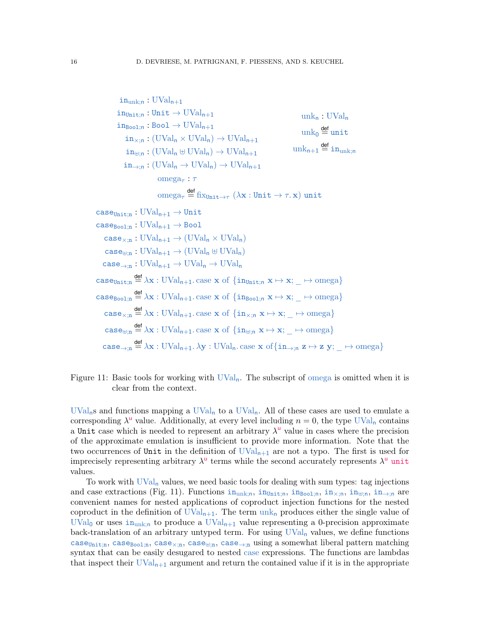$in_{unk:n} : UVal_{n+1}$  $in_{\text{Unit}:n} : \text{Unit} \rightarrow \text{UVal}_{n+1}$  $in_{Bool:n}:Bool \to UVal_{n+1}$  $in_{\times:n}$ : (UVal<sub>n</sub>  $\times$  UVal<sub>n</sub>)  $\rightarrow$  UVal<sub>n+1</sub>  $in_{\mathbb{H}:n} : (UVal_n \oplus UVal_n) \rightarrow UVal_{n+1}$  $in_{\rightarrow:n} : (UVal_n \to UVal_n) \to UVal_{n+1}$  $unk<sub>n</sub>: UVal<sub>n</sub>$  $\text{unk}_0 \stackrel{\mathsf{def}}{=} \text{unit}$  ${\rm unk}_{\mathsf{n}+1} \stackrel{\mathsf{def}}{=} {\tt in}_{{\rm unk};\mathsf{n}}$ omega $\tau : \tau$  $\mathrm{omega}_\tau \stackrel{\mathsf{def}}{=} \mathrm{fix}_{\mathtt{Unit} \to \tau}~ (\lambda \mathbf{x} : \mathtt{Unit} \to \tau.\, \mathbf{x}) \; \mathtt{unit}$  $\text{case}_{\text{Unit}:n}: \text{UVal}_{n+1} \rightarrow \text{Unit}$  $\texttt{case}_{\texttt{Rool:n}}: \text{UVal}_{\mathsf{n}+1} \to \texttt{Bool}$  $\text{case}_{\times: \mathfrak{n}} : \text{UVal}_{\mathfrak{n}+1} \to (\text{UVal}_{\mathfrak{n}} \times \text{UVal}_{\mathfrak{n}})$  $case_{\text{H}_{\text{in}}} : \text{UVal}_{n+1} \rightarrow (\text{UVal}_{n} \boxplus \text{UVal}_{n})$  $case_{\rightarrow n}: UVal_{n+1} \rightarrow UVal_n \rightarrow UVal_n$  $\texttt{case}_{\texttt{Unit};n} \stackrel{\text{def}}{=} \lambda \mathbf{x} : \text{UVal}_{n+1}$ . case  $\mathbf{x}$  of  $\{\texttt{in}_{\texttt{Unit};n} \; \mathbf{x} \mapsto \mathbf{x}; \_\rightarrow \text{omega}\}$ case<sub>Bool;n</sub>  $\frac{def}{=} \lambda x : UVal_{n+1}$ . case x of  $\{in_{Bool;n} x \mapsto x; \_ \mapsto \text{omega}\}$  $\texttt{case}_{\times; \mathbf{n}} \stackrel{\text{def}}{=} \lambda \mathbf{x} : \text{UVal}_{\mathbf{n+1}}.\text{case } \mathbf{x} \text{ of } \{\texttt{in}_{\times; \mathbf{n}} \mathbf{x} \mapsto \mathbf{x}; \_ \rightarrow \text{omega} \}$  $\texttt{case}_{\forall;n} \stackrel{\text{def}}{=} \lambda \mathbf{x} : \text{UVal}_{n+1}$ . case  $\mathbf{x}$  of  $\{\texttt{in}_{\forall;n} \mathbf{x} \mapsto \mathbf{x}; \_ \mapsto \text{omega}\}$  $\texttt{case}_{\rightarrow;\texttt{n}} \stackrel{\text{def}}{=} \lambda \mathbf{x} : \text{UVal}_{\texttt{n+1}}.\lambda \mathbf{y} : \text{UVal}_{\texttt{n}}.\text{case } \mathbf{x} \text{ of}\{\texttt{in}_{\rightarrow;\texttt{n}} \mathbf{z} \mapsto \mathbf{z} \text{ } \mathbf{y}; \_ \rightarrow \text{omega}\}$ 

<span id="page-15-0"></span>Figure 11: Basic tools for working with  $UVal_n$ . The subscript of omega is omitted when it is clear from the context.

 $UVal<sub>n</sub>s$  and functions mapping a  $UVal<sub>n</sub>$  to a  $UVal<sub>n</sub>$ . All of these cases are used to emulate a corresponding  $\lambda^{\mathsf{u}}$  value. Additionally, at every level including  $n = 0$ , the type UVal<sub>n</sub> contains a Unit case which is needed to represent an arbitrary  $\lambda^{\mathsf{u}}$  value in cases where the precision of the approximate emulation is insufficient to provide more information. Note that the two occurrences of Unit in the definition of  $UVal_{n+1}$  are not a typo. The first is used for imprecisely representing arbitrary  $\lambda^{\mathsf{u}}$  terms while the second accurately represents  $\lambda^{\mathsf{u}}$  unit values.

To work with  $UVaI_n$  values, we need basic tools for dealing with sum types: tag injections and case extractions (Fig. [11\)](#page-15-0). Functions  $i n_{unk:n}$ ,  $i n_{Unit:n}$ ,  $i n_{Bool:n}$ ,  $i n_{\#;n}$ ,  $i n_{\#;n}$ , are convenient names for nested applications of coproduct injection functions for the nested coproduct in the definition of  $UVal_{n+1}$ . The term  $unk_n$  produces either the single value of UVal<sub>0</sub> or uses in<sub>unk;n</sub> to produce a UVal<sub>n+1</sub> value representing a 0-precision approximate back-translation of an arbitrary untyped term. For using  $UVal_n$  values, we define functions case<sub>Unit;n</sub>, case<sub>Bool;n</sub>, case<sub>×;n</sub>, case<sub>⊎;n</sub>, case<sub>→;n</sub> using a somewhat liberal pattern matching syntax that can be easily desugared to nested case expressions. The functions are lambdas that inspect their  $\text{UVal}_{n+1}$  argument and return the contained value if it is in the appropriate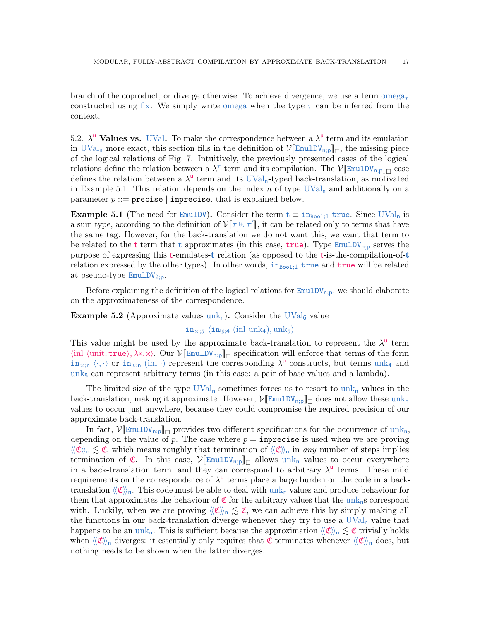branch of the coproduct, or diverge otherwise. To achieve divergence, we use a term omega<sub>r</sub> constructed using fix. We simply write omega when the type  $\tau$  can be inferred from the context.

<span id="page-16-0"></span>5.2.  $\lambda^{\mathsf{u}}$  Values vs. UVal. To make the correspondence between a  $\lambda^{\mathsf{u}}$  term and its emulation in  $\text{UVal}_n$  more exact, this section fills in the definition of  $\mathcal{V}[\text{EmulDV}_{n,p}]]_{\Box}$ , the missing piece<br>of the logical relations of Fig. 7. Intuitively, the provincial proported cases of the logical of the logical relations of Fig. [7.](#page-9-0) Intuitively, the previously presented cases of the logical relations define the relation between a  $\lambda^{\tau}$  term and its compilation. The  $\mathcal{V}[\mathbb{E}_{\text{mulDV}_{n,p}}]_{\square}$  case defines the relation between a  $\lambda^{\mathsf{u}}$  term and its UVal<sub>n</sub>-typed back-translation, as motivated in Example [5.1.](#page-16-1) This relation depends on the index  $n$  of type UVal<sub>n</sub> and additionally on a parameter  $p ::= \texttt{precise} \mid \texttt{imprecise}$ , that is explained below.

<span id="page-16-1"></span>**Example 5.1** (The need for EmulDV). Consider the term  $t \equiv in_{\text{Bool};1}$  true. Since UVal<sub>n</sub> is a sum type, according to the definition of  $V[\tau \oplus \tau']$ , it can be related only to terms that have<br>the same tag. However, for the back translation we do not want this, we want that term to the same tag. However, for the back-translation we do not want this, we want that term to be related to the t term that t approximates (in this case,  $true$ ). Type EmulDV<sub>n;p</sub> serves the purpose of expressing this t-emulates-t relation (as opposed to the t-is-the-compilation-of-t relation expressed by the other types). In other words,  $i_{\text{Boo1}:1}$  true and true will be related at pseudo-type  $EmulDV<sub>2p</sub>$ .

Before explaining the definition of the logical relations for  $EmulDV<sub>n;p</sub>$ , we should elaborate on the approximateness of the correspondence.

**Example 5.2** (Approximate values unk<sub>n</sub>). Consider the UVal<sub>6</sub> value

 $in_{\times;5}$  (in<sub>ttin</sub> (inl unk<sub>4</sub>), unk<sub>5</sub>)

This value might be used by the approximate back-translation to represent the  $\lambda^{\mathsf{u}}$  term  $\langle \text{inl } \langle \text{unit}, \text{true} \rangle, \lambda x. x \rangle$ . Our  $\mathcal{V}[\mathbb{E}\text{mult}V_{n,p}]\$  specification will enforce that terms of the form  $\text{in}_{\times; \text{n}} \langle \cdot, \cdot \rangle$  or  $\text{in}_{\text{min}}$  (inl ·) represent the corresponding  $\lambda^{\text{u}}$  constructs, but terms unk<sub>4</sub> and unk<sub>5</sub> can represent arbitrary terms (in this case: a pair of base values and a lambda).

The limited size of the type  $\text{UVal}_n$  sometimes forces us to resort to  $\text{unk}_n$  values in the back-translation, making it approximate. However,  $V[\mathbb{E}\text{mulV}_{n,p}]_{\Box}$  does not allow these  $\text{unk}_n$ <br>values to equivalent approximate because they quild compromise the required provision of our values to occur just anywhere, because they could compromise the required precision of our approximate back-translation.

In fact,  $\mathcal{V}[\mathbb{E}_{m} \cup \text{Div}_{n,p}]_{\Box}$  provides two different specifications for the occurrence of unk<sub>n</sub>, depending on the value of p. The case where  $p = \text{imprecise}$  is used when we are proving  $\langle\langle \mathfrak{C} \rangle\rangle_n \lesssim \mathfrak{C}$ , which means roughly that termination of  $\langle\langle \mathfrak{C} \rangle\rangle_n$  in any number of steps implies termination of  $\mathfrak{C}$ . In this case,  $\mathcal{V}[\mathbb{E} \text{mult}_{n,p}]_{\Box}$  allows unk<sub>n</sub> values to occur everywhere in a back-translation term, and they can correspond to arbitrary  $\lambda^{\mathsf{u}}$  terms. These mild requirements on the correspondence of  $\lambda^{\mathsf{u}}$  terms place a large burden on the code in a backtranslation  $\langle \mathfrak{C} \rangle_{\mathfrak{n}}$ . This code must be able to deal with unk<sub>n</sub> values and produce behaviour for them that approximates the behaviour of  $\mathfrak{C}$  for the arbitrary values that the unk<sub>n</sub>s correspond with. Luckily, when we are proving  $\langle\!\langle \mathfrak{C} \rangle\!\rangle_n \lesssim \mathfrak{C}$ , we can achieve this by simply making all the functions in our back-translation diverge whenever they try to use a  $UVal_n$  value that happens to be an unk<sub>n</sub>. This is sufficient because the approximation  $\langle\langle \mathfrak{C} \rangle\rangle_n \lesssim \mathfrak{C}$  trivially holds when  $\langle\!\langle \mathfrak{C} \rangle\!\rangle_n$  diverges: it essentially only requires that C terminates whenever  $\langle\!\langle \mathfrak{C} \rangle\!\rangle_n$  does, but nothing needs to be shown when the latter diverges.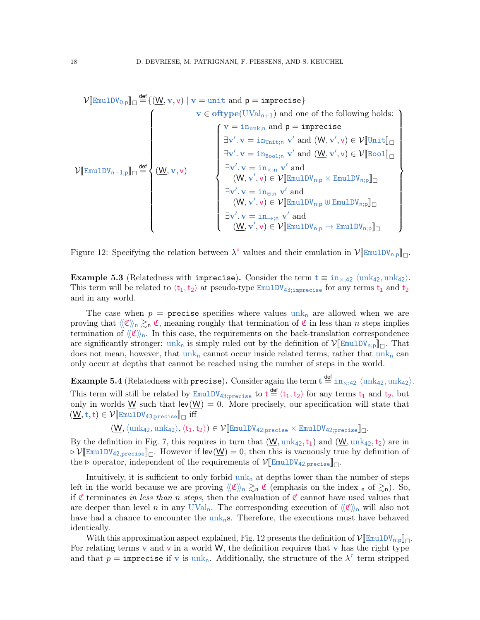$$
\mathcal{V}[\texttt{EmulDV}_{0;p}]\Box\stackrel{\text{def}}{=}\{(\underline{W},v,v)\mid v=\texttt{unit and }p=\texttt{imprecise}\}\\ \begin{cases} v\in\texttt{oftype}(UVal_{n+1})\text{ and one of the following holds:} \\ (v=\texttt{in}_{unk;n}\text{ and }p=\texttt{imprecise} \\ \exists v'.\ v=\texttt{in}_{Unit;n}\ v'\text{ and }(\underline{W},v',v)\in\mathcal{V}[\texttt{Unit}]\Box\\ \exists v'.\ v=\texttt{in}_{Bool;n}\ v'\text{ and }(\underline{W},v',v)\in\mathcal{V}[\texttt{Bool}]\Box\\ \exists v'.\ v=\texttt{in}_{x;n}\ v'\text{ and }\\ (\underline{W},v',v)\in\mathcal{V}[\texttt{EmulDV}_{n;p}\times\texttt{EmulDV}_{n;p}]\Box\\ \exists v'.\ v=\texttt{in}_{\forall j,n}\ v'\text{ and }\\ (\underline{W},v',v)\in\mathcal{V}[\texttt{EmulDV}_{n;p}\oplus\texttt{EmulDV}_{n;p}]\Box\\ \exists v'.\ v=\texttt{in}_{\rightarrow jn}\ v'\text{ and }\\ (\underline{W},v',v)\in\mathcal{V}[\texttt{EmulDV}_{n;p}\rightarrow\texttt{EmulDV}_{n;p}]\Box \end{cases}
$$

<span id="page-17-0"></span>Figure 12: Specifying the relation between  $\lambda^{\mathsf{u}}$  values and their emulation in  $\mathcal{V}[\mathsf{EmulDV}_{\mathsf{n};\mathsf{p}}]_{\square}$ .

**Example 5.3** (Relatedness with imprecise). Consider the term  $\mathbf{t} \equiv \text{in}_{\times;42} \langle \text{unk}_{42}, \text{unk}_{42} \rangle$ . This term will be related to  $\langle t_1,t_2 \rangle$  at pseudo-type EmulDV<sub>43;imprecise</sub> for any terms  $t_1$  and  $t_2$ and in any world.

The case when  $p =$  precise specifies where values unk<sub>n</sub> are allowed when we are proving that  $\langle\!\langle \mathfrak{C} \rangle\!\rangle_n \gtrsim_n \mathfrak{C}$ , meaning roughly that termination of  $\mathfrak{C}$  in less than n steps implies termination of  $\langle\!\langle \mathfrak{C} \rangle\!\rangle_{\mathfrak{n}}$ . In this case, the requirements on the back-translation correspondence are significantly stronger:  $unk_n$  is simply ruled out by the definition of  $\mathcal{V}[\mathbb{E}\text{mulDV}_{n;p}]_n$ . That does not mean, however, that unk, cannot escur inside related terms, rather that unk, can does not mean, however, that  $unk_n$  cannot occur inside related terms, rather that  $unk_n$  can only occur at depths that cannot be reached using the number of steps in the world.

**Example 5.4** (Relatedness with precise). Consider again the term  $\mathbf{t} \stackrel{\text{def}}{=} \text{in}_{\times;42}$   $\langle \text{unk}_{42}, \text{unk}_{42} \rangle$ . This term will still be related by  $\text{EmulDV}_{43;\text{precise}}$  to  $t \stackrel{\text{def}}{=} \langle t_1, t_2 \rangle$  for any terms  $t_1$  and  $t_2$ , but only in worlds  $\underline{W}$  such that  $lev(\underline{W}) = 0$ . More precisely, our specification will state that  $(\underline{\mathsf{W}},\mathbf{t},\mathbf{t})\in\mathcal{V}[\texttt{EmulDV}_{43;\texttt{precise}}]_{\square}$  iff

 $(\mathsf{W},\langle \mathrm{unk}_{42}, \mathrm{unk}_{42}\rangle,\langle t_1,t_2\rangle) \in \mathcal{V}$ [EmulDV<sub>42;precise</sub>  $\times$  EmulDV<sub>42;precise</sub>]<sub>[1</sub>.

By the definition in Fig. [7,](#page-9-0) this requires in turn that  $(\underline{W}, \text{unk}_{42}, t_1)$  and  $(\underline{W}, \text{unk}_{42}, t_2)$  are in  $\mathcal{P}[\mathbb{E}_{\text{mult}}]$   $\mathcal{P}[\mathbb{E}_{\text{mult}}]$  and  $\mathcal{P}[\mathbb{E}_{\text{mult}}]$ . However if  $\text{lev}(\underline{W}) = 0$ , then this is vacuously true by definition of the  $\triangleright$  operator, independent of the requirements of  $\mathcal{V}[\mathbb{E}\text{mulDV}_{42,\text{precise}}]_{\square}$ .

Intuitively, it is sufficient to only forbid  $unk_n$  at depths lower than the number of steps left in the world because we are proving  $\langle\!\langle \mathfrak{C} \rangle\!\rangle_{\mathfrak{n}} \gtrsim_{\mathfrak{n}} \mathfrak{C}$  (emphasis on the index  $_{\mathfrak{n}}$  of  $\gtrsim_{\mathfrak{n}}$ ). So, if C terminates in less than n steps, then the evaluation of C cannot have used values that are deeper than level n in any UVal<sub>n</sub>. The corresponding execution of  $\langle\langle \mathfrak{C} \rangle\rangle$ <sub>n</sub> will also not have had a chance to encounter the  $\text{unk}_n$ s. Therefore, the executions must have behaved identically.

With this approximation aspect explained, Fig. [12](#page-17-0) presents the definition of  $\mathcal{V}[\mathbb{E}\text{mulD}V_{n;p}]\Box$ For relating terms v and v in a world W, the definition requires that v has the right type and that  $p = \text{imprecise if } v \text{ is unknown.}$  Additionally, the structure of the  $\lambda^{\tau}$  term stripped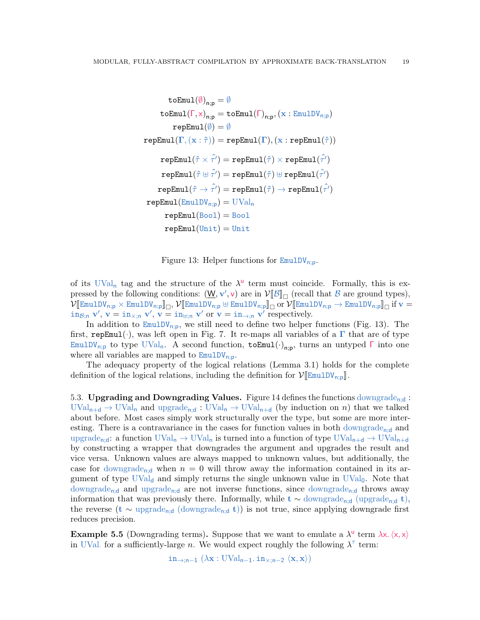$$
\begin{aligned} &\texttt{toEmul}(\emptyset)_{n;p} = \emptyset \\ &\texttt{toEmul}(\Gamma, \times)_{n;p} = \texttt{toEmul}(\Gamma)_{n;p}, (\texttt{x}: \texttt{EmulD}\texttt{V}_{n;p}) \\ &\texttt{repEmul}(\emptyset) = \emptyset \\ &\texttt{repEmul}(\Gamma, (\texttt{x}:\hat{\tau})) = \texttt{repEmul}(\Gamma), (\texttt{x}: \texttt{repEmul}(\hat{\tau})) \\ &\texttt{repEmul}(\hat{\tau} \times \hat{\tau'}) = \texttt{repEmul}(\hat{\tau}) \times \texttt{repEmul}(\hat{\tau'}) \\ &\texttt{repEmul}(\hat{\tau} \oplus \hat{\tau'}) = \texttt{repEmul}(\hat{\tau}) \oplus \texttt{repEmul}(\hat{\tau'}) \\ &\texttt{repEmul}(\hat{\tau} \rightarrow \hat{\tau'}) = \texttt{repEmul}(\hat{\tau}) \rightarrow \texttt{repEmul}(\hat{\tau'}) \\ &\texttt{repEmul}(\texttt{EmulD}\texttt{V}_{n;p}) = \text{UVal}_n \\ &\texttt{repEmul}(\text{Bool}) = \text{Bool} \\ &\texttt{repEmul}(\text{Unit}) = \text{Unit} \end{aligned}
$$

<span id="page-18-0"></span>Figure 13: Helper functions for  $\text{EmulDV}_{n:p}$ .

of its UVal<sub>n</sub> tag and the structure of the  $\lambda^{\mathsf{u}}$  term must coincide. Formally, this is expressed by the following conditions:  $(\underline{W}, \mathbf{v}', \mathbf{v})$  are in  $V[\mathcal{B}]]_{\square}$  (recall that  $B$  are ground types),<br> $V^{[\Gamma_{m+1}, \Gamma_{M}]}_{\square_{m+1}, \square_{M}} \times F_{m+1}^{[\Gamma_{m+1}, \Gamma_{M}]} \mathbb{I}_{\square_{m+1}, \square_{M+1}}^{[\Gamma_{m+1}, \Gamma_{M+1}, \square_{M+1}]_{\square_{M+1}}^{[\Gamma_{m$  $\mathcal{V}[\mathbb{E} \text{mult} V_{n;p} \times \mathbb{E} \text{mult} V_{n;p}]]_{\Box}, \mathcal{V}[\mathbb{E} \text{mult} V_{n;p} \oplus \mathbb{E} \text{mult} V_{n;p}]]_{\Box} \text{ or } \mathcal{V}[\mathbb{E} \text{mult} V_{n;p} \rightarrow \mathbb{E} \text{mult} V_{n;p}]]_{\Box} \text{ if } v = \text{index } \mathcal{V} \text{ and } \mathcal{V}' \text{ is a } \mathcal{V}' \text{ is a } \mathcal{V}' \text{ is a } \mathcal{V}' \text{ is a } \mathcal{V}' \text$  $\sin_{\beta; n} v', v = \sin_{\alpha; n} v', v = \sin_{\beta; n} v'$  or  $v = \sin_{\beta; n} v'$  respectively.

In addition to  $\text{EmulDV}_{n;p}$ , we still need to define two helper functions (Fig. [13\)](#page-18-0). The first, repEmul( $\cdot$ ), was left open in Fig. [7.](#page-9-0) It re-maps all variables of a  $\Gamma$  that are of type EmulDV<sub>n;p</sub> to type UVal<sub>n</sub>. A second function,  $\texttt{toEmul}(\cdot)_{n;p}$ , turns an untyped  $\Gamma$  into one where all variables are mapped to  $EmulDV_{n;p}$ .

The adequacy property of the logical relations (Lemma [3.1\)](#page-11-1) holds for the complete definition of the logical relations, including the definition for  $V[\mathbb{E}_{\text{mulDV}_{n;p}}]$ .

<span id="page-18-1"></span>5.3. Upgrading and Downgrading Values. Figure [14](#page-19-0) defines the functions downgrade<sub>nid</sub>:  $\text{UVal}_{n+d} \to \text{UVal}_n$  and upgrade<sub>n:d</sub> :  $\text{UVal}_n \to \text{UVal}_{n+d}$  (by induction on n) that we talked about before. Most cases simply work structurally over the type, but some are more interesting. There is a contravariance in the cases for function values in both downgrade<sub>n;d</sub> and upgrade<sub>n;d</sub>: a function  $UVal_n \to UVal_n$  is turned into a function of type  $UVal_{n+d} \to UVal_{n+d}$ by constructing a wrapper that downgrades the argument and upgrades the result and vice versa. Unknown values are always mapped to unknown values, but additionally, the case for downgrade<sub>n;d</sub> when  $n = 0$  will throw away the information contained in its argument of type  $UVal_d$  and simply returns the single unknown value in  $UVal_0$ . Note that downgrade<sub>n;d</sub> and upgrade<sub>n;d</sub> are not inverse functions, since downgrade<sub>n;d</sub> throws away information that was previously there. Informally, while  $t \sim$  downgrade<sub>n:d</sub> (upgrade<sub>n;d</sub> t), the reverse (t  $\sim$  upgrade<sub>n:d</sub> (downgrade<sub>n;d</sub> t)) is not true, since applying downgrade first reduces precision.

<span id="page-18-2"></span>**Example 5.5** (Downgrading terms). Suppose that we want to emulate a  $\lambda^{\mathsf{u}}$  term  $\lambda x. \langle x, x \rangle$ in UVal. for a sufficiently-large n. We would expect roughly the following  $\lambda^{\tau}$  term:

 $in_{\rightarrow:n-1} (\lambda x : UVal_{n-1}. in_{\times:n-2} \langle x, x \rangle)$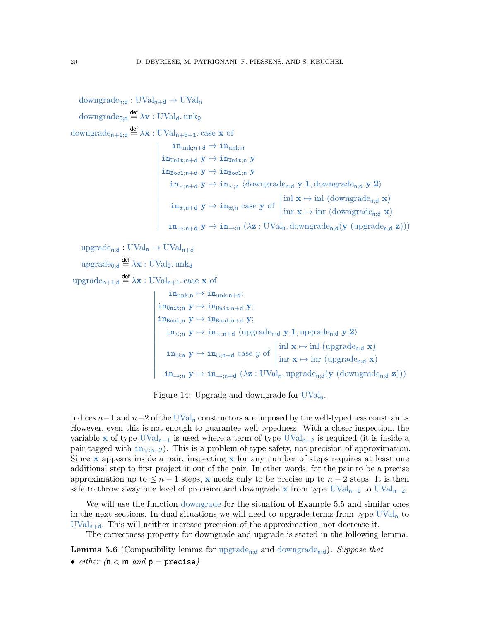$downgrade_{n,d}: UVal_{n+d} \rightarrow UVal_n$ 

downgrade<sub>0;d</sub>  $\stackrel{\mathsf{def}}{=} \lambda \mathbf{v} : UVal_{d}$ . unk<sub>0</sub>

downgrade<sub>n+1;d</sub>  $\stackrel{\text{def}}{=} \lambda \mathbf{x} : UVal_{n+d+1}$ . case  $\mathbf{x}$  of

 

 $\frac{1}{2}$ 

```
i = \text{in}_{\text{unk};n+d} \mapsto \text{in}_{\text{unk};n}\left| \text{in}_{\text{Unit};n+d} \ y \mapsto \text{in}_{\text{Unit};n} \ y\begin{cases} \n\frac{1110 \text{nit};\text{n+d}}{110001;\text{n+d}} \text{y} \mapsto \text{in}_{\text{Bool};\text{n}} \text{y} \n\end{cases}in_{\times; n+d} y \mapsto in_{\times; n} (downgrade<sub>n;d</sub> y.1, downgrade<sub>n;d</sub> y.2)
         in_{\text{min+d}} y \mapsto in_{\text{min}} case y of
                                                                                    

                                                                                     inl \mathbf{x} \mapsto \text{inl} (downgrade<sub>n;d</sub> \mathbf{x})
                                                                                      \text{inr } \mathbf{x} \mapsto \text{inr } (\text{downgrade}_{n;\mathbf{d}} \mathbf{x})in_{\rightarrow; n+d} y \mapsto in_{\rightarrow; n} (\lambda z : UVal_n. downgrade<sub>n;d</sub>(y (upgrade<sub>n;d</sub> z)))
```

```
\text{upgrade}_{n:d}: \text{UVal}_n \to \text{UVal}_{n+d}
```
upgrade<sub>0;d</sub>  $\stackrel{\mathsf{def}}{=} \lambda \mathbf{x} : \text{UVal}_0$ . unk<sub>d</sub>

upgrade<sub>n+1;d</sub>  $\stackrel{\text{def}}{=} \lambda \mathbf{x} : \text{UVal}_{n+1}$ . case  $\mathbf{x}$  of

 $\overline{\phantom{a}}$ I  $\mathsf{I}$ I  $\mathsf{I}$ I I  $\mathsf{I}$ I  $\mathsf{I}$ I  $\mathsf{I}$ I  $\mathsf{I}$ I  $\mathsf{I}$  $\mathsf{l}$ 

$$
\begin{aligned} &\text{in}_{\text{unk};n} \mapsto \text{in}_{\text{unk};n+d};\\ &\text{in}_{\text{Unit};n} \ y \mapsto \text{in}_{\text{Unit};n+d} \ y;\\ &\text{in}_{\text{Bool};n} \ y \mapsto \text{in}_{\text{Bool};n+d} \ y;\\ &\text{in}_{\times;n} \ y \mapsto \text{in}_{\times;n+d} \ \langle \text{upgrade}_{n;d} \ y.1, \text{upgrade}_{n;d} \ y.2 \rangle\\ &\text{in}_{\uplus;n} \ y \mapsto \text{in}_{\uplus;n+d} \ \text{case} \ y \ \text{of} \ \begin{vmatrix} \text{inl} \ x \mapsto \text{inl} \ (\text{upgrade}_{n;d} \ x) \\ \text{inr} \ x \mapsto \text{inr} \ (\text{upgrade}_{n;d} \ x) \\ \text{inr} \ x \mapsto \text{inr} \ (\text{upgrade}_{n;d} \ x) \end{vmatrix}\\ &\text{in}_{\rightarrow;n} \ y \mapsto \text{in}_{\rightarrow;n+d} \ (\lambda z: \text{UVal}_n.\ \text{upgrade}_{n;d}(y \ (\text{downgrade}_{n;d} \ z))) \end{aligned}
$$

Figure 14: Upgrade and downgrade for UValn.

<span id="page-19-0"></span>Indices  $n-1$  and  $n-2$  of the UVal<sub>n</sub> constructors are imposed by the well-typedness constraints. However, even this is not enough to guarantee well-typedness. With a closer inspection, the variable x of type  $UVal_{n-1}$  is used where a term of type  $UVal_{n-2}$  is required (it is inside a pair tagged with  $in_{\times; n-2}$ ). This is a problem of type safety, not precision of approximation. Since x appears inside a pair, inspecting x for any number of steps requires at least one additional step to first project it out of the pair. In other words, for the pair to be a precise approximation up to  $\leq n-1$  steps, x needs only to be precise up to  $n-2$  steps. It is then safe to throw away one level of precision and downgrade x from type  $\text{UVal}_{n-1}$  to  $\text{UVal}_{n-2}$ .

We will use the function downgrade for the situation of Example [5.5](#page-18-2) and similar ones in the next sections. In dual situations we will need to upgrade terms from type  $\text{UVal}_n$  to  $UVal_{n+d}$ . This will neither increase precision of the approximation, nor decrease it.

The correctness property for downgrade and upgrade is stated in the following lemma.

<span id="page-19-1"></span>**Lemma 5.6** (Compatibility lemma for upgrade<sub>nid</sub> and downgrade<sub>nid</sub>). Suppose that • either  $(n < m$  and  $p =$  precise)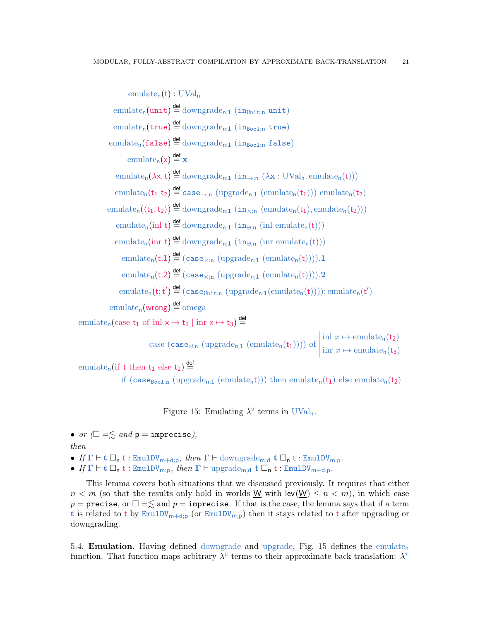$$
\text{emulate}_{n}(t): \text{UVal}_{n}
$$
\n
$$
\text{emulate}_{n}(\text{unit}) \stackrel{\text{def}}{=} \text{downgrade}_{n;1} (\text{in}_{\text{Bool},n} \text{unit})
$$
\n
$$
\text{emulate}_{n}(\text{false}) \stackrel{\text{def}}{=} \text{downgrade}_{n;1} (\text{in}_{\text{Bool},n} \text{true})
$$
\n
$$
\text{emulate}_{n}(\text{false}) \stackrel{\text{def}}{=} \text{downgrade}_{n;1} (\text{in}_{\text{Bool},n} \text{false})
$$
\n
$$
\text{emulate}_{n}(x) \stackrel{\text{def}}{=} x
$$
\n
$$
\text{emulate}_{n}(\lambda x, t) \stackrel{\text{def}}{=} \text{downgrade}_{n;1} (\text{in}_{\rightarrow;n} (\lambda x: \text{UVal}_{n}, \text{emulate}_{n}(t)))
$$
\n
$$
\text{emulate}_{n}(\lambda x, t) \stackrel{\text{def}}{=} \text{downgrade}_{n;1} (\text{in}_{\rightarrow;n} (\lambda x: \text{UVal}_{n}, \text{emulate}_{n}(t)))
$$
\n
$$
\text{emulate}_{n}(\text{tr } t_{2}) \stackrel{\text{def}}{=} \text{downgrade}_{n;1} (\text{in}_{\times;n} (\text{emulate}_{n}(t_{1})), \text{emulate}_{n}(t_{2})))
$$
\n
$$
\text{emulate}_{n}(\text{int } t) \stackrel{\text{def}}{=} \text{downgrade}_{n;1} (\text{in}_{\text{lin}} \text{in} \text{in} \text{mult}_n(t)))
$$
\n
$$
\text{emulate}_{n}(\text{int } t) \stackrel{\text{def}}{=} (\text{case}_{\times;n} (\text{upgrade}_{n;1} (\text{emulate}_{n}(t)))) .1
$$
\n
$$
\text{emulate}_{n}(t.2) \stackrel{\text{def}}{=} (\text{case}_{\times;n} (\text{upgrade}_{n;1} (\text{emulate}_{n}(t)))) .2
$$
\n
$$
\text{emulate}_{n}(t; t') \stackrel{\text{def}}{=} (\text{case}_{\text{Unit}} (\text{upgrade}_{n;1} (\text{emulate}_{n}(t)))) ; \text{emulate}_{n}(t')
$$
\n
$$
\text{emulate}_{n}(\text{wrong}) \stackrel{\text{def}}{=}
$$

emulate<sub>n</sub> (if t then  $t_1$  else  $t_2$ )  $\stackrel{\text{def}}{=}$ 

if (case<sub>Bool;n</sub> (upgrade<sub>n;1</sub> (emulate<sub>n</sub>t))) then emulate<sub>n</sub>(t<sub>1</sub>) else emulate<sub>n</sub>(t<sub>2</sub>)

<span id="page-20-1"></span>Figure 15: Emulating  $\lambda^{\mathsf{u}}$  terms in UVal<sub>n</sub>.

• or  $(\Box = \leq$  and  $p =$  imprecise),

## then

- If  $\Gamma \vdash t \Box_n t : \text{EmulDV}_{m+d;p}$ , then  $\Gamma \vdash \text{downgrade}_{m;d}$  t  $\Box_n t : \text{EmulDV}_{m;p}$ .
- If  $\Gamma \vdash t \Box_n t : \text{EmulDV}_{m;p}$ , then  $\Gamma \vdash \text{upgrade}_{m;d} t \Box_n t : \text{EmulDV}_{m+d;p}$ .

This lemma covers both situations that we discussed previously. It requires that either  $n < m$  (so that the results only hold in worlds W with lev(W)  $\leq n < m$ ), in which case  $p =$  precise, or  $\Box = \leq$  and  $p =$  imprecise. If that is the case, the lemma says that if a term t is related to t by  $\text{EmulDV}_{m+d;p}$  (or  $\text{EmulDV}_{m;p}$ ) then it stays related to t after upgrading or downgrading.

<span id="page-20-0"></span>5.4. **Emulation.** Having defined downgrade and upgrade, Fig. [15](#page-20-1) defines the emulate<sub>n</sub> function. That function maps arbitrary  $\lambda^{\mathsf{u}}$  terms to their approximate back-translation:  $\lambda^{\tau}$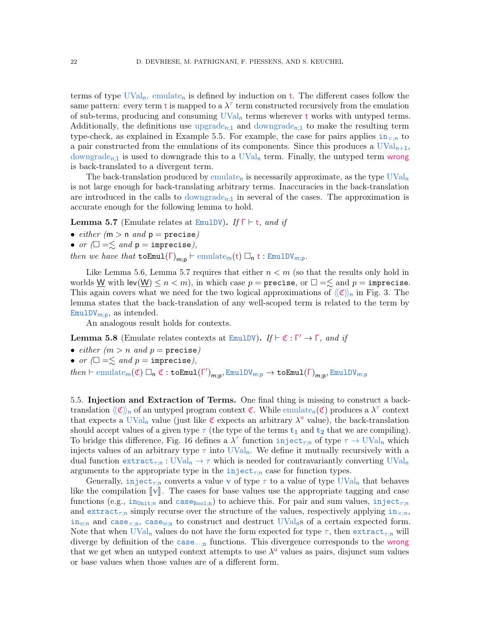terms of type  $UVal_n$ . emulate<sub>n</sub> is defined by induction on t. The different cases follow the same pattern: every term **t** is mapped to a  $\lambda^{\tau}$  term constructed recursively from the emulation of sub-terms, producing and consuming  $UVal_n$  terms wherever t works with untyped terms. Additionally, the definitions use upgrade<sub>n;1</sub> and downgrade<sub>n;1</sub> to make the resulting term type-check, as explained in Example [5.5.](#page-18-2) For example, the case for pairs applies  $i_{\text{max}}$  to a pair constructed from the emulations of its components. Since this produces a  $UVal_{n+1}$ , downgrade<sub>n;1</sub> is used to downgrade this to a UVal<sub>n</sub> term. Finally, the untyped term wrong is back-translated to a divergent term.

The back-translation produced by emulate<sub>n</sub> is necessarily approximate, as the type  $\text{UVal}_n$ is not large enough for back-translating arbitrary terms. Inaccuracies in the back-translation are introduced in the calls to downgrade<sub>n;1</sub> in several of the cases. The approximation is accurate enough for the following lemma to hold.

<span id="page-21-1"></span>**Lemma 5.7** (Emulate relates at EmulDV). If  $\Gamma \vdash t$ , and if

• either  $(m > n$  and  $p = \text{precise})$ 

• or  $(\Box = \leq \text{ and } p = \text{imprecise}),$ 

then we have that  $\text{toEmul}(\Gamma)_{\text{m:n}} \vdash \text{emulate}_{\text{m}}(t) \square_{\text{n}} t : \text{EmulDV}_{\text{m:p}}.$ 

Like Lemma [5.6,](#page-19-1) Lemma [5.7](#page-21-1) requires that either  $n < m$  (so that the results only hold in worlds <u>W</u> with lev $(\underline{W}) \leq n < m$ ), in which case  $p =$  precise, or  $\Box = \leq$  and  $p =$  imprecise. This again covers what we need for the two logical approximations of  $\langle \mathfrak{C} \rangle$ <sub>n</sub> in Fig. [3.](#page-4-0) The lemma states that the back-translation of any well-scoped term is related to the term by  $EmulDV<sub>m;p</sub>$ , as intended.

An analogous result holds for contexts.

<span id="page-21-2"></span>**Lemma 5.8** (Emulate relates contexts at EmulDV). If  $\vdash \mathfrak{C} : \Gamma' \to \Gamma$ , and if

- either  $(m > n$  and  $p =$  precise)
- or  $(\Box = \leq$  and  $p =$  imprecise),

 $then \vdash \text{emulate}_{m}(\mathfrak{C}) \ \Box_{n} \ \mathfrak{C} : \texttt{toEmul}(\Gamma')_{m;p}, \text{EmulDV}_{m;p} \to \texttt{toEmul}(\Gamma)_{m;p}, \text{EmulDV}_{m;p}$ 

<span id="page-21-0"></span>5.5. Injection and Extraction of Terms. One final thing is missing to construct a backtranslation  $\langle\!\langle\mathfrak{C}\rangle\!\rangle_n$  of an untyped program context  $\mathfrak{C}$ . While emulate<sub>n</sub> $(\mathfrak{C})$  produces a  $\lambda^\tau$  context that expects a UVal<sub>n</sub> value (just like  $\mathfrak C$  expects an arbitrary  $\lambda^{\mathsf{u}}$  value), the back-translation should accept values of a given type  $\tau$  (the type of the terms  $t_1$  and  $t_2$  that we are compiling). To bridge this difference, Fig. [16](#page-22-0) defines a  $\lambda^{\tau}$  function inject<sub>*r*;n</sub> of type  $\tau \to \text{UVal}_n$  which injects values of an arbitrary type  $\tau$  into UVal<sub>n</sub>. We define it mutually recursively with a dual function  $\text{extract}_{\tau:n}: \text{UVal}_{n} \to \tau$  which is needed for contravariantly converting  $\text{UVal}_{n}$ arguments to the appropriate type in the inject<sub> $\tau$ ;n</sub> case for function types.

Generally, inject<sub>r;n</sub> converts a value v of type  $\tau$  to a value of type UVal<sub>n</sub> that behaves like the compilation  $\llbracket v \rrbracket$ . The cases for base values use the appropriate tagging and case functions (e.g.,  $\text{in}_{\text{Unit},n}$  and  $\text{case}_{\text{Bool},n}$ ) to achieve this. For pair and sum values,  $\text{inject}_{\tau,n}$ and extract<sub>*r*:n</sub> simply recurse over the structure of the values, respectively applying  $in_{\times;n}$ ,  $in_{\mathbb{H}}$  and case<sub>×in</sub>, case<sub> $\mathbb{H}$ in to construct and destruct UVal<sub>n</sub>s of a certain expected form.</sub> Note that when UVal<sub>n</sub> values do not have the form expected for type  $\tau$ , then extract<sub> $\tau$ ;n</sub> will diverge by definition of the case...<sub>;n</sub> functions. This divergence corresponds to the wrong that we get when an untyped context attempts to use  $\lambda^{\mathsf{u}}$  values as pairs, disjunct sum values or base values when those values are of a different form.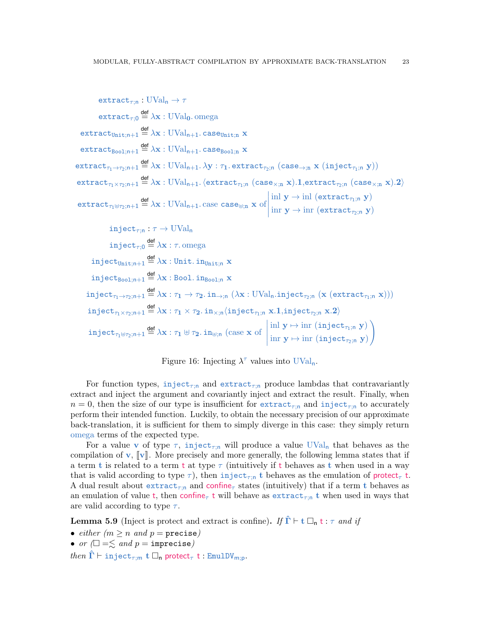$$
\begin{array}{ll}\mathrm{extract}_{\tau;0}:\mathrm{UVal}_{n}\to\tau\\ \mathrm{extract}_{\tau;0}\overset{\text{def}}{=}\lambda x:\mathrm{UVal}_{0}.\mathrm{omega}\\ \mathrm{extract}_{\mathrm{Bool};n+1}\overset{\text{def}}{=}\lambda x:\mathrm{UVal}_{n+1}.\mathrm{case}_{\mathrm{Bool};n}\ x\\ \mathrm{extract}_{\tau_{0}\to\tau_{2};n+1}\overset{\text{def}}{=}\lambda x:\mathrm{UVal}_{n+1}.\mathrm{case}_{\mathrm{Bool};n}\ x\\ \mathrm{extract}_{\tau_{1}\to\tau_{2};n+1}\overset{\text{def}}{=}\lambda x:\mathrm{UVal}_{n+1}.\lambda y:\tau_{1}.\mathrm{extract}_{\tau_{2};n}\ (\mathrm{case}_{\to;n}\ x\ (\mathrm{inject}_{\tau_{1};n}\ y))\\ \mathrm{extract}_{\tau_{1}\times\tau_{2};n+1}\overset{\text{def}}{=}\lambda x:\mathrm{UVal}_{n+1}.\langle\mathrm{extract}_{\tau_{1};n}\ (\mathrm{case}_{\times;n}\ x)\text{.1},\mathrm{extract}_{\tau_{2};n}\ (\mathrm{case}_{\times;n}\ x)\text{.2}\rangle\\ \mathrm{extract}_{\tau_{1}\oplus\tau_{2};n+1}\overset{\text{def}}{=}\lambda x:\mathrm{UVal}_{n+1}.\mathrm{case}\ \mathrm{case}_{\uplus;n}\ x\ \mathrm{of}\left|\begin{aligned} &\mathrm{in}\ y\to\mathrm{in}\ (\mathrm{extract}_{\tau_{1};n}\ y)\\ &\mathrm{in}\ y\to\mathrm{in}\ (\mathrm{extract}_{\tau_{2};n}\ y)\end{aligned}\right.\ \\ \mathrm{inject}_{\tau;0}\overset{\text{def}}{=}\lambda x:\tau.\mathrm{omega}_{n}\\ \mathrm{inject}_{\tau;0}\overset{\text{def}}{=}\lambda x:\mathrm{Unit}\ \mathrm{in}_{\tau_{0};n}\ x\\ \mathrm{inject}_{\tau_{0}\to\tau_{2};n+1}\overset{\text{def}}{=}\lambda x:\mathrm{Bool}\ \mathrm{in}_{\tau_{0}\circ 1;n}\ x\\ \mathrm{inject}_{\tau_{1}\to\tau_{2};n+1}\overset{\text{def}}{=}\lambda x:\tau_{1}\to\tau_{2}.\mathrm{in}_{\to;n}\ (\lambda x:\mathrm{UVal}_{n}.\mathrm{inject}_{\tau_{2};n}\ (x\ (\mathrm{extract}_{\tau_{1};n}\ x)) )\\ \mathrm{inject}_{\tau_{1}\times\tau_{2};n+1}\overset{\text{def}}{=}\lambda x:\tau_{1}\times\tau_{2
$$

Figure 16: Injecting  $\lambda^{\tau}$  values into UVal<sub>n</sub>.

<span id="page-22-0"></span>For function types, inject<sub> $\tau$ in</sub> and extract<sub> $\tau$ in</sub> produce lambdas that contravariantly extract and inject the argument and covariantly inject and extract the result. Finally, when  $n = 0$ , then the size of our type is insufficient for extract<sub>rin</sub> and inject<sub>rin</sub> to accurately perform their intended function. Luckily, to obtain the necessary precision of our approximate back-translation, it is sufficient for them to simply diverge in this case: they simply return omega terms of the expected type.

For a value v of type  $\tau$ , inject<sub> $\tau$ :n</sub> will produce a value UVal<sub>n</sub> that behaves as the compilation of  $\bf{v}, \|\bf{v}\|$ . More precisely and more generally, the following lemma states that if a term t is related to a term t at type  $\tau$  (intuitively if t behaves as t when used in a way that is valid according to type  $\tau$ ), then inject<sub> $\tau$ :n</sub> t behaves as the emulation of protect<sub> $\tau$ </sub> t. A dual result about extract<sub>*r*;n</sub> and confine<sub>*r*</sub> states (intuitively) that if a term t behaves as an emulation of value t, then confine<sub>τ</sub> t will behave as extract<sub>τ;n</sub> t when used in ways that are valid according to type  $\tau$ .

<span id="page-22-1"></span>**Lemma 5.9** (Inject is protect and extract is confine). If  $\hat{\Gamma} \vdash t \square_{n} t : \tau$  and if

• either  $(m \ge n \text{ and } p = \text{precise})$ 

• or  $\Box = \leq$  and  $p =$  imprecise)

then  $\hat{\Gamma} \vdash \text{inject}_{\tau:m}$  t  $\Box_{\mathbf{n}}$  protect<sub> $\tau$ </sub> t : EmulDV<sub>m;p</sub>.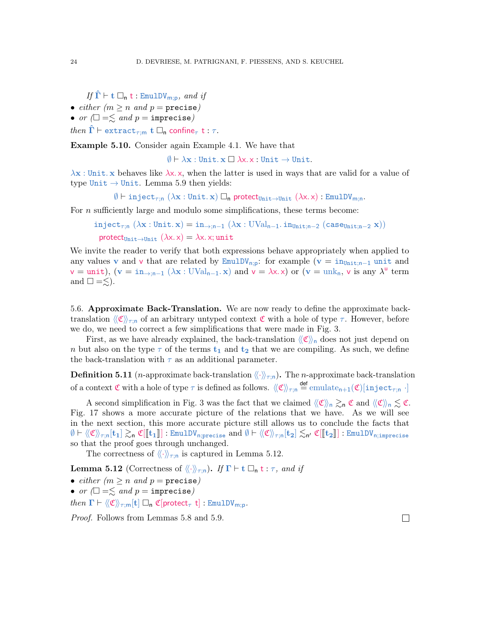If  $\hat{\Gamma} \vdash t \square_{n} t : \text{EmulDV}_{m:n}$ , and if

- either  $(m \ge n \text{ and } p = \text{precise})$
- or  $\Box = \leq$  and  $p =$  imprecise)

```
then \Gamma \vdash extract<sub>\tau:m</sub> t \Box_{\mathsf{n}} confine<sub>\tau</sub> t : \tau.
```
Example 5.10. Consider again Example [4.1.](#page-11-3) We have that

 $\emptyset \vdash \lambda \mathbf{x} : \text{Unit.} \; \mathbf{x} \Box \; \lambda \mathbf{x} : \mathbf{Unit} \rightarrow \text{Unit.}$ 

 $\lambda$ x : Unit. x behaves like  $\lambda$ x. x, when the latter is used in ways that are valid for a value of type Unit  $\rightarrow$  Unit. Lemma [5.9](#page-22-1) then yields:

 $\emptyset \vdash \texttt{inject}_{\tau; \mathsf{n}} (\lambda \mathbf{x} : \texttt{Unit.x}) \square_{\mathsf{n}} \text{ protect}_{\texttt{Unit} \to \texttt{Unit}} (\lambda \mathbf{x}, \mathbf{x}) : \texttt{EmulDV}_{\mathsf{m}; \mathsf{n}}.$ 

For  $n$  sufficiently large and modulo some simplifications, these terms become:

```
inject<sub>r;n</sub> (\lambdax : Unit. x) = in<sub>→;n-1</sub> (\lambdax : UVal<sub>n-1</sub>. in<sub>Unit;n-2</sub> (case<sub>Unit;n-2</sub> x))
  protect<sub>Unit→Unit</sub> (\lambda x. x) = \lambda x. x;unit
```
We invite the reader to verify that both expressions behave appropriately when applied to any values v and v that are related by  $\text{EmulDV}_{n,p}$ : for example (v = in<sub>Unit;n</sub>-1 unit and  $v = \text{unit}$ ,  $(v = \text{in}_{\rightarrow; n-1} (\lambda x : \text{UVal}_{n-1}, x)$  and  $v = \lambda x. x$  or  $(v = \text{unk}_{n}, v \text{ is any } \lambda^{u} \text{ term})$ and  $\square = \leq$ ).

<span id="page-23-0"></span>5.6. Approximate Back-Translation. We are now ready to define the approximate backtranslation  $\langle\langle \mathfrak{C} \rangle\rangle_{\tau;\mathfrak{n}}$  of an arbitrary untyped context C with a hole of type  $\tau$ . However, before we do, we need to correct a few simplifications that were made in Fig. [3.](#page-4-0)

First, as we have already explained, the back-translation  $\langle\langle \mathfrak{C} \rangle\rangle$  does not just depend on n but also on the type  $\tau$  of the terms  $t_1$  and  $t_2$  that we are compiling. As such, we define the back-translation with  $\tau$  as an additional parameter.

**Definition 5.11** (*n*-approximate back-translation  $\langle\langle\cdot\rangle\rangle_{\tau;\mathsf{n}}$ ). The *n*-approximate back-translation of a context  $\mathfrak C$  with a hole of type  $\tau$  is defined as follows.  $\langle\!\langle\mathfrak C\rangle\!\rangle_{\tau;\mathsf n}$   $\triangleq$  emulate $_{\mathsf n+1}(\mathfrak C)[\mathtt{inject}_{\tau;\mathsf n}]$  .]

A second simplification in Fig. [3](#page-4-0) was the fact that we claimed  $\langle\!\langle \mathfrak{C} \rangle\!\rangle_n \gtrsim_n \mathfrak{C}$  and  $\langle\!\langle \mathfrak{C} \rangle\!\rangle_n \lesssim \mathfrak{C}$ . Fig. [17](#page-24-1) shows a more accurate picture of the relations that we have. As we will see in the next section, this more accurate picture still allows us to conclude the facts that  $\emptyset \vdash \langle\langle \mathfrak{C} \rangle\rangle_{\tau; \mathfrak{n}}[\mathbf{t}_1] \gtrsim_{\mathfrak{n}} \mathfrak{C}[[\mathbf{t}_1]]$ : EmulDV<sub>n;precise</sub> and  $\emptyset \vdash \langle\langle \mathfrak{C} \rangle\rangle_{\tau; \mathfrak{n}}[\mathbf{t}_2] \lesssim_{\mathfrak{n}'} \mathfrak{C}[[\mathbf{t}_2]]$ : EmulDV<sub>n;imprecise</sub> so that the proof goes through unchanged.

The correctness of  $\langle\langle \cdot \rangle\rangle_{\tau:\mathbf{n}}$  is captured in Lemma [5.12.](#page-23-1)

<span id="page-23-1"></span>**Lemma 5.12** (Correctness of  $\langle\langle \cdot \rangle\rangle_{\tau;\mathsf{n}}$ ). If  $\Gamma \vdash t \square_{\mathsf{n}} t : \tau$ , and if

- either  $(m \ge n \text{ and } p = \text{precise})$
- or  $\Box = \leq$  and  $p =$  imprecise)

then  $\Gamma \vdash \langle \langle \mathfrak{C} \rangle \rangle_{\tau;\mathsf{m}}[\mathbf{t}] \Box_{\mathsf{n}} \mathfrak{C}[\mathsf{protect}_{\tau} \mathbf{t}]$ : EmulDV<sub>m;p</sub>.

Proof. Follows from Lemmas [5.8](#page-21-2) and [5.9.](#page-22-1)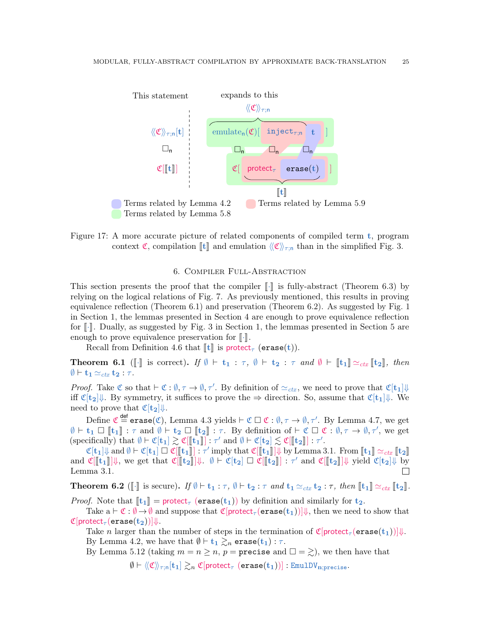

<span id="page-24-1"></span>Figure 17: A more accurate picture of related components of compiled term  $t$ , program context  $\mathfrak{C}$ , compilation  $\llbracket t \rrbracket$  and emulation  $\langle \llbracket \mathfrak{C} \rrbracket \rangle_{\tau;n}$  than in the simplified Fig. [3.](#page-4-0)

# 6. Compiler Full-Abstraction

<span id="page-24-0"></span>This section presents the proof that the compiler  $\llbracket \cdot \rrbracket$  is fully-abstract (Theorem [6.3\)](#page-25-1) by relying on the logical relations of Fig. [7.](#page-9-0) As previously mentioned, this results in proving equivalence reflection (Theorem [6.1\)](#page-24-2) and preservation (Theorem [6.2\)](#page-24-3). As suggested by Fig. [1](#page-2-0) in Section [1,](#page-1-0) the lemmas presented in Section [4](#page-11-0) are enough to prove equivalence reflection for  $\lceil \cdot \rceil$ . Dually, as suggested by Fig. [3](#page-4-0) in Section [1,](#page-1-0) the lemmas presented in Section [5](#page-14-0) are enough to prove equivalence preservation for  $\lbrack \cdot \rbrack$ .

Recall from Definition [4.6](#page-13-3) that  $\llbracket t \rrbracket$  is protect<sub> $\tau$ </sub> (erase(t)).

<span id="page-24-2"></span>**Theorem 6.1** ( $\llbracket \cdot \rrbracket$  is correct). If  $\emptyset \vdash t_1 : \tau, \emptyset \vdash t_2 : \tau \text{ and } \emptyset \vdash \llbracket t_1 \rrbracket \simeq_{\text{ctx}} \llbracket t_2 \rrbracket$ , then  $\emptyset \vdash \mathbf{t_1} \simeq_{ctx} \mathbf{t_2} : \tau.$ 

*Proof.* Take  $\mathfrak{C}$  so that  $\vdash \mathfrak{C} : \emptyset, \tau \to \emptyset, \tau'$ . By definition of  $\simeq_{\mathit{ctx}}$ , we need to prove that  $\mathfrak{C}[\mathbf{t}_1]\Downarrow$ iff  $\mathfrak{C}[\mathbf{t}_2]\Downarrow$ . By symmetry, it suffices to prove the  $\Rightarrow$  direction. So, assume that  $\mathfrak{C}[\mathbf{t}_1]\Downarrow$ . We need to prove that  $\mathfrak{C}[\mathbf{t}_2]\mathcal{V}$ .

Define  $\mathfrak{C} \stackrel{\sf def}{=} \textsf{erase}(\mathfrak{C}),$  Lemma [4.3](#page-12-2) yields  $\vdash \mathfrak{C} \Box \mathfrak{C} : \emptyset, \tau \to \emptyset, \tau'.$  By Lemma [4.7,](#page-13-2) we get  $\emptyset \vdash t_1 \Box$  [ $t_1$ ] :  $\tau$  and  $\emptyset \vdash t_2 \Box$  [ $t_2$ ] :  $\tau$ . By definition of  $\vdash \mathfrak{C} \Box \mathfrak{C} : \emptyset, \tau \to \emptyset, \tau'$ , we get  $\mathfrak{C}$  (specifically) that  $\emptyset \vdash \mathfrak{C}[t_1] \geq \mathfrak{C}[t_1]$  if  $\tau'$  and  $\emptyset \vdash \mathfrak{C}[t_1]$  $(\text{specifically}) \text{ that } \emptyset \vdash \mathfrak{C}[\mathbf{t}_1] \gtrsim \mathfrak{C}[[\mathbf{t}_1]] : \tau' \text{ and } \emptyset \vdash \mathfrak{C}[\mathbf{t}_2] \lesssim \mathfrak{C}[[\mathbf{t}_2]] : \tau'.$ 

 $\mathfrak{C}[\mathbf{t}_1]\Downarrow$  and  $\emptyset \vdash \mathfrak{C}[\mathbf{t}_1] \sqsupset \mathfrak{C}[[\mathbf{t}_1]]$ :  $\tau'$  imply that  $\mathfrak{C}[[\mathbf{t}_1]] \Downarrow$  by Lemma [3.1.](#page-11-1) From  $[\![\mathbf{t}_1]\!] \simeq_{ctx} [\![\mathbf{t}_2]\!]$ and  $\mathfrak{C}[[\mathbf{t}_1]]\Downarrow$ , we get that  $\mathfrak{C}[[\mathbf{t}_2]]\Downarrow$ .  $\emptyset \vdash \mathfrak{C}[\mathbf{t}_2] \Box \mathfrak{C}[[\mathbf{t}_2]] : \tau'$  and  $\mathfrak{C}[[\mathbf{t}_2]]\Downarrow$  yield  $\mathfrak{C}[\mathbf{t}_2]\Downarrow$  by Lemma [3.1.](#page-11-1)

<span id="page-24-3"></span>**Theorem 6.2** ( $\lbrack\cdot\rbrack$  is secure). If  $\emptyset \vdash t_1 : \tau$ ,  $\emptyset \vdash t_2 : \tau$  and  $t_1 \simeq_{\text{ctx}} t_2 : \tau$ , then  $\lbrack\lbrack t_1 \rbrack \simeq_{\text{ctx}} \lbrack\lbrack t_2 \rbrack$ .

*Proof.* Note that  $\llbracket t_1 \rrbracket =$  protect<sub> $\tau$ </sub> (erase(t<sub>1</sub>)) by definition and similarly for  $t_2$ .

Take  $a \vdash \mathfrak{C} : \emptyset \to \emptyset$  and suppose that  $\mathfrak{C}[\mathsf{protect}_{\tau}(\mathsf{erase}(t_1))] \Downarrow$ , then we need to show that  $\mathfrak{C}[\text{protect}_\tau(\text{erase}(\mathbf{t}_2))] \Downarrow.$ 

Take n larger than the number of steps in the termination of  $\mathfrak{C}[\text{protect}_{\tau}(\text{erase}(t_1))]$ . By Lemma [4.2,](#page-12-1) we have that  $\emptyset \vdash t_1 \gtrsim_n \text{erase}(t_1) : \tau$ .

By Lemma [5.12](#page-23-1) (taking  $m = n \ge n$ ,  $p =$  precise and  $\Box = \gtrsim$ ), we then have that

 $\emptyset \vdash \langle\!\langle \mathfrak{C} \rangle\!\rangle_{\tau;\mathsf{n}}[\mathbf{t}_1] \gtrsim_n \mathfrak{C}[\mathsf{protect}_{\tau} \;(\mathsf{erase}(\mathbf{t}_1))]: \mathsf{EmulDV}_{\mathbf{n};\mathsf{precise}}.$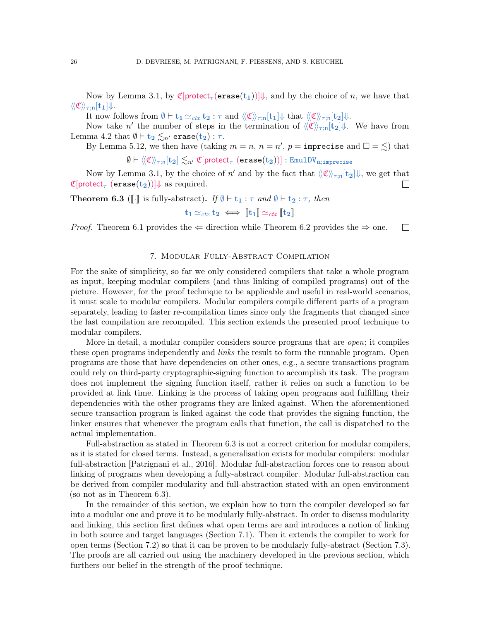Now by Lemma [3.1,](#page-11-1) by  $\mathfrak{C}[\text{protect}_{\tau}(\text{erase}(t_1))]\Downarrow$ , and by the choice of n, we have that  $\langle\!\langle \mathfrak{C} \rangle\!\rangle_{\tau;\mathsf{n}}[\mathbf{t_1}]\Downarrow.$ 

It now follows from  $\emptyset \vdash t_1 \simeq_{\text{ctx}} t_2 : \tau \text{ and } \langle\langle \mathfrak{C} \rangle\rangle_{\tau:\mathsf{n}}[t_1] \Downarrow \text{ that } \langle\langle \mathfrak{C} \rangle\rangle_{\tau:\mathsf{n}}[t_2] \Downarrow.$ 

Now take n' the number of steps in the termination of  $\langle\langle \mathfrak{C} \rangle\rangle_{\tau;\mathsf{n}}[\mathbf{t}_2]\Downarrow$ . We have from Lemma [4.2](#page-12-1) that  $\emptyset \vdash t_2 \lesssim_{n'} \text{erase}(t_2) : \tau$ .

By Lemma [5.12,](#page-23-1) we then have (taking  $m = n$ ,  $n = n'$ ,  $p =$  imprecise and  $\square = \lesssim$ ) that  $\emptyset \vdash \langle\!\langle \mathfrak{C} \rangle\!\rangle_{\tau:\mathsf{n}}[\mathbf{t}_2] \lesssim_{n'} \mathfrak{C}[\mathsf{protect}_{\tau}(\mathsf{erase}(\mathbf{t}_2))]$ : EmulDV<sub>n;imprecise</sub>

Now by Lemma [3.1,](#page-11-1) by the choice of  $n'$  and by the fact that  $\langle\langle \mathfrak{C} \rangle\rangle_{\tau; \mathsf{n}}[\mathbf{t}_2] \Downarrow$ , we get that  $\mathfrak{C}[\text{protect}_{\tau}(\text{erase}(\mathbf{t}_2))] \Downarrow$  as required.  $\Box$ 

<span id="page-25-1"></span>**Theorem 6.3** ( $\llbracket \cdot \rrbracket$  is fully-abstract). If  $\emptyset \vdash t_1 : \tau$  and  $\emptyset \vdash t_2 : \tau$ , then

$$
\mathbf{t}_1 \simeq_{\mathit{ctx}} \mathbf{t}_2 \iff [\![\mathbf{t}_1]\!] \simeq_{\mathit{ctx}} [\![\mathbf{t}_2]\!]
$$

*Proof.* Theorem [6.1](#page-24-2) provides the  $\Leftarrow$  direction while Theorem [6.2](#page-24-3) provides the  $\Rightarrow$  one.  $\Box$ 

## 7. Modular Fully-Abstract Compilation

<span id="page-25-0"></span>For the sake of simplicity, so far we only considered compilers that take a whole program as input, keeping modular compilers (and thus linking of compiled programs) out of the picture. However, for the proof technique to be applicable and useful in real-world scenarios, it must scale to modular compilers. Modular compilers compile different parts of a program separately, leading to faster re-compilation times since only the fragments that changed since the last compilation are recompiled. This section extends the presented proof technique to modular compilers.

More in detail, a modular compiler considers source programs that are *open*; it compiles these open programs independently and *links* the result to form the runnable program. Open programs are those that have dependencies on other ones, e.g., a secure transactions program could rely on third-party cryptographic-signing function to accomplish its task. The program does not implement the signing function itself, rather it relies on such a function to be provided at link time. Linking is the process of taking open programs and fulfilling their dependencies with the other programs they are linked against. When the aforementioned secure transaction program is linked against the code that provides the signing function, the linker ensures that whenever the program calls that function, the call is dispatched to the actual implementation.

Full-abstraction as stated in Theorem [6.3](#page-25-1) is not a correct criterion for modular compilers, as it is stated for closed terms. Instead, a generalisation exists for modular compilers: modular full-abstraction [\[Patrignani et al., 2016\]](#page-37-5). Modular full-abstraction forces one to reason about linking of programs when developing a fully-abstract compiler. Modular full-abstraction can be derived from compiler modularity and full-abstraction stated with an open environment (so not as in Theorem [6.3\)](#page-25-1).

In the remainder of this section, we explain how to turn the compiler developed so far into a modular one and prove it to be modularly fully-abstract. In order to discuss modularity and linking, this section first defines what open terms are and introduces a notion of linking in both source and target languages (Section [7.1\)](#page-26-0). Then it extends the compiler to work for open terms (Section [7.2\)](#page-27-0) so that it can be proven to be modularly fully-abstract (Section [7.3\)](#page-27-1). The proofs are all carried out using the machinery developed in the previous section, which furthers our belief in the strength of the proof technique.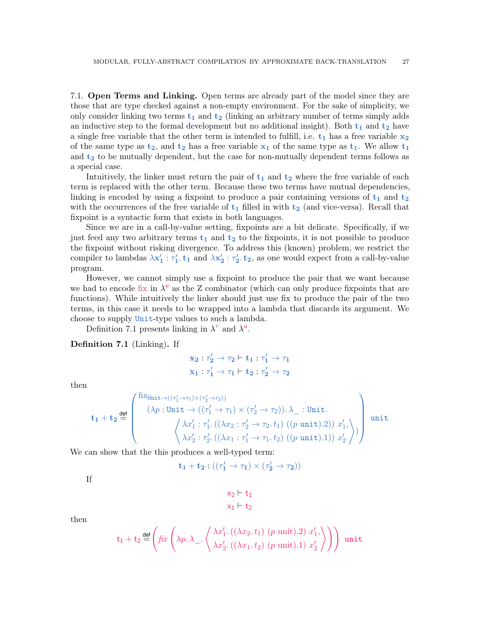<span id="page-26-0"></span>7.1. Open Terms and Linking. Open terms are already part of the model since they are those that are type checked against a non-empty environment. For the sake of simplicity, we only consider linking two terms  $t_1$  and  $t_2$  (linking an arbitrary number of terms simply adds an inductive step to the formal development but no additional insight). Both  $t_1$  and  $t_2$  have a single free variable that the other term is intended to fulfill, i.e.  $t_1$  has a free variable  $x_2$ of the same type as  $t_2$ , and  $t_2$  has a free variable  $x_1$  of the same type as  $t_1$ . We allow  $t_1$ and  $t_2$  to be mutually dependent, but the case for non-mutually dependent terms follows as a special case.

Intuitively, the linker must return the pair of  $t_1$  and  $t_2$  where the free variable of each term is replaced with the other term. Because these two terms have mutual dependencies, linking is encoded by using a fixpoint to produce a pair containing versions of  $t_1$  and  $t_2$ with the occurrences of the free variable of  $t_1$  filled in with  $t_2$  (and vice-versa). Recall that fixpoint is a syntactic form that exists in both languages.

Since we are in a call-by-value setting, fixpoints are a bit delicate. Specifically, if we just feed any two arbitrary terms  $t_1$  and  $t_2$  to the fixpoints, it is not possible to produce the fixpoint without risking divergence. To address this (known) problem, we restrict the compiler to lambdas  $\lambda x'_1 : \tau'_1$  and  $\lambda x'_2 : \tau'_2$  as one would expect from a call-by-value program.

However, we cannot simply use a fixpoint to produce the pair that we want because we had to encode fix in  $\lambda^{\mathsf{u}}$  as the Z combinator (which can only produce fixpoints that are functions). While intuitively the linker should just use fix to produce the pair of the two terms, in this case it needs to be wrapped into a lambda that discards its argument. We choose to supply Unit-type values to such a lambda.

Definition [7.1](#page-26-1) presents linking in  $\lambda^{\tau}$  and  $\lambda^{\mu}$ .

<span id="page-26-1"></span>Definition 7.1 (Linking). If

$$
x_2 : \tau'_2 \rightarrow \tau_2 \vdash t_1 : \tau'_1 \rightarrow \tau_1
$$
  

$$
x_1 : \tau'_1 \rightarrow \tau_1 \vdash t_2 : \tau'_2 \rightarrow \tau_2
$$

then

$$
\mathbf{t}_1+\mathbf{t}_2 \stackrel{\text{def}}{=} \begin{pmatrix} \text{fix}_{\text{Unit}\rightarrow ((\tau_1'\rightarrow \tau_1)\times (\tau_2'\rightarrow \tau_2))} \\ (\lambda p:\text{Unit}\rightarrow ((\tau_1'\rightarrow \tau_1)\times (\tau_2'\rightarrow \tau_2)). \ \lambda_-:\text{Unit.}\\[0.2cm] \left\langle \begin{array}{c} \lambda x_1':\tau_1'.\ ((\lambda x_2:\tau_2'\rightarrow \tau_2.t_1)\ ((p\ \text{unit}).2))\ x_1', \\[0.2cm] \lambda x_2':\tau_2'.\ ((\lambda x_1:\tau_1'\rightarrow \tau_1.t_2)\ ((p\ \text{unit}).1))\ x_2' \end{array} \right\rangle \end{pmatrix} \text{unit.}
$$

We can show that the this produces a well-typed term:

$$
\mathbf{t_1}+\mathbf{t_2}:((\tau_1'\rightarrow\tau_1)\times(\tau_2'\rightarrow\tau_2))
$$

If

$$
\begin{aligned}\nx_2 \vdash t_1 \\
x_1 \vdash t_2\n\end{aligned}
$$

then

$$
t_1 + t_2 \stackrel{\text{def}}{=} \left( \text{fix} \left( \lambda p. \lambda_-, \left\langle \frac{\lambda x_1'.((\lambda x_2. t_1) (p \text{ unit}).2) x_1',}{\lambda x_2'.((\lambda x_1. t_2) (p \text{ unit}).1) x_2'} \right\rangle \right) \right)
$$
unit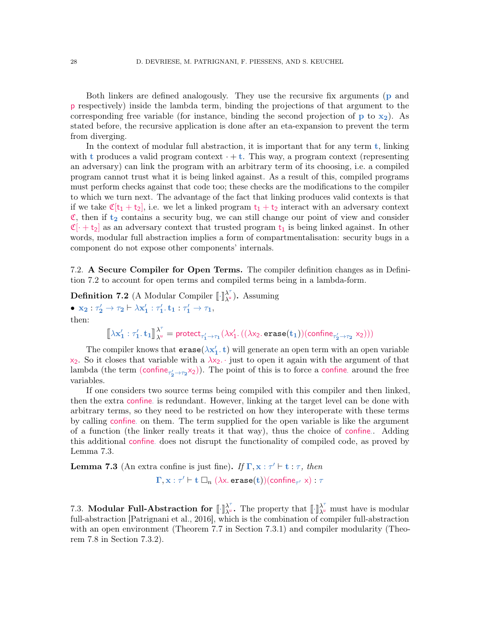Both linkers are defined analogously. They use the recursive fix arguments (p and p respectively) inside the lambda term, binding the projections of that argument to the corresponding free variable (for instance, binding the second projection of  $p$  to  $x_2$ ). As stated before, the recursive application is done after an eta-expansion to prevent the term from diverging.

In the context of modular full abstraction, it is important that for any term  $t$ , linking with t produces a valid program context  $\cdot + t$ . This way, a program context (representing an adversary) can link the program with an arbitrary term of its choosing, i.e. a compiled program cannot trust what it is being linked against. As a result of this, compiled programs must perform checks against that code too; these checks are the modifications to the compiler to which we turn next. The advantage of the fact that linking produces valid contexts is that if we take  $\mathfrak{C}[t_1 + t_2]$ , i.e. we let a linked program  $t_1 + t_2$  interact with an adversary context  $\mathfrak{C}$ , then if  $t_2$  contains a security bug, we can still change our point of view and consider  $\mathfrak{C}[\cdot + t_2]$  as an adversary context that trusted program  $t_1$  is being linked against. In other words, modular full abstraction implies a form of compartmentalisation: security bugs in a component do not expose other components' internals.

<span id="page-27-0"></span>7.2. A Secure Compiler for Open Terms. The compiler definition changes as in Definition [7.2](#page-27-2) to account for open terms and compiled terms being in a lambda-form.

<span id="page-27-2"></span>**Definition 7.2** (A Modular Compiler  $\llbracket \cdot \rrbracket^{\lambda^{\tau}}_{\lambda^{\omega}}$  $\lambda_{\mu}^{(n)}$ ). Assuming

•  $x_2 : \tau'_2 \to \tau_2 \vdash \lambda x'_1 : \tau'_1.t_1 : \tau'_1 \to \tau_1,$ then:

> $\llbracket \lambda \mathbf{x}_1': \tau_1'. \, \mathbf{t}_1 \rrbracket^{\lambda^{\tau}}_{\lambda^{\mathsf{u}}}$  $\lambda^{\alpha \beta} = \text{protect}_{\tau_1' \to \tau_1}(\lambda x_1'.((\lambda x_2.\texttt{erase}(\mathbf{t}_1)) (\texttt{confine}_{\tau_2' \to \tau_2} x_2)))$

The compiler knows that  $\texttt{erase}(\lambda \mathbf{x}_1', \mathbf{t})$  will generate an open term with an open variable  $x_2$ . So it closes that variable with a  $\lambda x_2$ . just to open it again with the argument of that lambda (the term (confine<sub> $\tau'_2 \to \tau_2 \times 2$ )</sub>). The point of this is to force a confine around the free variables.

If one considers two source terms being compiled with this compiler and then linked, then the extra confine is redundant. However, linking at the target level can be done with arbitrary terms, so they need to be restricted on how they interoperate with these terms by calling confine· on them. The term supplied for the open variable is like the argument of a function (the linker really treats it that way), thus the choice of confine. Adding this additional confine· does not disrupt the functionality of compiled code, as proved by Lemma [7.3.](#page-27-3)

<span id="page-27-3"></span>**Lemma 7.3** (An extra confine is just fine). If  $\Gamma, x : \tau' \vdash t : \tau$ , then  $\Gamma, \mathbf{x}: \tau' \vdash \mathbf{t} \Box_n (\lambda \mathbf{x}. \, \texttt{erase}(\mathbf{t}))(\texttt{confidence}_{\tau'}|\mathbf{x}): \tau$ 

<span id="page-27-1"></span>7.3. Modular Full-Abstraction for  $\left[\begin{array}{cc} \cdot \end{array}\right]_{\lambda}^{\lambda^{\tau}}$  $\lambda^{\tau}$ . The property that  $\llbracket \cdot \rrbracket^{\lambda^{\tau}}$  $\lambda_{\mu}$  must have is modular full-abstraction [\[Patrignani et al., 2016\]](#page-37-5), which is the combination of compiler full-abstraction with an open environment (Theorem [7.7](#page-28-0) in Section [7.3.1\)](#page-28-1) and compiler modularity (Theorem [7.8](#page-29-0) in Section [7.3.2\)](#page-29-1).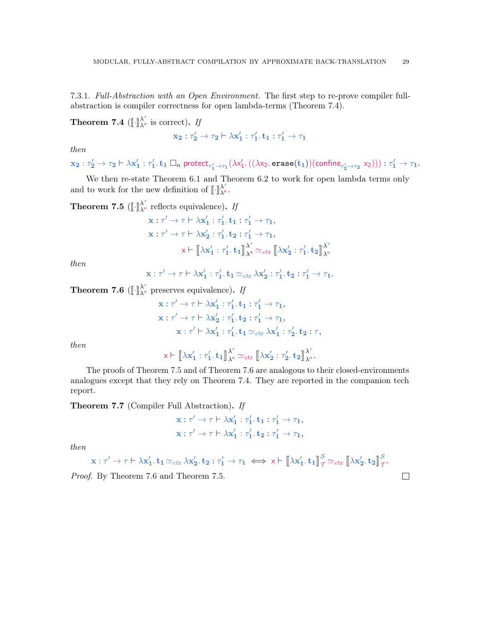<span id="page-28-1"></span>7.3.1. Full-Abstraction with an Open Environment. The first step to re-prove compiler fullabstraction is compiler correctness for open lambda-terms (Theorem [7.4\)](#page-28-2).

<span id="page-28-2"></span>Theorem 7.4  $(\lbrack\!\lbrack\cdot\rbrack\!\rbrack_{\lambda^{\mathsf{u}}}^{\lambda^{\tau}}$  $\lambda_{\mu}$  is correct). If

$$
\mathbf{x_2}:\tau'_2\rightarrow \tau_2\vdash \lambda\mathbf{x}'_1:\tau'_1.\ \mathbf{t}_1:\tau'_1\rightarrow \tau_1
$$

then

 $\mathbf{x_2}:\tau'_2\to\tau_2\vdash \lambda\mathbf{x'_1}:\tau'_1. \ \mathbf{t_1}\square_n$  protect $_{\tau'_1\to\tau_1}(\lambda\mathsf{x'_1}. \left((\lambda\mathsf{x_2. \ \textbf{erase}(\mathbf{t_1}))(\textbf{confidence}_{\tau'_2\to\tau_2}\ \mathsf{x_2}))\right):\tau'_1\to\tau_1.$ 

We then re-state Theorem [6.1](#page-24-2) and Theorem [6.2](#page-24-3) to work for open lambda terms only and to work for the new definition of  $\llbracket \cdot \rrbracket^{\lambda^{\tau}}_{\lambda^{\mathsf{u}}}$ λ΄<br>λ<sup>υ</sup> ·

<span id="page-28-3"></span>Theorem 7.5  $(\lbrack\!\lbrack\cdot\rbrack\!\rbrack_{\lambda^{\mathsf{u}}}^{\lambda^{\tau}}$  $\lambda_{\mu}$  reflects equivalence). If  $\mathbf{x}: \tau' \to \tau \vdash \lambda \mathbf{x_1'} : \tau_1'. \ \mathbf{t_1} : \tau_1' \to \tau_1,$  $\mathbf{x}:\tau'\to\tau\vdash\lambda\mathbf{x_2'}:\tau_1'\ldotp\mathbf{t_2}:\tau_1'\to\tau_1,$  $\mathsf{x}\vdash \llbracket \lambda\mathbf{x_1'} : \tau_1'. \, \mathbf{t_1} \rrbracket_{\lambda^\mathsf{u}}^{\lambda^\tau}$  $\frac{\lambda^{\tau}}{\lambda^{\mathsf{u}}} \simeq_{ctx} \big[\!\! \big[\lambda{\mathbf{x}}'_\mathbf{2} : \tau'_\mathbf{1}.\, {\mathbf{t}}_\mathbf{2} \big]\!\! \big]_{\lambda^{\mathsf{u}}}^{\lambda^{\tau}}$ 

then

$$
\mathbf{x} : \tau' \to \tau \vdash \lambda \mathbf{x}'_1 : \tau'_1. \mathbf{t}_1 \simeq_{\text{ctx}} \lambda \mathbf{x}'_2 : \tau'_1. \mathbf{t}_2 : \tau'_1 \to \tau_1.
$$

 $λ<sup>u</sup>$ 

 $\Box$ 

<span id="page-28-4"></span>Theorem 7.6  $(\lbrack\!\lbrack\cdot\rbrack\!\rbrack_{\lambda_{u}}^{\lambda^{\tau}}$  $\lambda_{\mu}^{\prime}$  preserves equivalence). If

$$
\mathbf{x}: \tau' \to \tau \vdash \lambda \mathbf{x}'_1 : \tau'_1. \mathbf{t}_1 : \tau'_1 \to \tau_1,
$$
  
\n
$$
\mathbf{x}: \tau' \to \tau \vdash \lambda \mathbf{x}'_2 : \tau'_1. \mathbf{t}_2 : \tau'_1 \to \tau_1,
$$
  
\n
$$
\mathbf{x}: \tau' \vdash \lambda \mathbf{x}'_1 : \tau'_1. \mathbf{t}_1 \simeq_{\text{ctx}} \lambda \mathbf{x}'_1 : \tau'_2. \mathbf{t}_2 : \tau,
$$

then

 $\mathsf{x}\vdash \llbracket \lambda\mathbf{x_1'} : \tau_1'. \, \mathbf{t_1} \rrbracket_{\lambda^\mathsf{u}}^{\lambda^\tau}$  $\frac{\lambda^{\tau}}{\lambda^{\mathsf{u}}} \simeq_{ctx} \big[\!\! \big[\lambda{\rm\bf x_2'}:\tau_{\mathbf{2}}',{\rm \bf t_{2}}\big]\!\!\big] \frac{\lambda^{\tau}}{\lambda^{\mathsf{u}}}$  $\frac{\lambda}{\lambda^{\mathsf{u}}}\cdot$ 

The proofs of Theorem [7.5](#page-28-3) and of Theorem [7.6](#page-28-4) are analogous to their closed-environments analogues except that they rely on Theorem [7.4.](#page-28-2) They are reported in the companion tech report.

<span id="page-28-0"></span>Theorem 7.7 (Compiler Full Abstraction). If

$$
\mathbf{x} : \tau' \to \tau \vdash \lambda \mathbf{x}'_1 : \tau'_1. \mathbf{t}_1 : \tau'_1 \to \tau_1,
$$
  

$$
\mathbf{x} : \tau' \to \tau \vdash \lambda \mathbf{x}'_1 : \tau'_1. \mathbf{t}_2 : \tau'_1 \to \tau_1,
$$

then

$$
x:\tau'\to\tau\vdash \lambda x'_1. t_1\simeq_{\mathit{ctx}} \lambda x'_2. t_2:\tau'_1\to\tau_1\iff x\vdash \llbracket \lambda x'_1. t_1\rrbracket_{\mathcal{T}}^{\mathcal{S}}\simeq_{\mathit{ctx}}\llbracket \lambda x'_2. t_2\rrbracket_{\mathcal{T}}^{\mathcal{S}}.
$$

Proof. By Theorem [7.6](#page-28-4) and Theorem [7.5.](#page-28-3)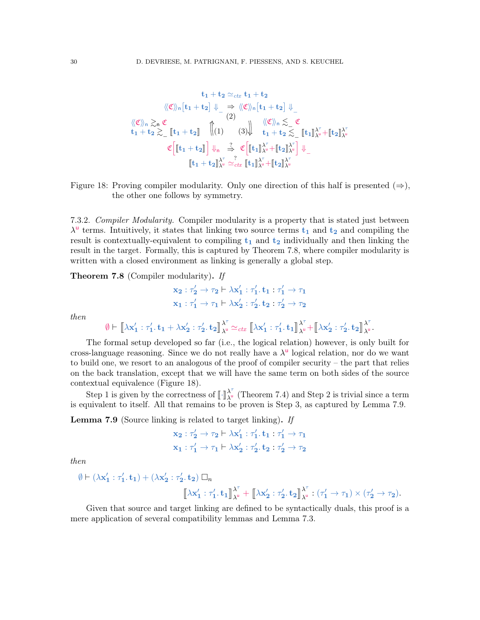$$
t_1 + t_2 \simeq_{ctx} t_1 + t_2
$$
\n
$$
\langle\!\langle \mathfrak{C} \rangle\!\rangle_n \left[t_1 + t_2\right] \Downarrow_{-} \Rightarrow \langle\!\langle \mathfrak{C} \rangle\!\rangle_n \left[t_1 + t_2\right] \Downarrow_{-}
$$
\n
$$
\langle\!\langle \mathfrak{C} \rangle\!\rangle_n \gtrsim_n \mathfrak{C}
$$
\n
$$
t_1 + t_2 \gtrsim_n \mathfrak{C}
$$
\n
$$
\begin{array}{ccc}\n\langle \mathfrak{C} \rangle\!\rangle_n \lesssim_n \mathfrak{C} \\
t_1 + t_2 \gtrsim_n \mathfrak{C}\n\end{array}\n\quad\n\begin{array}{ccc}\n\langle \mathfrak{C} \rangle\!\rangle_n \lesssim_n \mathfrak{C} \\
\langle \mathfrak{C} \rangle\!\rangle_n \lesssim_n \mathfrak{C} \\
\langle \mathfrak{C} \rangle\!\rangle_n \gtrsim_n \mathfrak{C}\n\end{array}\n\quad\n\begin{array}{ccc}\n\langle \mathfrak{C} \rangle\!\rangle_n \lesssim_n \mathfrak{C} \\
\langle \mathfrak{C} \rangle\!\rangle_n \gtrsim_n \mathfrak{C}\n\end{array}\n\quad\n\begin{array}{ccc}\n\langle \mathfrak{C} \rangle\!\rangle_n \lesssim_n \mathfrak{C}\n\end{array}\n\quad\n\begin{array}{ccc}\n\langle \mathfrak{C} \rangle\!\rangle_n \rightarrow \langle \mathfrak{C} \rangle\n\end{array}\n\quad\n\begin{array}{ccc}\n\langle \mathfrak{C} \rangle\!\rangle_n \rightarrow \langle \mathfrak{C} \rangle\n\end{array}\n\quad\n\begin{array}{ccc}\n\langle \mathfrak{C} \rangle\!\rangle_n \rightarrow \langle \mathfrak{C} \rangle\n\end{array}\n\quad\n\begin{array}{ccc}\n\langle \mathfrak{C} \rangle\!\rangle_n \rightarrow \langle \mathfrak{C} \rangle\n\end{array}\n\quad\n\begin{array}{ccc}\n\langle \mathfrak{C} \rangle\!\rangle_n \rightarrow \langle \mathfrak{C} \rangle\n\end{array}\n\quad\n\begin{array}{ccc}\n\langle \mathfrak{C} \rangle\!\rangle_n \rightarrow \langle \mathfrak{C} \rangle\n\end{array}\n\quad\n\begin{array}{ccc}\n\langle \mathfrak{C} \rangle\!\
$$

<span id="page-29-2"></span>Figure 18: Proving compiler modularity. Only one direction of this half is presented  $(\Rightarrow)$ , the other one follows by symmetry.

<span id="page-29-1"></span>7.3.2. Compiler Modularity. Compiler modularity is a property that is stated just between  $\lambda^{\mathsf{u}}$  terms. Intuitively, it states that linking two source terms  $t_1$  and  $t_2$  and compiling the result is contextually-equivalent to compiling  $t_1$  and  $t_2$  individually and then linking the result in the target. Formally, this is captured by Theorem [7.8,](#page-29-0) where compiler modularity is written with a closed environment as linking is generally a global step.

<span id="page-29-0"></span>Theorem 7.8 (Compiler modularity). If

$$
x_2 : \tau'_2 \to \tau_2 \vdash \lambda x'_1 : \tau'_1.t_1 : \tau'_1 \to \tau_1
$$
  

$$
x_1 : \tau'_1 \to \tau_1 \vdash \lambda x'_2 : \tau'_2.t_2 : \tau'_2 \to \tau_2
$$

then

$$
\emptyset \vdash \big[\![\lambda x_1' : \tau_1' . \, t_1 + \lambda x_2' : \tau_2' . \, t_2]\!]_{\lambda^\textup{u}}^{\lambda^\tau} \simeq_\mathit{ctx} \big[\![\lambda x_1' : \tau_1' . \, t_1]\!]_{\lambda^\textup{u}}^{\lambda^\tau} + \big[\![\lambda x_2' : \tau_2' . \, t_2]\!]_{\lambda^\textup{u}}^{\lambda^\tau}.
$$

The formal setup developed so far (i.e., the logical relation) however, is only built for cross-language reasoning. Since we do not really have a  $\lambda^{\mathsf{u}}$  logical relation, nor do we want to build one, we resort to an analogous of the proof of compiler security – the part that relies on the back translation, except that we will have the same term on both sides of the source contextual equivalence (Figure [18\)](#page-29-2).

Step 1 is given by the correctness of  $\left[\cdot\right]_{\lambda}^{\lambda^{\tau}}$  $\lambda_{\mu}^{\prime}$  (Theorem [7.4\)](#page-28-2) and Step 2 is trivial since a term is equivalent to itself. All that remains to be proven is Step 3, as captured by Lemma [7.9.](#page-29-3)

<span id="page-29-3"></span>Lemma 7.9 (Source linking is related to target linking). If

$$
x_2 : \tau'_2 \to \tau_2 \vdash \lambda x'_1 : \tau'_1. t_1 : \tau'_1 \to \tau_1
$$
  

$$
x_1 : \tau'_1 \to \tau_1 \vdash \lambda x'_2 : \tau'_2. t_2 : \tau'_2 \to \tau_2
$$

then

$$
\emptyset \vdash (\lambda \mathbf{x}_1': \tau_1'. \ \mathbf{t}_1) + (\lambda \mathbf{x}_2': \tau_2'. \ \mathbf{t}_2) \ \Box_n
$$

$$
\begin{bmatrix} \lambda \mathbf{x}_1': \tau_1'. \ \mathbf{t}_1 \end{bmatrix}_{\lambda^{\mathrm{u}}}^{\lambda^{\mathrm{T}}} + \begin{bmatrix} \lambda \mathbf{x}_2': \tau_2'. \ \mathbf{t}_2 \end{bmatrix}_{\lambda^{\mathrm{u}}}^{\lambda^{\mathrm{T}}} : (\tau_1' \to \tau_1) \times (\tau_2' \to \tau_2).
$$

Given that source and target linking are defined to be syntactically duals, this proof is a mere application of several compatibility lemmas and Lemma [7.3.](#page-27-3)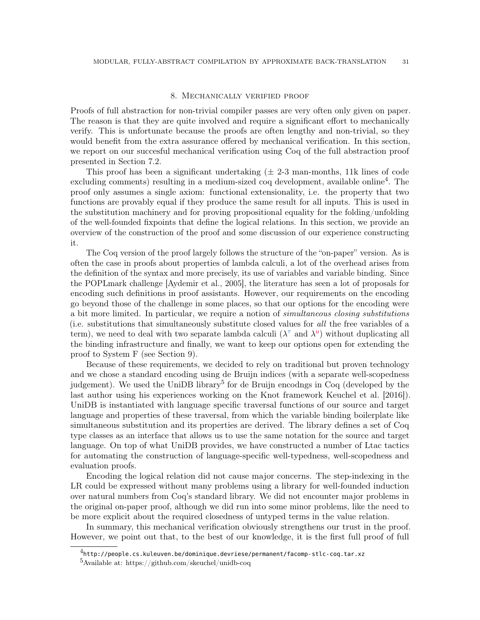### 8. Mechanically verified proof

<span id="page-30-0"></span>Proofs of full abstraction for non-trivial compiler passes are very often only given on paper. The reason is that they are quite involved and require a significant effort to mechanically verify. This is unfortunate because the proofs are often lengthy and non-trivial, so they would benefit from the extra assurance offered by mechanical verification. In this section, we report on our succesful mechanical verification using Coq of the full abstraction proof presented in Section [7.2.](#page-27-0)

This proof has been a significant undertaking  $(\pm 2.3 \text{ man-months}, 11k \text{ lines of code})$ excluding comments) resulting in a medium-sized coq development, available online<sup>[4](#page-30-1)</sup>. The proof only assumes a single axiom: functional extensionality, i.e. the property that two functions are provably equal if they produce the same result for all inputs. This is used in the substitution machinery and for proving propositional equality for the folding/unfolding of the well-founded fixpoints that define the logical relations. In this section, we provide an overview of the construction of the proof and some discussion of our experience constructing it.

The Coq version of the proof largely follows the structure of the "on-paper" version. As is often the case in proofs about properties of lambda calculi, a lot of the overhead arises from the definition of the syntax and more precisely, its use of variables and variable binding. Since the POPLmark challenge [\[Aydemir et al., 2005\]](#page-35-9), the literature has seen a lot of proposals for encoding such definitions in proof assistants. However, our requirements on the encoding go beyond those of the challenge in some places, so that our options for the encoding were a bit more limited. In particular, we require a notion of *simultaneous closing substitutions* (i.e. substitutions that simultaneously substitute closed values for all the free variables of a term), we need to deal with two separate lambda calculi  $(\lambda^{\tau}$  and  $\lambda^{\mathsf{u}})$  without duplicating all the binding infrastructure and finally, we want to keep our options open for extending the proof to System F (see Section [9\)](#page-31-0).

Because of these requirements, we decided to rely on traditional but proven technology and we chose a standard encoding using de Bruijn indices (with a separate well-scopedness judgement). We used the UniDB library<sup>[5](#page-30-2)</sup> for de Bruijn encodngs in Coq (developed by the last author using his experiences working on the Knot framework [Keuchel et al.](#page-36-5) [\[2016\]](#page-36-5)). UniDB is instantiated with language specific traversal functions of our source and target language and properties of these traversal, from which the variable binding boilerplate like simultaneous substitution and its properties are derived. The library defines a set of Coq type classes as an interface that allows us to use the same notation for the source and target language. On top of what UniDB provides, we have constructed a number of Ltac tactics for automating the construction of language-specific well-typedness, well-scopedness and evaluation proofs.

Encoding the logical relation did not cause major concerns. The step-indexing in the LR could be expressed without many problems using a library for well-founded induction over natural numbers from Coq's standard library. We did not encounter major problems in the original on-paper proof, although we did run into some minor problems, like the need to be more explicit about the required closedness of untyped terms in the value relation.

In summary, this mechanical verification obviously strengthens our trust in the proof. However, we point out that, to the best of our knowledge, it is the first full proof of full

<span id="page-30-1"></span> $^4$ <http://people.cs.kuleuven.be/dominique.devriese/permanent/facomp-stlc-coq.tar.xz>

<span id="page-30-2"></span><sup>5</sup>Available at:<https://github.com/skeuchel/unidb-coq>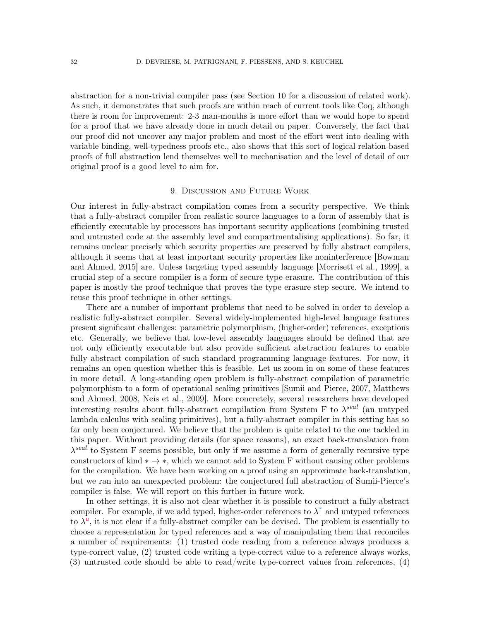abstraction for a non-trivial compiler pass (see Section [10](#page-32-0) for a discussion of related work). As such, it demonstrates that such proofs are within reach of current tools like Coq, although there is room for improvement: 2-3 man-months is more effort than we would hope to spend for a proof that we have already done in much detail on paper. Conversely, the fact that our proof did not uncover any major problem and most of the effort went into dealing with variable binding, well-typedness proofs etc., also shows that this sort of logical relation-based proofs of full abstraction lend themselves well to mechanisation and the level of detail of our original proof is a good level to aim for.

### 9. Discussion and Future Work

<span id="page-31-0"></span>Our interest in fully-abstract compilation comes from a security perspective. We think that a fully-abstract compiler from realistic source languages to a form of assembly that is efficiently executable by processors has important security applications (combining trusted and untrusted code at the assembly level and compartmentalising applications). So far, it remains unclear precisely which security properties are preserved by fully abstract compilers, although it seems that at least important security properties like noninterference [\[Bowman](#page-35-7) [and Ahmed, 2015\]](#page-35-7) are. Unless targeting typed assembly language [\[Morrisett et al., 1999\]](#page-36-6), a crucial step of a secure compiler is a form of secure type erasure. The contribution of this paper is mostly the proof technique that proves the type erasure step secure. We intend to reuse this proof technique in other settings.

There are a number of important problems that need to be solved in order to develop a realistic fully-abstract compiler. Several widely-implemented high-level language features present significant challenges: parametric polymorphism, (higher-order) references, exceptions etc. Generally, we believe that low-level assembly languages should be defined that are not only efficiently executable but also provide sufficient abstraction features to enable fully abstract compilation of such standard programming language features. For now, it remains an open question whether this is feasible. Let us zoom in on some of these features in more detail. A long-standing open problem is fully-abstract compilation of parametric polymorphism to a form of operational sealing primitives [\[Sumii and Pierce, 2007,](#page-37-6) [Matthews](#page-36-7) [and Ahmed, 2008,](#page-36-7) [Neis et al., 2009\]](#page-37-7). More concretely, several researchers have developed interesting results about fully-abstract compilation from System F to  $\lambda^{seal}$  (an untyped lambda calculus with sealing primitives), but a fully-abstract compiler in this setting has so far only been conjectured. We believe that the problem is quite related to the one tackled in this paper. Without providing details (for space reasons), an exact back-translation from  $\lambda^{seal}$  to System F seems possible, but only if we assume a form of generally recursive type constructors of kind  $* \rightarrow *$ , which we cannot add to System F without causing other problems for the compilation. We have been working on a proof using an approximate back-translation, but we ran into an unexpected problem: the conjectured full abstraction of Sumii-Pierce's compiler is false. We will report on this further in future work.

In other settings, it is also not clear whether it is possible to construct a fully-abstract compiler. For example, if we add typed, higher-order references to  $\lambda^{\tau}$  and untyped references to  $\lambda^{\bar{u}}$ , it is not clear if a fully-abstract compiler can be devised. The problem is essentially to choose a representation for typed references and a way of manipulating them that reconciles a number of requirements: (1) trusted code reading from a reference always produces a type-correct value, (2) trusted code writing a type-correct value to a reference always works, (3) untrusted code should be able to read/write type-correct values from references, (4)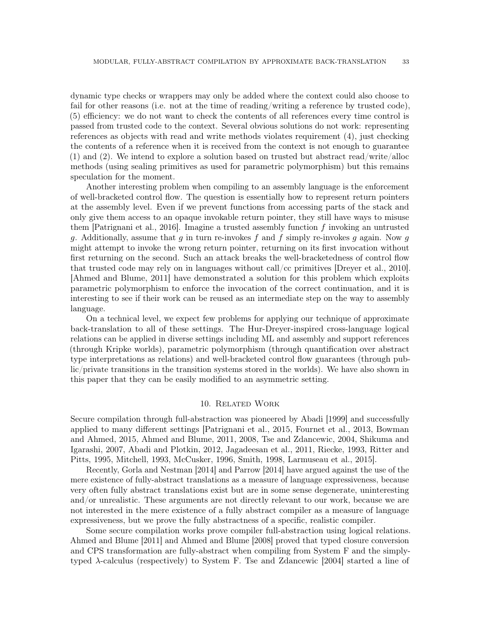dynamic type checks or wrappers may only be added where the context could also choose to fail for other reasons (i.e. not at the time of reading/writing a reference by trusted code), (5) efficiency: we do not want to check the contents of all references every time control is passed from trusted code to the context. Several obvious solutions do not work: representing references as objects with read and write methods violates requirement (4), just checking the contents of a reference when it is received from the context is not enough to guarantee (1) and (2). We intend to explore a solution based on trusted but abstract read/write/alloc methods (using sealing primitives as used for parametric polymorphism) but this remains speculation for the moment.

Another interesting problem when compiling to an assembly language is the enforcement of well-bracketed control flow. The question is essentially how to represent return pointers at the assembly level. Even if we prevent functions from accessing parts of the stack and only give them access to an opaque invokable return pointer, they still have ways to misuse them [\[Patrignani et al., 2016\]](#page-37-5). Imagine a trusted assembly function  $f$  invoking an untrusted g. Additionally, assume that g in turn re-invokes f and f simply re-invokes g again. Now g might attempt to invoke the wrong return pointer, returning on its first invocation without first returning on the second. Such an attack breaks the well-bracketedness of control flow that trusted code may rely on in languages without call/cc primitives [\[Dreyer et al., 2010\]](#page-36-8). [\[Ahmed and Blume, 2011\]](#page-35-10) have demonstrated a solution for this problem which exploits parametric polymorphism to enforce the invocation of the correct continuation, and it is interesting to see if their work can be reused as an intermediate step on the way to assembly language.

On a technical level, we expect few problems for applying our technique of approximate back-translation to all of these settings. The Hur-Dreyer-inspired cross-language logical relations can be applied in diverse settings including ML and assembly and support references (through Kripke worlds), parametric polymorphism (through quantification over abstract type interpretations as relations) and well-bracketed control flow guarantees (through public/private transitions in the transition systems stored in the worlds). We have also shown in this paper that they can be easily modified to an asymmetric setting.

### 10. Related Work

<span id="page-32-0"></span>Secure compilation through full-abstraction was pioneered by [Abadi](#page-35-0) [\[1999\]](#page-35-0) and successfully applied to many different settings [\[Patrignani et al., 2015,](#page-37-1) [Fournet et al., 2013,](#page-36-2) [Bowman](#page-35-7) [and Ahmed, 2015,](#page-35-7) [Ahmed and Blume, 2011,](#page-35-10) [2008,](#page-35-8) [Tse and Zdancewic, 2004,](#page-37-8) [Shikuma and](#page-37-9) [Igarashi, 2007,](#page-37-9) [Abadi and Plotkin, 2012,](#page-35-1) [Jagadeesan et al., 2011,](#page-36-9) [Riecke, 1993,](#page-37-10) [Ritter and](#page-37-11) [Pitts, 1995,](#page-37-11) [Mitchell, 1993,](#page-36-10) [McCusker, 1996,](#page-36-11) [Smith, 1998,](#page-37-12) [Larmuseau et al., 2015\]](#page-36-12).

Recently, [Gorla and Nestman](#page-36-0) [\[2014\]](#page-36-0) and [Parrow](#page-37-13) [\[2014\]](#page-37-13) have argued against the use of the mere existence of fully-abstract translations as a measure of language expressiveness, because very often fully abstract translations exist but are in some sense degenerate, uninteresting and/or unrealistic. These arguments are not directly relevant to our work, because we are not interested in the mere existence of a fully abstract compiler as a measure of language expressiveness, but we prove the fully abstractness of a specific, realistic compiler.

Some secure compilation works prove compiler full-abstraction using logical relations. [Ahmed and Blume](#page-35-10) [\[2011\]](#page-35-10) and [Ahmed and Blume](#page-35-8) [\[2008\]](#page-35-8) proved that typed closure conversion and CPS transformation are fully-abstract when compiling from System F and the simplytyped λ-calculus (respectively) to System F. [Tse and Zdancewic](#page-37-8) [\[2004\]](#page-37-8) started a line of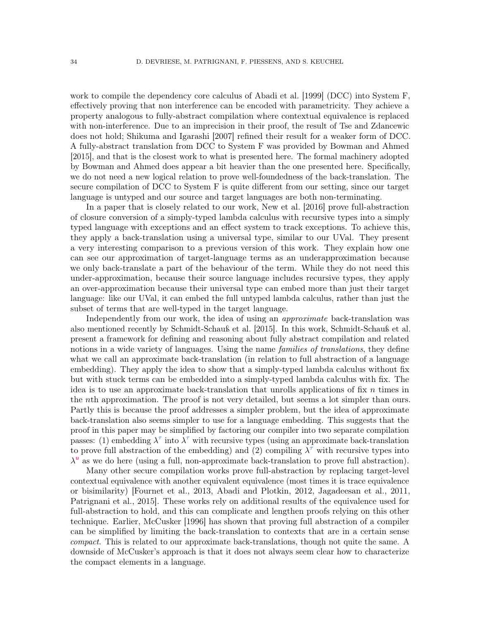work to compile the dependency core calculus of [Abadi et al.](#page-35-11) [\[1999\]](#page-35-11) (DCC) into System F, effectively proving that non interference can be encoded with parametricity. They achieve a property analogous to fully-abstract compilation where contextual equivalence is replaced with non-interference. Due to an imprecision in their proof, the result of Tse and Zdancewic does not hold; [Shikuma and Igarashi](#page-37-9) [\[2007\]](#page-37-9) refined their result for a weaker form of DCC. A fully-abstract translation from DCC to System F was provided by [Bowman and Ahmed](#page-35-7) [\[2015\]](#page-35-7), and that is the closest work to what is presented here. The formal machinery adopted by Bowman and Ahmed does appear a bit heavier than the one presented here. Specifically, we do not need a new logical relation to prove well-foundedness of the back-translation. The secure compilation of DCC to System F is quite different from our setting, since our target language is untyped and our source and target languages are both non-terminating.

In a paper that is closely related to our work, [New et al.](#page-37-14) [\[2016\]](#page-37-14) prove full-abstraction of closure conversion of a simply-typed lambda calculus with recursive types into a simply typed language with exceptions and an effect system to track exceptions. To achieve this, they apply a back-translation using a universal type, similar to our UVal. They present a very interesting comparison to a previous version of this work. They explain how one can see our approximation of target-language terms as an underapproximation because we only back-translate a part of the behaviour of the term. While they do not need this under-approximation, because their source language includes recursive types, they apply an over-approximation because their universal type can embed more than just their target language: like our UVal, it can embed the full untyped lambda calculus, rather than just the subset of terms that are well-typed in the target language.

Independently from our work, the idea of using an *approximate* back-translation was also mentioned recently by [Schmidt-Schauß et al.](#page-37-3) [\[2015\]](#page-37-3). In this work, Schmidt-Schauß et al. present a framework for defining and reasoning about fully abstract compilation and related notions in a wide variety of languages. Using the name *families of translations*, they define what we call an approximate back-translation (in relation to full abstraction of a language embedding). They apply the idea to show that a simply-typed lambda calculus without fix but with stuck terms can be embedded into a simply-typed lambda calculus with fix. The idea is to use an approximate back-translation that unrolls applications of fix  $n$  times in the nth approximation. The proof is not very detailed, but seems a lot simpler than ours. Partly this is because the proof addresses a simpler problem, but the idea of approximate back-translation also seems simpler to use for a language embedding. This suggests that the proof in this paper may be simplified by factoring our compiler into two separate compilation passes: (1) embedding  $\lambda^{\tau}$  into  $\lambda^{\tau}$  with recursive types (using an approximate back-translation to prove full abstraction of the embedding) and (2) compiling  $\lambda^{\tau}$  with recursive types into  $\lambda^{\mathsf{u}}$  as we do here (using a full, non-approximate back-translation to prove full abstraction).

Many other secure compilation works prove full-abstraction by replacing target-level contextual equivalence with another equivalent equivalence (most times it is trace equivalence or bisimilarity) [\[Fournet et al., 2013,](#page-36-2) [Abadi and Plotkin, 2012,](#page-35-1) [Jagadeesan et al., 2011,](#page-36-9) [Patrignani et al., 2015\]](#page-37-1). These works rely on additional results of the equivalence used for full-abstraction to hold, and this can complicate and lengthen proofs relying on this other technique. Earlier, [McCusker](#page-36-11) [\[1996\]](#page-36-11) has shown that proving full abstraction of a compiler can be simplified by limiting the back-translation to contexts that are in a certain sense compact. This is related to our approximate back-translations, though not quite the same. A downside of McCusker's approach is that it does not always seem clear how to characterize the compact elements in a language.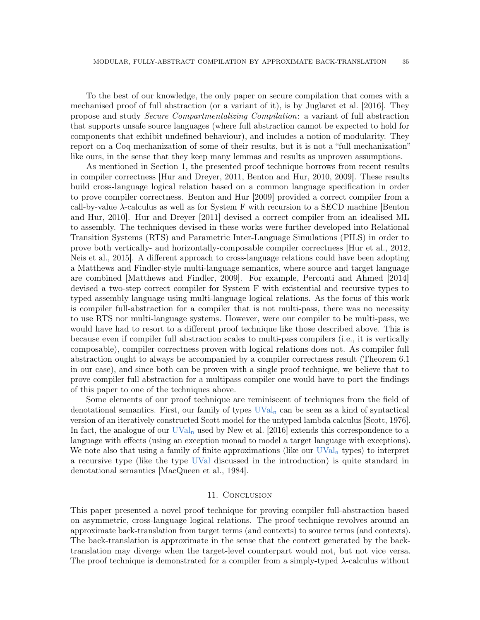To the best of our knowledge, the only paper on secure compilation that comes with a mechanised proof of full abstraction (or a variant of it), is by [Juglaret et al.](#page-36-13) [\[2016\]](#page-36-13). They propose and study Secure Compartmentalizing Compilation: a variant of full abstraction that supports unsafe source languages (where full abstraction cannot be expected to hold for components that exhibit undefined behaviour), and includes a notion of modularity. They report on a Coq mechanization of some of their results, but it is not a "full mechanization" like ours, in the sense that they keep many lemmas and results as unproven assumptions.

As mentioned in Section [1,](#page-1-0) the presented proof technique borrows from recent results in compiler correctness [\[Hur and Dreyer, 2011,](#page-36-3) [Benton and Hur, 2010,](#page-35-5) [2009\]](#page-35-4). These results build cross-language logical relation based on a common language specification in order to prove compiler correctness. [Benton and Hur](#page-35-4) [\[2009\]](#page-35-4) provided a correct compiler from a call-by-value  $\lambda$ -calculus as well as for System F with recursion to a SECD machine [\[Benton](#page-35-5)] [and Hur, 2010\]](#page-35-5). [Hur and Dreyer](#page-36-3) [\[2011\]](#page-36-3) devised a correct compiler from an idealised ML to assembly. The techniques devised in these works were further developed into Relational Transition Systems (RTS) and Parametric Inter-Language Simulations (PILS) in order to prove both vertically- and horizontally-composable compiler correctness [\[Hur et al., 2012,](#page-36-14) [Neis et al., 2015\]](#page-37-15). A different approach to cross-language relations could have been adopting a Matthews and Findler-style multi-language semantics, where source and target language are combined [\[Matthews and Findler, 2009\]](#page-36-15). For example, [Perconti and Ahmed](#page-37-16) [\[2014\]](#page-37-16) devised a two-step correct compiler for System F with existential and recursive types to typed assembly language using multi-language logical relations. As the focus of this work is compiler full-abstraction for a compiler that is not multi-pass, there was no necessity to use RTS nor multi-language systems. However, were our compiler to be multi-pass, we would have had to resort to a different proof technique like those described above. This is because even if compiler full abstraction scales to multi-pass compilers (i.e., it is vertically composable), compiler correctness proven with logical relations does not. As compiler full abstraction ought to always be accompanied by a compiler correctness result (Theorem [6.1](#page-24-2) in our case), and since both can be proven with a single proof technique, we believe that to prove compiler full abstraction for a multipass compiler one would have to port the findings of this paper to one of the techniques above.

Some elements of our proof technique are reminiscent of techniques from the field of denotational semantics. First, our family of types  $\text{UVal}_n$  can be seen as a kind of syntactical version of an iteratively constructed Scott model for the untyped lambda calculus [\[Scott, 1976\]](#page-37-17). In fact, the analogue of our  $UVal_n$  used by [New et al.](#page-37-14) [\[2016\]](#page-37-14) extends this correspondence to a language with effects (using an exception monad to model a target language with exceptions). We note also that using a family of finite approximations (like our  $UVal_n$  types) to interpret a recursive type (like the type UVal discussed in the introduction) is quite standard in denotational semantics [\[MacQueen et al., 1984\]](#page-36-16).

### 11. CONCLUSION

<span id="page-34-0"></span>This paper presented a novel proof technique for proving compiler full-abstraction based on asymmetric, cross-language logical relations. The proof technique revolves around an approximate back-translation from target terms (and contexts) to source terms (and contexts). The back-translation is approximate in the sense that the context generated by the backtranslation may diverge when the target-level counterpart would not, but not vice versa. The proof technique is demonstrated for a compiler from a simply-typed  $\lambda$ -calculus without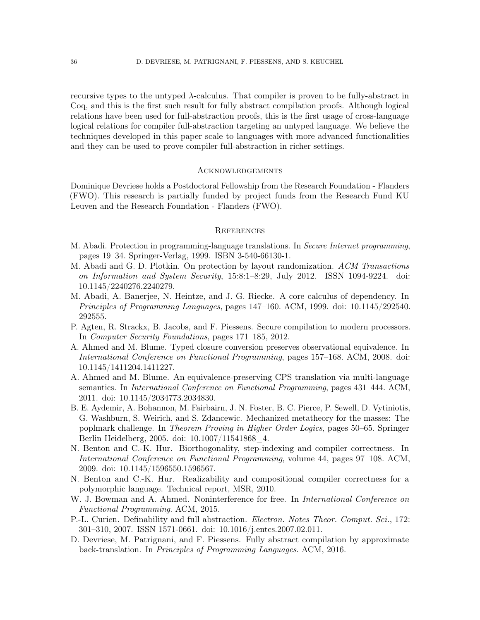recursive types to the untyped λ-calculus. That compiler is proven to be fully-abstract in Coq, and this is the first such result for fully abstract compilation proofs. Although logical relations have been used for full-abstraction proofs, this is the first usage of cross-language logical relations for compiler full-abstraction targeting an untyped language. We believe the techniques developed in this paper scale to languages with more advanced functionalities and they can be used to prove compiler full-abstraction in richer settings.

## **ACKNOWLEDGEMENTS**

Dominique Devriese holds a Postdoctoral Fellowship from the Research Foundation - Flanders (FWO). This research is partially funded by project funds from the Research Fund KU Leuven and the Research Foundation - Flanders (FWO).

#### **REFERENCES**

- <span id="page-35-0"></span>M. Abadi. Protection in programming-language translations. In Secure Internet programming, pages 19–34. Springer-Verlag, 1999. ISBN 3-540-66130-1.
- <span id="page-35-1"></span>M. Abadi and G. D. Plotkin. On protection by layout randomization. ACM Transactions on Information and System Security, 15:8:1–8:29, July 2012. ISSN 1094-9224. doi: 10.1145/2240276.2240279.
- <span id="page-35-11"></span>M. Abadi, A. Banerjee, N. Heintze, and J. G. Riecke. A core calculus of dependency. In Principles of Programming Languages, pages 147–160. ACM, 1999. doi: 10.1145/292540. 292555.
- <span id="page-35-2"></span>P. Agten, R. Strackx, B. Jacobs, and F. Piessens. Secure compilation to modern processors. In Computer Security Foundations, pages 171–185, 2012.
- <span id="page-35-8"></span>A. Ahmed and M. Blume. Typed closure conversion preserves observational equivalence. In International Conference on Functional Programming, pages 157–168. ACM, 2008. doi: 10.1145/1411204.1411227.
- <span id="page-35-10"></span>A. Ahmed and M. Blume. An equivalence-preserving CPS translation via multi-language semantics. In International Conference on Functional Programming, pages 431–444. ACM, 2011. doi: 10.1145/2034773.2034830.
- <span id="page-35-9"></span>B. E. Aydemir, A. Bohannon, M. Fairbairn, J. N. Foster, B. C. Pierce, P. Sewell, D. Vytiniotis, G. Washburn, S. Weirich, and S. Zdancewic. Mechanized metatheory for the masses: The poplmark challenge. In Theorem Proving in Higher Order Logics, pages 50–65. Springer Berlin Heidelberg, 2005. doi: 10.1007/11541868\_4.
- <span id="page-35-4"></span>N. Benton and C.-K. Hur. Biorthogonality, step-indexing and compiler correctness. In International Conference on Functional Programming, volume 44, pages 97–108. ACM, 2009. doi: 10.1145/1596550.1596567.
- <span id="page-35-5"></span>N. Benton and C.-K. Hur. Realizability and compositional compiler correctness for a polymorphic language. Technical report, MSR, 2010.
- <span id="page-35-7"></span>W. J. Bowman and A. Ahmed. Noninterference for free. In International Conference on Functional Programming. ACM, 2015.
- <span id="page-35-3"></span>P.-L. Curien. Definability and full abstraction. Electron. Notes Theor. Comput. Sci., 172: 301–310, 2007. ISSN 1571-0661. doi: 10.1016/j.entcs.2007.02.011.
- <span id="page-35-6"></span>D. Devriese, M. Patrignani, and F. Piessens. Fully abstract compilation by approximate back-translation. In Principles of Programming Languages. ACM, 2016.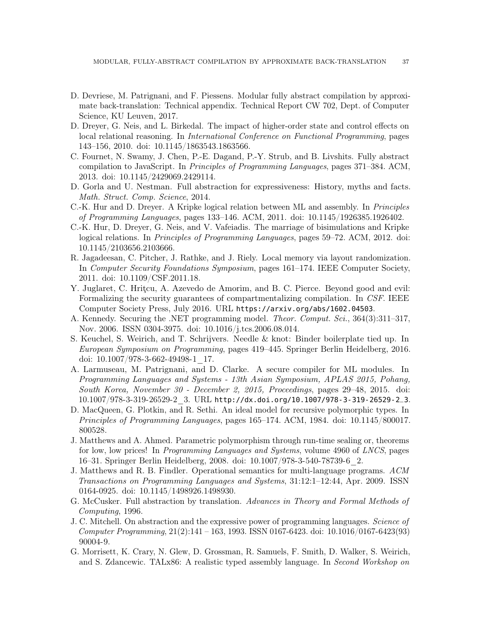- <span id="page-36-4"></span>D. Devriese, M. Patrignani, and F. Piessens. Modular fully abstract compilation by approximate back-translation: Technical appendix. Technical Report CW 702, Dept. of Computer Science, KU Leuven, 2017.
- <span id="page-36-8"></span>D. Dreyer, G. Neis, and L. Birkedal. The impact of higher-order state and control effects on local relational reasoning. In International Conference on Functional Programming, pages 143–156, 2010. doi: 10.1145/1863543.1863566.
- <span id="page-36-2"></span>C. Fournet, N. Swamy, J. Chen, P.-E. Dagand, P.-Y. Strub, and B. Livshits. Fully abstract compilation to JavaScript. In Principles of Programming Languages, pages 371–384. ACM, 2013. doi: 10.1145/2429069.2429114.
- <span id="page-36-0"></span>D. Gorla and U. Nestman. Full abstraction for expressiveness: History, myths and facts. Math. Struct. Comp. Science, 2014.
- <span id="page-36-3"></span>C.-K. Hur and D. Dreyer. A Kripke logical relation between ML and assembly. In Principles of Programming Languages, pages 133–146. ACM, 2011. doi: 10.1145/1926385.1926402.
- <span id="page-36-14"></span>C.-K. Hur, D. Dreyer, G. Neis, and V. Vafeiadis. The marriage of bisimulations and Kripke logical relations. In Principles of Programming Languages, pages 59–72. ACM, 2012. doi: 10.1145/2103656.2103666.
- <span id="page-36-9"></span>R. Jagadeesan, C. Pitcher, J. Rathke, and J. Riely. Local memory via layout randomization. In Computer Security Foundations Symposium, pages 161–174. IEEE Computer Society, 2011. doi: 10.1109/CSF.2011.18.
- <span id="page-36-13"></span>Y. Juglaret, C. Hriţcu, A. Azevedo de Amorim, and B. C. Pierce. Beyond good and evil: Formalizing the security guarantees of compartmentalizing compilation. In CSF. IEEE Computer Society Press, July 2016. URL <https://arxiv.org/abs/1602.04503>.
- <span id="page-36-1"></span>A. Kennedy. Securing the .NET programming model. Theor. Comput. Sci., 364(3):311–317, Nov. 2006. ISSN 0304-3975. doi: 10.1016/j.tcs.2006.08.014.
- <span id="page-36-5"></span>S. Keuchel, S. Weirich, and T. Schrijvers. Needle & knot: Binder boilerplate tied up. In European Symposium on Programming, pages 419–445. Springer Berlin Heidelberg, 2016. doi: 10.1007/978-3-662-49498-1\_17.
- <span id="page-36-12"></span>A. Larmuseau, M. Patrignani, and D. Clarke. A secure compiler for ML modules. In Programming Languages and Systems - 13th Asian Symposium, APLAS 2015, Pohang, South Korea, November 30 - December 2, 2015, Proceedings, pages 29–48, 2015. doi: 10.1007/978-3-319-26529-2\_3. URL [http://dx.doi.org/10.1007/978-3-319-26529-2\\_3](http://dx.doi.org/10.1007/978-3-319-26529-2_3).
- <span id="page-36-16"></span>D. MacQueen, G. Plotkin, and R. Sethi. An ideal model for recursive polymorphic types. In Principles of Programming Languages, pages 165–174. ACM, 1984. doi: 10.1145/800017. 800528.
- <span id="page-36-7"></span>J. Matthews and A. Ahmed. Parametric polymorphism through run-time sealing or, theorems for low, low prices! In Programming Languages and Systems, volume 4960 of LNCS, pages 16–31. Springer Berlin Heidelberg, 2008. doi: 10.1007/978-3-540-78739-6\_2.
- <span id="page-36-15"></span>J. Matthews and R. B. Findler. Operational semantics for multi-language programs. ACM Transactions on Programming Languages and Systems, 31:12:1–12:44, Apr. 2009. ISSN 0164-0925. doi: 10.1145/1498926.1498930.
- <span id="page-36-11"></span>G. McCusker. Full abstraction by translation. Advances in Theory and Formal Methods of Computing, 1996.
- <span id="page-36-10"></span>J. C. Mitchell. On abstraction and the expressive power of programming languages. Science of Computer Programming, 21(2):141 – 163, 1993. ISSN 0167-6423. doi: 10.1016/0167-6423(93) 90004-9.
- <span id="page-36-6"></span>G. Morrisett, K. Crary, N. Glew, D. Grossman, R. Samuels, F. Smith, D. Walker, S. Weirich, and S. Zdancewic. TALx86: A realistic typed assembly language. In Second Workshop on